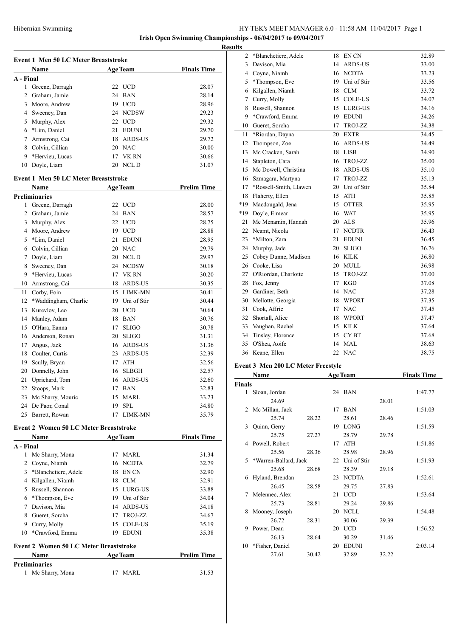**Results**

|                     | Event 1 Men 50 LC Meter Breaststroke          |          |                          |                    |
|---------------------|-----------------------------------------------|----------|--------------------------|--------------------|
|                     | Name                                          |          | <b>Age Team</b>          | <b>Finals Time</b> |
| A - Final           |                                               |          |                          |                    |
| 1<br>$\overline{2}$ | Greene, Darragh                               | 22<br>24 | <b>UCD</b><br><b>BAN</b> | 28.07              |
|                     | Graham, Jamie                                 |          |                          | 28.14<br>28.96     |
| 3                   | Moore, Andrew                                 | 19       | <b>UCD</b>               |                    |
| 4                   | Sweeney, Dan                                  | 24       | <b>NCDSW</b>             | 29.23              |
| 5                   | Murphy, Alex                                  | 22       | <b>UCD</b>               | 29.32              |
| 6                   | *Lim, Daniel                                  | 21       | <b>EDUNI</b>             | 29.70              |
| 7                   | Armstrong, Cai                                | 18       | <b>ARDS-US</b>           | 29.72              |
| 8                   | Colvin, Cillian                               | 20       | <b>NAC</b>               | 30.00              |
| 9                   | *Hervieu, Lucas                               | 17       | <b>VK RN</b>             | 30.66              |
| 10                  | Doyle, Liam                                   | 20       | NCL D                    | 31.07              |
|                     | <b>Event 1 Men 50 LC Meter Breaststroke</b>   |          |                          |                    |
|                     | Name                                          |          | <b>Age Team</b>          | <b>Prelim Time</b> |
|                     | <b>Preliminaries</b>                          |          |                          |                    |
| 1                   | Greene, Darragh                               | 22       | <b>UCD</b>               | 28.00              |
| 2                   | Graham, Jamie                                 | 24       | <b>BAN</b>               | 28.57              |
| 3                   | Murphy, Alex                                  | 22       | <b>UCD</b>               | 28.75              |
| 4                   | Moore, Andrew                                 | 19       | <b>UCD</b>               | 28.88              |
| 5                   | *Lim, Daniel                                  | 21       | <b>EDUNI</b>             | 28.95              |
| 6                   | Colvin, Cillian                               | 20       | <b>NAC</b>               | 29.79              |
| 7                   | Doyle, Liam                                   | 20       | <b>NCLD</b>              | 29.97              |
| 8                   | Sweeney, Dan                                  | 24       | <b>NCDSW</b>             | 30.18              |
| 9                   | *Hervieu, Lucas                               | 17       | VK RN                    | 30.20              |
| 10                  | Armstrong, Cai                                | 18       | <b>ARDS-US</b>           | 30.35              |
| 11                  | Corby, Eoin                                   | 15       | <b>LIMK-MN</b>           | 30.41              |
| 12                  | *Waddingham, Charlie                          | 19       | Uni of Stir              | 30.44              |
| 13                  | Kurevlov, Leo                                 | 20       | <b>UCD</b>               | 30.64              |
| 14                  | Manley, Adam                                  | 18       | <b>BAN</b>               | 30.76              |
| 15                  | O'Hara, Eanna                                 | 17       | <b>SLIGO</b>             | 30.78              |
| 16                  | Anderson, Ronan                               | 20       | <b>SLIGO</b>             | 31.31              |
| 17                  | Angus, Jack                                   | 16       | <b>ARDS-US</b>           | 31.36              |
| 18                  | Coulter, Curtis                               | 23       | <b>ARDS-US</b>           | 32.39              |
| 19                  | Scully, Bryan                                 | 17       | <b>ATH</b>               | 32.56              |
| 20                  | Donnelly, John                                | 16       | <b>SLBGH</b>             | 32.57              |
| 21                  | Uprichard, Tom                                | 16       | <b>ARDS-US</b>           | 32.60              |
|                     | 22 Stoops, Mark                               |          | 17 BAN                   | 32.83              |
|                     | 23 Mc Sharry, Mouric                          |          | 15 MARL                  | 33.23              |
|                     | 24 De Paor, Conal                             | 19       | <b>SPL</b>               | 34.80              |
|                     | 25 Barrett, Rowan                             | 17       | LIMK-MN                  | 35.79              |
|                     | <b>Event 2 Women 50 LC Meter Breaststroke</b> |          |                          |                    |
|                     | <b>Name</b>                                   |          | <b>Age Team</b>          | <b>Finals Time</b> |
| A - Final           |                                               |          |                          |                    |
| 1                   | Mc Sharry, Mona                               | 17       | <b>MARL</b>              | 31.34              |
| 2                   | Coyne, Niamh                                  | 16       | <b>NCDTA</b>             | 32.79              |
| 3                   | *Blanchetiere, Adele                          | 18       | EN CN                    | 32.90              |
|                     | 4 Kilgallen, Niamh                            | 18       | <b>CLM</b>               | 32.91              |
|                     | 5 Russell, Shannon                            | 15       | LURG-US                  | 33.88              |
| 6                   | *Thompson, Eve                                |          | 19 Uni of Stir           | 34.04              |
|                     | 7 Davison, Mia                                |          | 14 ARDS-US               | 34.18              |
|                     | 8 Gueret, Sorcha                              | 17       | TROJ-ZZ                  | 34.67              |
|                     | 9 Curry, Molly                                | 15       | COLE-US                  | 35.19              |
| 10                  | *Crawford, Emma                               | 19       | <b>EDUNI</b>             | 35.38              |
|                     | <b>Event 2 Women 50 LC Meter Breaststroke</b> |          |                          |                    |
|                     | Name                                          |          | <b>Age Team</b>          | <b>Prelim Time</b> |
|                     | <b>Preliminaries</b>                          |          |                          |                    |
|                     |                                               |          |                          |                    |

| uns           |                                    |    |                 |                    |
|---------------|------------------------------------|----|-----------------|--------------------|
| 2             | *Blanchetiere, Adele               | 18 | EN CN           | 32.89              |
| 3             | Davison, Mia                       |    | 14 ARDS-US      | 33.00              |
| 4             | Coyne, Niamh                       |    | 16 NCDTA        | 33.23              |
| 5             | *Thompson, Eve                     |    | 19 Uni of Stir  | 33.56              |
| 6             | Kilgallen, Niamh                   |    | 18 CLM          | 33.72              |
| 7             | Curry, Molly                       |    | 15 COLE-US      | 34.07              |
| 8             | Russell, Shannon                   |    | 15 LURG-US      | 34.16              |
| 9             | *Crawford, Emma                    |    | 19 EDUNI        | 34.26              |
| 10            | Gueret, Sorcha                     | 17 | TROJ-ZZ         | 34.38              |
| 11            | *Riordan, Dayna                    |    | 20 EXTR         | 34.45              |
| 12            | Thompson, Zoe                      |    | 16 ARDS-US      | 34.49              |
| 13            | Mc Cracken, Sarah                  |    | 18 LISB         | 34.90              |
|               | 14 Stapleton, Cara                 |    | 16 TROJ-ZZ      | 35.00              |
|               | 15 Mc Dowell, Christina            |    | 18 ARDS-US      | 35.10              |
|               | 16 Szmagara, Martyna               |    | 17 TROJ-ZZ      | 35.13              |
|               | 17 *Rossell-Smith, Llawen          |    | 20 Uni of Stir  | 35.84              |
| 18            | Flaherty, Ellen                    |    | 15 ATH          | 35.85              |
| $*19$         | Macdougald, Jena                   |    | 15 OTTER        | 35.95              |
| *19           | Doyle, Eimear                      |    | 16 WAT          | 35.95              |
| 21            | Mc Menamin, Hannah                 |    | 20 ALS          | 35.96              |
|               | 22 Neamt, Nicola                   |    | 17 NCDTR        | 36.43              |
|               | 23 *Milton, Zara                   |    | 21 EDUNI        | 36.45              |
|               | 24 Murphy, Jade                    |    | 20 SLIGO        | 36.76              |
|               | 25 Cobey Dunne, Madison            |    | 16 KILK         | 36.80              |
|               | 26 Cooke, Lisa                     |    | 20 MULL         | 36.98              |
|               | 27 O'Riordan, Charlotte            |    | 15 TROJ-ZZ      | 37.00              |
|               | 28 Fox, Jenny                      | 17 | KGD             | 37.08              |
| 29            | Gardiner, Beth                     |    | 14 NAC          | 37.28              |
| 30            | Mellotte, Georgia                  |    | 18 WPORT        | 37.35              |
| 31            | Cook, Affric                       |    | 17 NAC          | 37.45              |
|               | 32 Shortall, Alice                 |    | 18 WPORT        | 37.47              |
|               | 33 Vaughan, Rachel                 |    | 15 KILK         | 37.64              |
|               | 34 Tinsley, Florence               |    | 15 CYBT         | 37.68              |
| 35            | O'Shea, Aoife                      |    | 14 MAL          | 38.63              |
| 36            | Keane, Ellen                       |    | 22 NAC          | 38.75              |
|               | Event 3 Men 200 LC Meter Freestyle |    |                 |                    |
|               | Name                               |    | <b>Age Team</b> | <b>Finals Time</b> |
| <b>Finals</b> |                                    |    |                 |                    |

| inals                         |                       |       |    |              |       |         |
|-------------------------------|-----------------------|-------|----|--------------|-------|---------|
| 1                             | Sloan, Jordan         |       |    | 24 BAN       |       | 1:47.77 |
|                               | 24.69                 |       |    |              | 28.01 |         |
| $\mathfrak{D}_{\mathfrak{p}}$ | Mc Millan, Jack       |       | 17 | <b>BAN</b>   |       | 1:51.03 |
|                               | 25.74                 | 28.22 |    | 28.61        | 28.46 |         |
| 3                             | Quinn, Gerry          |       | 19 | <b>LONG</b>  |       | 1:51.59 |
|                               | 25.75                 | 27.27 |    | 28.79        | 29.78 |         |
| 4                             | Powell, Robert        |       | 17 | <b>ATH</b>   |       | 1:51.86 |
|                               | 25.56                 | 28.36 |    | 28.98        | 28.96 |         |
| 5                             | *Warren-Ballard, Jack |       | 22 | Uni of Stir  |       | 1:51.93 |
|                               | 25.68                 | 28.68 |    | 28.39        | 29.18 |         |
| 6                             | Hyland, Brendan       |       | 23 | <b>NCDTA</b> |       | 1:52.61 |
|                               | 26.45                 | 28.58 |    | 29.75        | 27.83 |         |
| 7                             | Melennec, Alex        |       | 21 | <b>UCD</b>   |       | 1:53.64 |
|                               | 25.73                 | 28.81 |    | 29.24        | 29.86 |         |
| 8                             | Mooney, Joseph        |       | 20 | <b>NCLL</b>  |       | 1:54.48 |
|                               | 26.72                 | 28.31 |    | 30.06        | 29.39 |         |
| 9                             | Power, Dean           |       | 20 | <b>UCD</b>   |       | 1:56.52 |
|                               | 26.13                 | 28.64 |    | 30.29        | 31.46 |         |
| 10                            | *Fisher, Daniel       |       | 20 | <b>EDUNI</b> |       | 2:03.14 |
|                               | 27.61                 | 30.42 |    | 32.89        | 32.22 |         |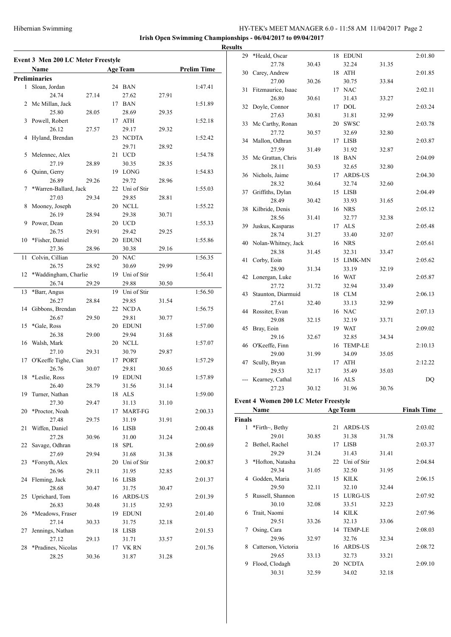**Irish Open Swimming Championships - 06/04/2017 to 09/04/2017**

**Results**

|    | Event 3 Men 200 LC Meter Freestyle |       |    |                 |       |                    |
|----|------------------------------------|-------|----|-----------------|-------|--------------------|
|    | Name                               |       |    | <b>Age Team</b> |       | <b>Prelim Time</b> |
|    | <b>Preliminaries</b>               |       |    |                 |       |                    |
| 1  | Sloan, Jordan                      |       |    | 24 BAN          |       | 1:47.41            |
|    | 24.74                              | 27.14 |    | 27.62           | 27.91 |                    |
|    | 2 Mc Millan, Jack                  |       |    | 17 BAN          |       | 1:51.89            |
|    | 25.80                              | 28.05 |    | 28.69           | 29.35 |                    |
| 3  | Powell, Robert                     |       |    | 17 ATH          |       | 1:52.18            |
|    | 26.12                              | 27.57 |    | 29.17           | 29.32 |                    |
| 4  | Hyland, Brendan                    |       |    | 23 NCDTA        |       | 1:52.42            |
|    |                                    |       |    | 29.71           | 28.92 |                    |
| 5  | Melennec, Alex                     |       | 21 | <b>UCD</b>      |       | 1:54.78            |
|    | 27.19                              | 28.89 |    | 30.35           | 28.35 |                    |
| 6  | Quinn, Gerry                       |       |    | 19 LONG         |       | 1:54.83            |
|    | 26.89                              | 29.26 |    | 29.72           | 28.96 |                    |
| 7  | *Warren-Ballard, Jack              |       |    | 22 Uni of Stir  |       | 1:55.03            |
|    | 27.03                              | 29.34 |    | 29.85           | 28.81 |                    |
| 8  | Mooney, Joseph                     |       |    | 20 NCLL         |       | 1:55.22            |
|    | 26.19                              | 28.94 |    | 29.38           | 30.71 |                    |
| 9  | Power, Dean                        |       |    | 20 UCD          |       | 1:55.33            |
|    | 26.75                              | 29.91 |    | 29.42           | 29.25 |                    |
| 10 | *Fisher, Daniel                    |       | 20 | <b>EDUNI</b>    |       | 1:55.86            |
|    | 27.36                              | 28.96 |    | 30.38           | 29.16 |                    |
| 11 | Colvin, Cillian                    |       |    | 20 NAC          |       | 1:56.35            |
|    | 26.75                              | 28.92 |    | 30.69           | 29.99 |                    |
| 12 | *Waddingham, Charlie               |       |    | 19 Uni of Stir  |       | 1:56.41            |
|    | 26.74                              | 29.29 |    | 29.88           | 30.50 |                    |
| 13 | *Barr, Angus                       |       |    | 19 Uni of Stir  |       | 1:56.50            |
|    | 26.27                              | 28.84 |    | 29.85           | 31.54 |                    |
| 14 | Gibbons, Brendan                   |       |    | 22 NCDA         |       | 1:56.75            |
|    | 26.67                              | 29.50 |    | 29.81           | 30.77 |                    |
| 15 | *Gale, Ross                        |       | 20 | <b>EDUNI</b>    |       | 1:57.00            |
|    | 26.38                              | 29.00 |    | 29.94           | 31.68 |                    |
| 16 | Walsh, Mark                        |       |    | 20 NCLL         |       | 1:57.07            |
|    | 27.10                              | 29.31 |    | 30.79           | 29.87 |                    |
| 17 | O'Keeffe Tighe, Cian               |       |    | 17 PORT         |       | 1:57.29            |
|    | 26.76                              | 30.07 |    | 29.81           | 30.65 |                    |
| 18 | *Leslie, Ross                      |       | 19 | EDUNI           |       | 1:57.89            |
|    | 26.40                              | 28.79 |    | 31.56           | 31.14 |                    |
| 19 | Turner, Nathan                     |       |    | 18 ALS          |       | 1:59.00            |
|    | 27.30                              | 29.47 |    | 31.13           | 31.10 |                    |
| 20 | *Proctor, Noah                     |       | 17 | <b>MART-FG</b>  |       | 2:00.33            |
|    | 27.48                              | 29.75 |    | 31.19           | 31.91 |                    |
| 21 | Wiffen, Daniel                     |       |    | 16 LISB         |       | 2:00.48            |
|    | 27.28                              | 30.96 |    | 31.00           | 31.24 |                    |
| 22 | Savage, Odhran                     |       |    | 18 SPL          |       | 2:00.69            |
|    | 27.69                              | 29.94 |    | 31.68           | 31.38 |                    |
| 23 | *Forsyth, Alex                     |       |    | 20 Uni of Stir  |       | 2:00.87            |
|    | 26.96                              | 29.11 |    | 31.95           | 32.85 |                    |
| 24 | Fleming, Jack                      |       |    | 16 LISB         |       | 2:01.37            |
|    | 28.68                              | 30.47 |    | 31.75           | 30.47 |                    |
| 25 | Uprichard, Tom                     |       |    | 16 ARDS-US      |       | 2:01.39            |
|    | 26.83                              | 30.48 |    | 31.15           | 32.93 |                    |
| 26 | *Meadows, Fraser                   |       |    | 19 EDUNI        |       | 2:01.40            |
|    | 27.14                              | 30.33 |    | 31.75           | 32.18 |                    |
| 27 | Jennings, Nathan                   |       |    | 18 LISB         |       | 2:01.53            |
|    | 27.12                              | 29.13 |    | 31.71           | 33.57 |                    |
| 28 | *Pradines, Nicolas                 |       |    | 17 VK RN        |       | 2:01.76            |
|    | 28.25                              | 30.36 |    | 31.87           | 31.28 |                    |

| 11 I.S |                                             |       |    |                 |       |                    |
|--------|---------------------------------------------|-------|----|-----------------|-------|--------------------|
| 29     | *Heald, Oscar                               |       | 18 | <b>EDUNI</b>    |       | 2:01.80            |
|        | 27.78                                       | 30.43 |    | 32.24           | 31.35 |                    |
| 30     | Carey, Andrew                               |       | 18 | ATH             |       | 2:01.85            |
|        | 27.00                                       | 30.26 |    | 30.75           | 33.84 |                    |
| 31     | Fitzmaurice, Isaac                          |       | 17 | <b>NAC</b>      |       | 2:02.11            |
|        | 26.80                                       | 30.61 |    | 31.43           | 33.27 |                    |
| 32     | Doyle, Connor                               |       | 17 | <b>DOL</b>      |       | 2:03.24            |
|        | 27.63                                       | 30.81 |    | 31.81           | 32.99 |                    |
| 33     | Mc Carthy, Ronan                            |       | 20 | <b>SWSC</b>     |       | 2:03.78            |
|        | 27.72                                       | 30.57 |    | 32.69           | 32.80 |                    |
| 34     | Mallon, Odhran                              |       | 17 | <b>LISB</b>     |       | 2:03.87            |
|        | 27.59                                       | 31.49 |    | 31.92           | 32.87 |                    |
| 35     | Mc Grattan, Chris                           |       | 18 | <b>BAN</b>      |       | 2:04.09            |
|        | 28.11                                       | 30.53 |    | 32.65           | 32.80 |                    |
| 36     | Nichols, Jaime                              |       | 17 | <b>ARDS-US</b>  |       | 2:04.30            |
|        | 28.32                                       | 30.64 |    | 32.74           | 32.60 |                    |
| 37     | Griffiths, Dylan                            |       | 15 | LISB            |       | 2:04.49            |
|        | 28.49                                       | 30.42 |    | 33.93           | 31.65 |                    |
| 38     | Kilbride, Denis                             |       | 16 | <b>NRS</b>      |       | 2:05.12            |
|        | 28.56                                       | 31.41 |    | 32.77           | 32.38 |                    |
| 39     | Juskus, Kasparas                            |       | 17 | <b>ALS</b>      |       | 2:05.48            |
|        | 28.74                                       | 31.27 |    | 33.40           | 32.07 |                    |
| 40     | Nolan-Whitney, Jack                         |       | 16 | <b>NRS</b>      |       | 2:05.61            |
|        | 28.38                                       | 31.45 |    | 32.31           | 33.47 |                    |
| 41     | Corby, Eoin                                 |       | 15 | LIMK-MN         |       | 2:05.62            |
|        | 28.90                                       | 31.34 |    | 33.19           | 32.19 |                    |
| 42     | Lonergan, Luke                              |       | 16 | <b>WAT</b>      |       | 2:05.87            |
|        | 27.72                                       | 31.72 |    | 32.94           | 33.49 |                    |
| 43     | Staunton, Diarmuid                          |       |    | 18 CLM          |       | 2:06.13            |
|        | 27.61                                       | 32.40 |    | 33.13           | 32.99 |                    |
| 44     | Rossiter, Evan                              |       |    | 16 NAC          |       | 2:07.13            |
|        | 29.08                                       | 32.15 |    | 32.19           | 33.71 |                    |
| 45     | Bray, Eoin                                  |       |    | 19 WAT          |       | 2:09.02            |
|        | 29.16                                       | 32.67 |    | 32.85           | 34.34 |                    |
| 46     | O'Keeffe, Finn                              |       | 16 | <b>TEMP-LE</b>  |       | 2:10.13            |
|        | 29.00                                       | 31.99 |    | 34.09           | 35.05 |                    |
| 47     | Scully, Bryan                               |       | 17 | <b>ATH</b>      |       | 2:12.22            |
|        | 29.53                                       | 32.17 |    | 35.49           | 35.03 |                    |
|        | Kearney, Cathal                             |       | 16 | ALS             |       | DQ                 |
|        | 27.23                                       | 30.12 |    | 31.96           | 30.76 |                    |
|        | <b>Event 4 Women 200 LC Meter Freestyle</b> |       |    |                 |       |                    |
|        | Name                                        |       |    | <b>Age Team</b> |       | <b>Finals Time</b> |

| EVEIL 4 WOHICH 200 LC MICLEI FICESLYIC |                 |
|----------------------------------------|-----------------|
| Name                                   | <b>Age Tean</b> |
|                                        |                 |

| Finals       |                     |       |    |                |       |         |
|--------------|---------------------|-------|----|----------------|-------|---------|
| $\mathbf{1}$ | *Firth~, Bethy      |       | 21 | <b>ARDS-US</b> |       | 2:03.02 |
|              | 29.01               | 30.85 |    | 31.38          | 31.78 |         |
| 2            | Bethel, Rachel      |       | 17 | <b>LISB</b>    |       | 2:03.37 |
|              | 29.29               | 31.24 |    | 31.43          | 31.41 |         |
| 3            | *Hofton, Natasha    |       | 22 | Uni of Stir    |       | 2:04.84 |
|              | 29.34               | 31.05 |    | 32.50          | 31.95 |         |
| 4            | Godden, Maria       |       | 15 | <b>KILK</b>    |       | 2:06.15 |
|              | 29.50               | 32.11 |    | 32.10          | 32.44 |         |
| 5            | Russell, Shannon    |       | 15 | LURG-US        |       | 2:07.92 |
|              | 30.10               | 32.08 |    | 33.51          | 32.23 |         |
| 6            | Trait, Naomi        |       | 14 | KILK           |       | 2:07.96 |
|              | 29.51               | 33.26 |    | 32.13          | 33.06 |         |
| 7            | Osing, Cara         |       | 14 | <b>TEMP-LE</b> |       | 2:08.03 |
|              | 29.96               | 32.97 |    | 32.76          | 32.34 |         |
| 8            | Catterson, Victoria |       | 16 | <b>ARDS-US</b> |       | 2:08.72 |
|              | 29.65               | 33.13 |    | 32.73          | 33.21 |         |
| 9            | Flood, Clodagh      |       | 20 | <b>NCDTA</b>   |       | 2:09.10 |
|              | 30.31               | 32.59 |    | 34.02          | 32.18 |         |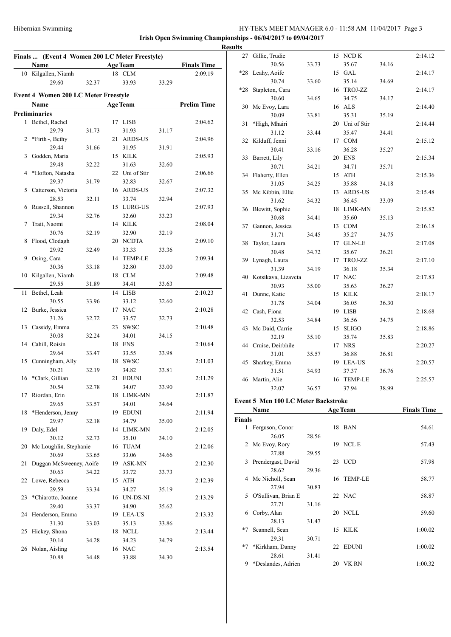| Finals  (Event 4 Women 200 LC Meter Freestyle) |                                             |       |  |                   |       |                    |  |  |  |  |
|------------------------------------------------|---------------------------------------------|-------|--|-------------------|-------|--------------------|--|--|--|--|
|                                                | Name                                        |       |  | <b>Age Team</b>   |       | <b>Finals Time</b> |  |  |  |  |
| 10                                             | Kilgallen, Niamh                            |       |  | 18 CLM            |       | 2:09.19            |  |  |  |  |
|                                                | 29.60                                       | 32.37 |  | 33.93             | 33.29 |                    |  |  |  |  |
|                                                | <b>Event 4 Women 200 LC Meter Freestyle</b> |       |  |                   |       |                    |  |  |  |  |
|                                                | Name                                        |       |  | <b>Age Team</b>   |       | <b>Prelim Time</b> |  |  |  |  |
|                                                | <b>Preliminaries</b>                        |       |  |                   |       |                    |  |  |  |  |
| 1                                              | Bethel, Rachel                              |       |  | 17 LISB           |       | 2:04.62            |  |  |  |  |
|                                                | 29.79                                       | 31.73 |  | 31.93             | 31.17 |                    |  |  |  |  |
| 2                                              | *Firth~, Bethy                              |       |  | 21 ARDS-US        |       | 2:04.96            |  |  |  |  |
|                                                | 29.44                                       | 31.66 |  | 31.95             | 31.91 |                    |  |  |  |  |
| 3                                              | Godden, Maria                               |       |  | 15 KILK           |       | 2:05.93            |  |  |  |  |
|                                                | 29.48                                       | 32.22 |  | 31.63             | 32.60 |                    |  |  |  |  |
| 4                                              | *Hofton, Natasha                            |       |  | 22 Uni of Stir    |       | 2:06.66            |  |  |  |  |
|                                                | 29.37                                       | 31.79 |  | 32.83             | 32.67 |                    |  |  |  |  |
| 5                                              | Catterson, Victoria                         |       |  | 16 ARDS-US        |       | 2:07.32            |  |  |  |  |
|                                                | 28.53                                       | 32.11 |  | 33.74             | 32.94 |                    |  |  |  |  |
| 6                                              | Russell, Shannon                            |       |  | 15 LURG-US        |       | 2:07.93            |  |  |  |  |
|                                                | 29.34                                       | 32.76 |  | 32.60             | 33.23 |                    |  |  |  |  |
| 7                                              | Trait, Naomi                                |       |  | 14 KILK           |       | 2:08.04            |  |  |  |  |
|                                                | 30.76                                       | 32.19 |  | 32.90             | 32.19 |                    |  |  |  |  |
| 8                                              | Flood, Clodagh                              |       |  | 20 NCDTA          |       | 2:09.10            |  |  |  |  |
|                                                | 29.92                                       | 32.49 |  | 33.33             | 33.36 |                    |  |  |  |  |
| 9                                              | Osing, Cara                                 |       |  | 14 TEMP-LE        |       | 2:09.34            |  |  |  |  |
|                                                | 30.36                                       | 33.18 |  | 32.80             | 33.00 |                    |  |  |  |  |
| 10                                             | Kilgallen, Niamh                            |       |  | 18 CLM            |       | 2:09.48            |  |  |  |  |
|                                                | 29.55                                       | 31.89 |  | 34.41             | 33.63 |                    |  |  |  |  |
| 11                                             | Bethel, Leah                                |       |  | 14 LISB           |       | 2:10.23            |  |  |  |  |
|                                                | 30.55                                       | 33.96 |  | 33.12             | 32.60 |                    |  |  |  |  |
| 12                                             | Burke, Jessica                              |       |  | 17 NAC            |       | 2:10.28            |  |  |  |  |
|                                                | 31.26                                       | 32.72 |  | 33.57             | 32.73 |                    |  |  |  |  |
| 13                                             | Cassidy, Emma                               |       |  | 23 SWSC           |       | 2:10.48            |  |  |  |  |
|                                                | 30.08                                       | 32.24 |  | 34.01             | 34.15 |                    |  |  |  |  |
| 14                                             | Cahill, Roisin                              |       |  | 18 ENS            |       | 2:10.64            |  |  |  |  |
|                                                | 29.64                                       | 33.47 |  | 33.55             | 33.98 |                    |  |  |  |  |
| 15                                             | Cunningham, Ally                            |       |  | 18 SWSC           |       | 2:11.03            |  |  |  |  |
|                                                | 30.21                                       | 32.19 |  | 34.82             | 33.81 |                    |  |  |  |  |
|                                                | 16 *Clark, Gillian                          |       |  | 21 EDUNI          |       | 2:11.29            |  |  |  |  |
|                                                | 30.54                                       | 32.78 |  | 34.07             | 33.90 |                    |  |  |  |  |
| 17                                             | Riordan, Erin                               |       |  | 18 LIMK-MN        |       | 2:11.87            |  |  |  |  |
|                                                | 29.65                                       | 33.57 |  | 34.01             | 34.64 |                    |  |  |  |  |
| 18                                             | *Henderson, Jenny<br>29.97                  | 32.18 |  | 19 EDUNI<br>34.79 | 35.00 | 2:11.94            |  |  |  |  |
|                                                | Daly, Edel                                  |       |  | 14 LIMK-MN        |       |                    |  |  |  |  |
| 19                                             | 30.12                                       | 32.73 |  | 35.10             | 34.10 | 2:12.05            |  |  |  |  |
|                                                | Mc Loughlin, Stephanie                      |       |  | 16 TUAM           |       | 2:12.06            |  |  |  |  |
| 20                                             | 30.69                                       | 33.65 |  | 33.06             | 34.66 |                    |  |  |  |  |
| 21                                             | Duggan McSweeney, Aoife                     |       |  | 19 ASK-MN         |       | 2:12.30            |  |  |  |  |
|                                                | 30.63                                       | 34.22 |  | 33.72             | 33.73 |                    |  |  |  |  |
| 22                                             | Lowe, Rebecca                               |       |  | 15 ATH            |       | 2:12.39            |  |  |  |  |
|                                                | 29.59                                       | 33.34 |  | 34.27             | 35.19 |                    |  |  |  |  |
| 23                                             | *Chiarotto, Joanne                          |       |  | 16 UN-DS-NI       |       | 2:13.29            |  |  |  |  |
|                                                | 29.40                                       | 33.37 |  | 34.90             | 35.62 |                    |  |  |  |  |
| 24                                             | Henderson, Emma                             |       |  | 19 LEA-US         |       | 2:13.32            |  |  |  |  |
|                                                | 31.30                                       | 33.03 |  | 35.13             | 33.86 |                    |  |  |  |  |
| 25                                             | Hickey, Shona                               |       |  | 18 NCLL           |       | 2:13.44            |  |  |  |  |
|                                                | 30.14                                       | 34.28 |  | 34.23             | 34.79 |                    |  |  |  |  |
| 26                                             | Nolan, Aisling                              |       |  | 16 NAC            |       | 2:13.54            |  |  |  |  |
|                                                | 30.88                                       | 34.48 |  | 33.88             | 34.30 |                    |  |  |  |  |
|                                                |                                             |       |  |                   |       |                    |  |  |  |  |

| <b>Results</b> |                      |       |                  |       |         |
|----------------|----------------------|-------|------------------|-------|---------|
| 27             | Gillic, Trudie       |       | 15 NCD K         |       | 2:14.12 |
|                | 30.56                | 33.73 | 35.67            | 34.16 |         |
| $*28$          | Leahy, Aoife         |       | 15 GAL           |       | 2:14.17 |
|                | 30.74                | 33.60 | 35.14            | 34.69 |         |
| $*28$          | Stapleton, Cara      |       | 16 TROJ-ZZ       |       | 2:14.17 |
|                | 30.60                | 34.65 | 34.75            | 34.17 |         |
| 30             | Mc Evoy, Lara        |       | 16 ALS           |       | 2:14.40 |
|                | 30.09                | 33.81 | 35.31            | 35.19 |         |
| 31             | *High, Mhairi        |       | 20 Uni of Stir   |       | 2:14.44 |
|                | 31.12                | 33.44 | 35.47            | 34.41 |         |
| 32             | Kilduff, Jenni       |       | 17 COM           |       | 2:15.12 |
|                | 30.41                | 33.16 | 36.28            | 35.27 |         |
| 33             | Barrett, Lily        |       | 20 ENS           |       | 2:15.34 |
|                | 30.71                | 34.21 | 34.71            | 35.71 |         |
| 34             | Flaherty, Ellen      |       | 15 ATH           |       | 2:15.36 |
|                | 31.05                | 34.25 | 35.88            | 34.18 |         |
| 35             | Mc Kibbin, Ellie     |       | 13 ARDS-US       |       | 2:15.48 |
|                | 31.62                | 34.32 | 36.45            | 33.09 |         |
| 36             | Blewitt, Sophie      |       | 18 LIMK-MN       |       | 2:15.82 |
|                | 30.68                | 34.41 | 35.60            | 35.13 |         |
|                | 37 Gannon, Jessica   |       | 13 COM           |       | 2:16.18 |
|                | 31.71                | 34.45 | 35.27            | 34.75 |         |
| 38             | Taylor, Laura        |       | 17 GLN-LE        |       | 2:17.08 |
|                | 30.48                | 34.72 | 35.67            | 36.21 |         |
| 39             | Lynagh, Laura        |       | 17 TROJ-ZZ       |       | 2:17.10 |
|                | 31.39                | 34.19 | 36.18            | 35.34 |         |
| 40             | Kotsikava, Lizaveta  |       | 17 NAC           |       | 2:17.83 |
|                | 30.93                | 35.00 | 35.63            | 36.27 |         |
| 41             | Dunne, Katie         |       | 15 KILK          |       | 2:18.17 |
|                | 31.78                | 34.04 | 36.05            | 36.30 |         |
| 42             | Cash, Fiona<br>32.53 | 34.84 | 19 LISB<br>36.56 |       | 2:18.68 |
| 43             | Mc Daid, Carrie      |       | 15 SLIGO         | 34.75 | 2:18.86 |
|                | 32.19                | 35.10 | 35.74            | 35.83 |         |
| 44             | Cruise, Deirbhile    |       | 17 NRS           |       | 2:20.27 |
|                | 31.01                | 35.57 | 36.88            | 36.81 |         |
| 45             | Sharkey, Emma        |       | 19 LEA-US        |       | 2:20.57 |
|                | 31.51                | 34.93 | 37.37            | 36.76 |         |
| 46             | Martin, Alie         |       | 16 TEMP-LE       |       | 2:25.57 |
|                | 32.07                | 36.57 | 37.94            | 38.99 |         |
|                |                      |       |                  |       |         |

# **Event 5 Men 100 LC Meter Backstroke**

|        | Name                  |       |    | <b>Age Team</b> | <b>Finals Time</b> |
|--------|-----------------------|-------|----|-----------------|--------------------|
| Finals |                       |       |    |                 |                    |
|        | 1 Ferguson, Conor     |       |    | 18 BAN          | 54.61              |
|        | 26.05                 | 28.56 |    |                 |                    |
|        | 2 Mc Evoy, Rory       |       |    | 19 NCL E        | 57.43              |
|        | 27.88                 | 29.55 |    |                 |                    |
|        | 3 Prendergast, David  |       |    | 23 UCD          | 57.98              |
|        | 28.62                 | 29.36 |    |                 |                    |
|        | 4 Mc Nicholl, Sean    |       |    | 16 TEMP-LE      | 58.77              |
|        | 27.94                 | 30.83 |    |                 |                    |
|        | 5 O'Sullivan, Brian E |       |    | 22 NAC          | 58.87              |
|        | 27.71                 | 31.16 |    |                 |                    |
| 6      | Corby, Alan           |       |    | 20 NCLL         | 59.60              |
|        | 28.13                 | 31.47 |    |                 |                    |
| $*7$   | Scannell, Sean        |       | 15 | KILK            | 1:00.02            |
|        | 29.31                 | 30.71 |    |                 |                    |
| $*7$   | *Kirkham, Danny       |       | 22 | <b>EDUNI</b>    | 1:00.02            |
|        | 28.61                 | 31.41 |    |                 |                    |
| 9      | *Deslandes, Adrien    |       |    | 20 VK RN        | 1:00.32            |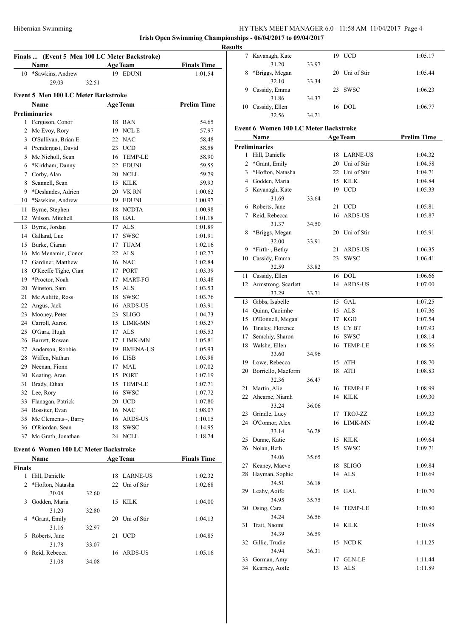Kavanagh, Kate 19 UCD 1:05.17

**Irish Open Swimming Championships - 06/04/2017 to 09/04/2017**

|                | Finals  (Event 5 Men 100 LC Meter Backstroke)<br>Name |       | <b>Age Team</b> | <b>Finals Time</b> |
|----------------|-------------------------------------------------------|-------|-----------------|--------------------|
|                | 10 *Sawkins, Andrew                                   |       | 19 EDUNI        | 1:01.54            |
|                | 29.03                                                 | 32.51 |                 |                    |
|                | Event 5 Men 100 LC Meter Backstroke                   |       |                 |                    |
|                | Name                                                  |       | Age Team        | <b>Prelim Time</b> |
|                | <b>Preliminaries</b>                                  |       |                 |                    |
|                | 1 Ferguson, Conor                                     |       | 18 BAN          | 54.65              |
|                | 2 Mc Evoy, Rory                                       |       | 19 NCL E        | 57.97              |
|                | 3 O'Sullivan, Brian E                                 |       | 22 NAC          | 58.48              |
|                | 4 Prendergast, David                                  |       | 23 UCD          | 58.58              |
|                | 5 Mc Nicholl, Sean                                    |       | 16 TEMP-LE      | 58.90              |
| 6              | *Kirkham, Danny                                       |       | 22 EDUNI        | 59.55              |
|                | 7 Corby, Alan                                         |       | 20 NCLL         | 59.79              |
| 8              | Scannell, Sean                                        |       | 15 KILK         | 59.93              |
| 9              | *Deslandes, Adrien                                    |       | 20 VK RN        | 1:00.62            |
| 10             | *Sawkins, Andrew                                      |       | 19 EDUNI        | 1:00.97            |
| 11             | Byrne, Stephen                                        |       | 18 NCDTA        | 1:00.98            |
| 12             | Wilson, Mitchell                                      |       | 18 GAL          | 1:01.18            |
| 13             | Byrne, Jordan                                         |       | 17 ALS          | 1:01.89            |
|                | 14 Galland, Luc                                       |       | 17 SWSC         | 1:01.91            |
|                | 15 Burke, Ciaran                                      |       | 17 TUAM         | 1:02.16            |
|                | 16 Mc Menamin, Conor                                  |       | 22 ALS          | 1:02.77            |
|                | 17 Gardiner, Matthew                                  |       | 16 NAC          | 1:02.84            |
|                | 18 O'Keeffe Tighe, Cian                               |       | 17 PORT         | 1:03.39            |
|                | 19 *Proctor, Noah                                     |       | 17 MART-FG      | 1:03.48            |
| 20             | Winston, Sam                                          |       | 15 ALS          | 1:03.53            |
| 21             | Mc Auliffe, Ross                                      |       | 18 SWSC         | 1:03.76            |
| 22             | Angus, Jack                                           |       | 16 ARDS-US      | 1:03.91            |
| 23             | Mooney, Peter                                         |       | 23 SLIGO        | 1:04.73            |
|                | 24 Carroll, Aaron                                     |       | 15 LIMK-MN      | 1:05.27            |
|                | 25 O'Gara, Hugh                                       |       | 17 ALS          | 1:05.53            |
|                | 26 Barrett, Rowan                                     |       | 17 LIMK-MN      | 1:05.81            |
|                | 27 Anderson, Robbie                                   |       | 19 BMENA-US     | 1:05.93            |
|                | 28 Wiffen, Nathan                                     |       | 16 LISB         | 1:05.98            |
| 29             | Neenan, Fionn                                         |       | 17 MAL          | 1:07.02            |
|                | 30 Keating, Aran                                      |       | 15 PORT         | 1:07.19            |
| 31             | Brady, Ethan                                          | 15    | <b>TEMP-LE</b>  | 1:07.71            |
| 32             | Lee, Rory                                             |       | 16 SWSC         | 1:07.72            |
| 33             | Flanagan, Patrick                                     |       | 20 UCD          | 1:07.80            |
|                | 34 Rossiter, Evan                                     |       | 16 NAC          | 1:08.07            |
|                | 35 Mc Clements~, Barry                                |       | 16 ARDS-US      | 1:10.15            |
|                | 36 O'Riordan, Sean                                    |       | 18 SWSC         | 1:14.95            |
| 37             | Mc Grath, Jonathan                                    |       | 24 NCLL         | 1:18.74            |
|                | <b>Event 6 Women 100 LC Meter Backstroke</b>          |       |                 |                    |
|                | Name                                                  |       | <b>Age Team</b> | <b>Finals Time</b> |
| <b>Finals</b>  | 1 Hill, Danielle                                      |       | 18 LARNE-US     | 1:02.32            |
| $\overline{2}$ | *Hofton, Natasha                                      |       | 22 Uni of Stir  | 1:02.68            |
|                | 30.08                                                 | 32.60 |                 |                    |
|                | 3 Godden, Maria                                       |       | 15 KILK         | 1:04.00            |
|                | 31.20                                                 | 32.80 |                 |                    |
| 4              | *Grant, Emily                                         |       | 20 Uni of Stir  | 1:04.13            |
|                | 31.16                                                 | 32.97 |                 |                    |
| 5              | Roberts, Jane                                         |       | 21 UCD          | 1:04.85            |
|                | 31.78                                                 | 33.07 |                 |                    |
| 6              | Reid, Rebecca                                         |       | 16 ARDS-US      | 1:05.16            |
|                | 31.08                                                 | 34.08 |                 |                    |
|                |                                                       |       |                 |                    |

|                                                                 | 31.20                 | 33.97 |    |                 |                    |  |  |  |  |  |  |  |
|-----------------------------------------------------------------|-----------------------|-------|----|-----------------|--------------------|--|--|--|--|--|--|--|
| 8                                                               | *Briggs, Megan        |       |    | 20 Uni of Stir  | 1:05.44            |  |  |  |  |  |  |  |
|                                                                 | 32.10                 | 33.34 |    |                 |                    |  |  |  |  |  |  |  |
| 9                                                               | Cassidy, Emma         |       | 23 | <b>SWSC</b>     | 1:06.23            |  |  |  |  |  |  |  |
|                                                                 | 31.86                 | 34.37 |    |                 |                    |  |  |  |  |  |  |  |
|                                                                 | 10 Cassidy, Ellen     |       |    | $16$ DOL        | 1:06.77            |  |  |  |  |  |  |  |
|                                                                 | 32.56                 | 34.21 |    |                 |                    |  |  |  |  |  |  |  |
|                                                                 |                       |       |    |                 |                    |  |  |  |  |  |  |  |
| <b>Event 6 Women 100 LC Meter Backstroke</b><br><b>Age Team</b> |                       |       |    |                 |                    |  |  |  |  |  |  |  |
|                                                                 | Name                  |       |    |                 | <b>Prelim Time</b> |  |  |  |  |  |  |  |
|                                                                 | <b>Preliminaries</b>  |       |    |                 |                    |  |  |  |  |  |  |  |
|                                                                 | 1 Hill, Danielle      |       | 18 | <b>LARNE-US</b> | 1:04.32            |  |  |  |  |  |  |  |
| 2                                                               | *Grant, Emily         |       |    | 20 Uni of Stir  | 1:04.58            |  |  |  |  |  |  |  |
|                                                                 | 3 *Hofton, Natasha    |       |    | 22 Uni of Stir  | 1:04.71            |  |  |  |  |  |  |  |
|                                                                 | 4 Godden, Maria       |       |    | 15 KILK         | 1:04.84            |  |  |  |  |  |  |  |
|                                                                 | 5 Kavanagh, Kate      |       | 19 | <b>UCD</b>      | 1:05.33            |  |  |  |  |  |  |  |
|                                                                 | 31.69                 | 33.64 |    |                 |                    |  |  |  |  |  |  |  |
|                                                                 | 6 Roberts, Jane       |       | 21 | <b>UCD</b>      | 1:05.81            |  |  |  |  |  |  |  |
| 7                                                               | Reid, Rebecca         |       | 16 | <b>ARDS-US</b>  | 1:05.87            |  |  |  |  |  |  |  |
|                                                                 | 31.37                 | 34.50 |    |                 |                    |  |  |  |  |  |  |  |
| 8                                                               | *Briggs, Megan        |       | 20 | Uni of Stir     | 1:05.91            |  |  |  |  |  |  |  |
|                                                                 | 32.00                 | 33.91 |    |                 |                    |  |  |  |  |  |  |  |
| 9.                                                              | *Firth~, Bethy        |       | 21 | <b>ARDS-US</b>  | 1:06.35            |  |  |  |  |  |  |  |
| 10                                                              | Cassidy, Emma         |       | 23 | <b>SWSC</b>     | 1:06.41            |  |  |  |  |  |  |  |
|                                                                 | 32.59                 | 33.82 |    |                 |                    |  |  |  |  |  |  |  |
| 11                                                              | Cassidy, Ellen        |       |    | 16 DOL          | 1:06.66            |  |  |  |  |  |  |  |
| 12                                                              | Armstrong, Scarlett   |       | 14 | <b>ARDS-US</b>  | 1:07.00            |  |  |  |  |  |  |  |
|                                                                 | 33.29                 | 33.71 |    |                 |                    |  |  |  |  |  |  |  |
|                                                                 | 13 Gibbs, Isabelle    |       |    | 15 GAL          | 1:07.25            |  |  |  |  |  |  |  |
|                                                                 | 14 Quinn, Caoimhe     |       |    | 15 ALS          | 1:07.36            |  |  |  |  |  |  |  |
|                                                                 | 15 O'Donnell, Megan   |       |    | 17 KGD          | 1:07.54            |  |  |  |  |  |  |  |
|                                                                 | 16 Tinsley, Florence  |       |    | 15 CYBT         | 1:07.93            |  |  |  |  |  |  |  |
| 17                                                              | Semchiy, Sharon       |       |    | 16 SWSC         | 1:08.14            |  |  |  |  |  |  |  |
| 18                                                              | Walshe, Ellen         |       | 16 | <b>TEMP-LE</b>  | 1:08.56            |  |  |  |  |  |  |  |
|                                                                 | 33.60                 | 34.96 |    |                 |                    |  |  |  |  |  |  |  |
|                                                                 | 19 Lowe, Rebecca      |       |    | 15 ATH          | 1:08.70            |  |  |  |  |  |  |  |
| 20                                                              | Borriello, Maeform    |       | 18 | <b>ATH</b>      | 1:08.83            |  |  |  |  |  |  |  |
|                                                                 | 32.36                 | 36.47 |    |                 |                    |  |  |  |  |  |  |  |
| 21                                                              | Martin, Alie          |       | 16 | <b>TEMP-LE</b>  | 1:08.99            |  |  |  |  |  |  |  |
| 22                                                              | Ahearne, Niamh        |       | 14 | <b>KILK</b>     | 1:09.30            |  |  |  |  |  |  |  |
|                                                                 | 33.24                 | 36.06 |    |                 |                    |  |  |  |  |  |  |  |
| 23                                                              | Grindle, Lucy         |       | 17 | <b>TROJ-ZZ</b>  | 1:09.33            |  |  |  |  |  |  |  |
| 24                                                              | O'Connor, Alex        |       | 16 | LIMK-MN         | 1:09.42            |  |  |  |  |  |  |  |
|                                                                 | 33.14                 | 36.28 |    |                 |                    |  |  |  |  |  |  |  |
| 25                                                              | Dunne, Katie          |       | 15 | KILK            | 1:09.64            |  |  |  |  |  |  |  |
| 26                                                              | Nolan, Beth           |       | 15 | <b>SWSC</b>     | 1:09.71            |  |  |  |  |  |  |  |
|                                                                 | 34.06                 | 35.65 |    |                 |                    |  |  |  |  |  |  |  |
| 27                                                              | Keaney, Maeve         |       | 18 | <b>SLIGO</b>    | 1:09.84            |  |  |  |  |  |  |  |
| 28                                                              | Hayman, Sophie        |       | 14 | <b>ALS</b>      | 1:10.69            |  |  |  |  |  |  |  |
|                                                                 | 34.51                 | 36.18 |    |                 |                    |  |  |  |  |  |  |  |
| 29                                                              | Leahy, Aoife          |       | 15 | GAL             | 1:10.70            |  |  |  |  |  |  |  |
|                                                                 | 34.95                 | 35.75 |    |                 |                    |  |  |  |  |  |  |  |
| 30                                                              | Osing, Cara           |       | 14 | <b>TEMP-LE</b>  | 1:10.80            |  |  |  |  |  |  |  |
|                                                                 | 34.24                 | 36.56 |    |                 |                    |  |  |  |  |  |  |  |
| 31                                                              | Trait, Naomi<br>34.39 |       | 14 | KILK            | 1:10.98            |  |  |  |  |  |  |  |
| 32                                                              | Gillic, Trudie        | 36.59 | 15 | NCD K           |                    |  |  |  |  |  |  |  |
|                                                                 | 34.94                 |       |    |                 | 1:11.25            |  |  |  |  |  |  |  |
| 33                                                              | Gorman, Amy           | 36.31 | 17 | <b>GLN-LE</b>   | 1:11.44            |  |  |  |  |  |  |  |
|                                                                 |                       |       |    |                 |                    |  |  |  |  |  |  |  |

Kearney, Aoife 13 ALS 1:11.89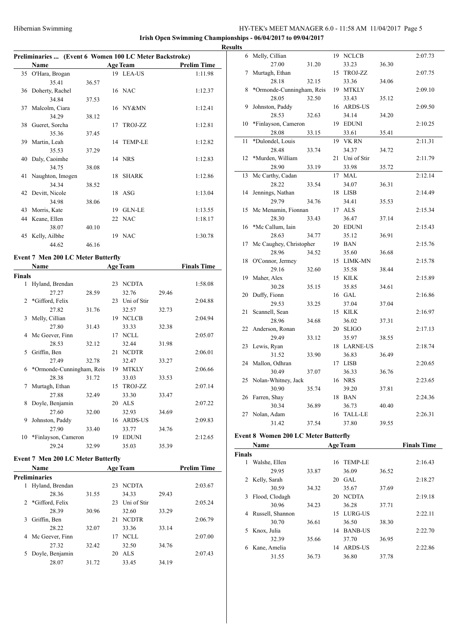**Irish Open Swimming Championships - 06/04/2017 to 09/04/2017**

# **Preliminaries ... (Event 6 Women 100 LC Meter Backstroke)**

|    | Name               |       |    | <b>Age Team</b> | <b>Prelim Time</b> |
|----|--------------------|-------|----|-----------------|--------------------|
|    | 35 O'Hara, Brogan  |       |    | 19 LEA-US       | 1:11.98            |
|    | 35.41              | 36.57 |    |                 |                    |
|    | 36 Doherty, Rachel |       |    | 16 NAC          | 1:12.37            |
|    | 34.84              | 37.53 |    |                 |                    |
| 37 | Malcolm, Ciara     |       |    | 16 NY&MN        | 1:12.41            |
|    | 34.29              | 38.12 |    |                 |                    |
| 38 | Gueret, Sorcha     |       |    | 17 TROJ-ZZ      | 1:12.81            |
|    | 35.36              | 37.45 |    |                 |                    |
| 39 | Martin, Leah       |       |    | 14 TEMP-LE      | 1:12.82            |
|    | 35.53              | 37.29 |    |                 |                    |
| 40 | Daly, Caoimhe      |       |    | 14 NRS          | 1:12.83            |
|    | 34.75              | 38.08 |    |                 |                    |
| 41 | Naughton, Imogen   |       | 18 | <b>SHARK</b>    | 1:12.86            |
|    | 34.34              | 38.52 |    |                 |                    |
|    | 42 Devitt, Nicole  |       |    | 18 ASG          | 1:13.04            |
|    | 34.98              | 38.06 |    |                 |                    |
| 43 | Morris, Kate       |       | 19 | <b>GLN-LE</b>   | 1:13.55            |
| 44 | Keane, Ellen       |       |    | 22 NAC          | 1:18.17            |
|    | 38.07              | 40.10 |    |                 |                    |
| 45 | Kelly, Ailbhe      |       |    | 19 NAC          | 1:30.78            |
|    | 44.62              | 46.16 |    |                 |                    |

# **Event 7 Men 200 LC Meter Butterfly**

|               | Name                      |       |    | <b>Age Team</b> |       | <b>Finals Time</b> |
|---------------|---------------------------|-------|----|-----------------|-------|--------------------|
| <b>Finals</b> |                           |       |    |                 |       |                    |
| 1             | Hyland, Brendan           |       | 23 | <b>NCDTA</b>    |       | 1:58.08            |
|               | 27.27                     | 28.59 |    | 32.76           | 29.46 |                    |
| 2             | *Gifford, Felix           |       | 23 | Uni of Stir     |       | 2:04.88            |
|               | 27.82                     | 31.76 |    | 32.57           | 32.73 |                    |
| 3             | Melly, Cillian            |       | 19 | <b>NCLCB</b>    |       | 2:04.94            |
|               | 27.80                     | 31.43 |    | 33.33           | 32.38 |                    |
|               | 4 Mc Geever, Finn         |       | 17 | <b>NCLL</b>     |       | 2:05.07            |
|               | 28.53                     | 32.12 |    | 32.44           | 31.98 |                    |
| 5.            | Griffin, Ben              |       | 21 | <b>NCDTR</b>    |       | 2:06.01            |
|               | 27.49                     | 32.78 |    | 32.47           | 33.27 |                    |
| 6             | *Ormonde-Cunningham, Reis |       | 19 | <b>MTKLY</b>    |       | 2:06.66            |
|               | 28.38                     | 31.72 |    | 33.03           | 33.53 |                    |
| 7             | Murtagh, Ethan            |       | 15 | TROJ-ZZ         |       | 2:07.14            |
|               | 27.88                     | 32.49 |    | 33.30           | 33.47 |                    |
| 8             | Doyle, Benjamin           |       | 20 | <b>ALS</b>      |       | 2:07.22            |
|               | 27.60                     | 32.00 |    | 32.93           | 34.69 |                    |
| 9             | Johnston, Paddy           |       | 16 | <b>ARDS-US</b>  |       | 2:09.83            |
|               | 27.90                     | 33.40 |    | 33.77           | 34.76 |                    |
| 10            | *Finlayson, Cameron       |       | 19 | <b>EDUNI</b>    |       | 2:12.65            |
|               | 29.24                     | 32.99 |    | 35.03           | 35.39 |                    |

# **Event 7 Men 200 LC Meter Butterfly**

|    | <b>Name</b>          |       |    | <b>Age Team</b> |       | <b>Prelim Time</b> |
|----|----------------------|-------|----|-----------------|-------|--------------------|
|    | <b>Preliminaries</b> |       |    |                 |       |                    |
| 1  | Hyland, Brendan      |       | 23 | <b>NCDTA</b>    |       | 2:03.67            |
|    | 28.36                | 31.55 |    | 34.33           | 29.43 |                    |
|    | 2 *Gifford, Felix    |       | 23 | Uni of Stir     |       | 2:05.24            |
|    | 28.39                | 30.96 |    | 32.60           | 33.29 |                    |
| 3  | Griffin, Ben         |       | 21 | <b>NCDTR</b>    |       | 2:06.79            |
|    | 28.22                | 32.07 |    | 33.36           | 33.14 |                    |
|    | 4 Mc Geever, Finn    |       | 17 | NCLL            |       | 2:07.00            |
|    | 27.32                | 32.42 |    | 32.50           | 34.76 |                    |
| 5. | Doyle, Benjamin      |       | 20 | ALS             |       | 2:07.43            |
|    | 28.07                | 31.72 |    | 33.45           | 34.19 |                    |

| <b>Results</b> |                           |       |    |             |       |         |
|----------------|---------------------------|-------|----|-------------|-------|---------|
| 6              | Melly, Cillian            |       |    | 19 NCLCB    |       | 2:07.73 |
|                | 27.00                     | 31.20 |    | 33.23       | 36.30 |         |
| 7              | Murtagh, Ethan            |       |    | 15 TROJ-ZZ  |       | 2:07.75 |
|                | 28.18                     | 32.15 |    | 33.36       | 34.06 |         |
| 8              | *Ormonde-Cunningham, Reis |       |    | 19 MTKLY    |       | 2:09.10 |
|                | 28.05                     | 32.50 |    | 33.43       | 35.12 |         |
| 9              | Johnston, Paddy           |       |    | 16 ARDS-US  |       | 2:09.50 |
|                | 28.53                     | 32.63 |    | 34.14       | 34.20 |         |
| 10             | *Finlayson, Cameron       |       |    | 19 EDUNI    |       | 2:10.25 |
|                | 28.08                     | 33.15 |    | 33.61       | 35.41 |         |
| 11             | *Dulondel, Louis          |       |    | 19 VK RN    |       | 2:11.31 |
|                | 28.48                     | 33.74 |    | 34.37       | 34.72 |         |
| 12             | *Murden, William          |       | 21 | Uni of Stir |       | 2:11.79 |
|                | 28.90                     | 33.19 |    | 33.98       | 35.72 |         |
| 13             | Mc Carthy, Cadan          |       | 17 | MAL         |       | 2:12.14 |
|                | 28.22                     | 33.54 |    | 34.07       | 36.31 |         |
| 14             | Jennings, Nathan          |       |    | 18 LISB     |       | 2:14.49 |
|                | 29.79                     | 34.76 |    | 34.41       | 35.53 |         |
| 15             | Mc Menamin, Fionnan       |       |    | 17 ALS      |       | 2:15.34 |
|                | 28.30                     | 33.43 |    | 36.47       | 37.14 |         |
| 16             | *Mc Callum, Iain          |       |    | 20 EDUNI    |       | 2:15.43 |
|                | 28.63                     | 34.77 |    | 35.12       | 36.91 |         |
| 17             | Mc Caughey, Christopher   |       |    | 19 BAN      |       | 2:15.76 |
|                | 28.96                     | 34.52 |    | 35.60       | 36.68 |         |
| 18             | O'Connor, Jermey          |       |    | 15 LIMK-MN  |       | 2:15.78 |
|                | 29.16                     | 32.60 |    | 35.58       | 38.44 |         |
| 19             | Maher, Alex               |       |    | 15 KILK     |       | 2:15.89 |
|                | 30.28                     | 35.15 |    | 35.85       | 34.61 |         |
| 20             | Duffy, Fionn              |       |    | 16 GAL      |       | 2:16.86 |
|                | 29.53                     | 33.25 |    | 37.04       | 37.04 |         |
| 21             | Scannell, Sean            |       |    | 15 KILK     |       | 2:16.97 |
|                | 28.96                     | 34.68 |    | 36.02       | 37.31 |         |
| 22             | Anderson, Ronan           |       |    | 20 SLIGO    |       | 2:17.13 |
|                | 29.49                     | 33.12 |    | 35.97       | 38.55 |         |
| 23             | Lewis, Ryan               |       |    | 18 LARNE-US |       | 2:18.74 |
|                | 31.52                     | 33.90 |    | 36.83       | 36.49 |         |
|                | 24 Mallon, Odhran         |       |    | 17 LISB     |       | 2:20.65 |
|                | 30.49                     | 37.07 |    | 36.33       | 36.76 |         |
| 25             | Nolan-Whitney, Jack       |       |    | 16 NRS      |       | 2:23.65 |
|                | 30.90                     | 35.74 |    | 39.20       | 37.81 |         |
| 26             | Farren, Shay              |       |    | 18 BAN      |       | 2:24.36 |
|                | 30.34                     | 36.89 |    | 36.73       | 40.40 |         |
| 27             | Nolan, Adam               |       |    | 16 TALL-LE  |       | 2:26.31 |
|                | 31.42                     | 37.54 |    | 37.80       | 39.55 |         |

# **Event 8 Women 200 LC Meter Butterfly**

|               | Name             |       |    | <b>Age Team</b> |       | <b>Finals Time</b> |
|---------------|------------------|-------|----|-----------------|-------|--------------------|
| <b>Finals</b> |                  |       |    |                 |       |                    |
| 1             | Walshe, Ellen    |       | 16 | TEMP-LE         |       | 2:16.43            |
|               | 29.95            | 33.87 |    | 36.09           | 36.52 |                    |
| 2             | Kelly, Sarah     |       | 20 | GAL             |       | 2:18.27            |
|               | 30.59            | 34.32 |    | 35.67           | 37.69 |                    |
| 3             | Flood, Clodagh   |       | 20 | <b>NCDTA</b>    |       | 2:19.18            |
|               | 30.96            | 34.23 |    | 36.28           | 37.71 |                    |
| 4             | Russell, Shannon |       | 15 | LURG-US         |       | 2:22.11            |
|               | 30.70            | 36.61 |    | 36.50           | 38.30 |                    |
| 5.            | Knox, Julia      |       | 14 | <b>BANB-US</b>  |       | 2:22.70            |
|               | 32.39            | 35.66 |    | 37.70           | 36.95 |                    |
| 6             | Kane, Amelia     |       | 14 | <b>ARDS-US</b>  |       | 2:22.86            |
|               | 31.55            | 36.73 |    | 36.80           | 37.78 |                    |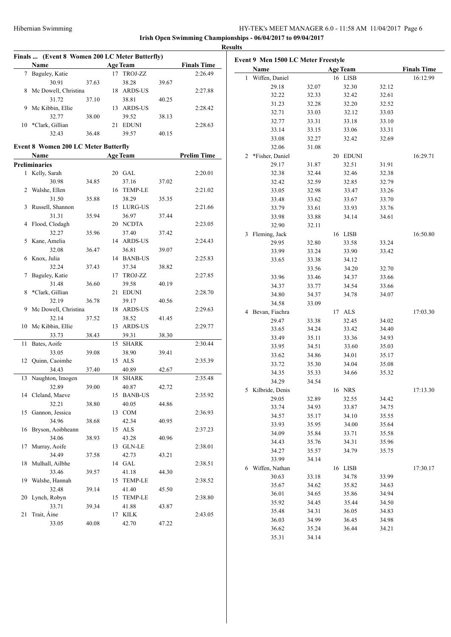| Finals  (Event 8 Women 200 LC Meter Butterfly)<br>Name |       | <b>Age Team</b> |       | <b>Finals Time</b> | Event 9 Men 1500 LC Meter Freestyle |       |                 |       |                    |
|--------------------------------------------------------|-------|-----------------|-------|--------------------|-------------------------------------|-------|-----------------|-------|--------------------|
| 7 Baguley, Katie                                       |       | 17 TROJ-ZZ      |       | 2:26.49            | Name                                |       | <b>Age Team</b> |       | <b>Finals Time</b> |
|                                                        |       |                 |       |                    | 1 Wiffen, Daniel                    |       | 16 LISB         |       | 16:12.99           |
| 30.91                                                  | 37.63 | 38.28           | 39.67 |                    | 29.18                               | 32.07 | 32.30           | 32.12 |                    |
| 8 Mc Dowell, Christina                                 |       | 18 ARDS-US      |       | 2:27.88            | 32.22                               | 32.33 | 32.42           | 32.61 |                    |
| 31.72                                                  | 37.10 | 38.81           | 40.25 |                    | 31.23                               | 32.28 | 32.20           | 32.52 |                    |
| 9 Mc Kibbin, Ellie                                     |       | 13 ARDS-US      |       | 2:28.42            | 32.71                               | 33.03 | 32.12           | 33.03 |                    |
| 32.77                                                  | 38.00 | 39.52           | 38.13 |                    | 32.77                               | 33.31 | 33.18           | 33.10 |                    |
| 10 *Clark, Gillian                                     |       | 21 EDUNI        |       | 2:28.63            | 33.14                               | 33.15 | 33.06           | 33.31 |                    |
| 32.43                                                  | 36.48 | 39.57           | 40.15 |                    | 33.08                               | 32.27 | 32.42           | 32.69 |                    |
| <b>Event 8 Women 200 LC Meter Butterfly</b>            |       |                 |       |                    | 32.06                               | 31.08 |                 |       |                    |
| Name                                                   |       | <b>Age Team</b> |       | <b>Prelim Time</b> | 2 *Fisher, Daniel                   |       | 20 EDUNI        |       | 16:29.71           |
| <b>Preliminaries</b>                                   |       |                 |       |                    | 29.17                               | 31.87 | 32.51           | 31.91 |                    |
| 1 Kelly, Sarah                                         |       | 20 GAL          |       | 2:20.01            | 32.38                               | 32.44 | 32.46           | 32.38 |                    |
| 30.98                                                  |       | 37.16           |       |                    |                                     |       |                 |       |                    |
|                                                        | 34.85 |                 | 37.02 |                    | 32.42                               | 32.59 | 32.85           | 32.79 |                    |
| 2 Walshe, Ellen                                        |       | 16 TEMP-LE      |       | 2:21.02            | 33.05                               | 32.98 | 33.47           | 33.26 |                    |
| 31.50                                                  | 35.88 | 38.29           | 35.35 |                    | 33.48                               | 33.62 | 33.67           | 33.70 |                    |
| 3 Russell, Shannon                                     |       | 15 LURG-US      |       | 2:21.66            | 33.79                               | 33.61 | 33.93           | 33.76 |                    |
| 31.31                                                  | 35.94 | 36.97           | 37.44 |                    | 33.98                               | 33.88 | 34.14           | 34.61 |                    |
| 4 Flood, Clodagh                                       |       | 20 NCDTA        |       | 2:23.05            | 32.90                               | 32.11 |                 |       |                    |
| 32.27                                                  | 35.96 | 37.40           | 37.42 |                    | 3 Fleming, Jack                     |       | 16 LISB         |       | 16:50.80           |
| 5 Kane, Amelia                                         |       | 14 ARDS-US      |       | 2:24.43            | 29.95                               | 32.80 | 33.58           | 33.24 |                    |
| 32.08                                                  | 36.47 | 36.81           | 39.07 |                    | 33.99                               | 33.24 | 33.90           | 33.42 |                    |
| 6 Knox, Julia                                          |       | 14 BANB-US      |       | 2:25.83            | 33.65                               | 33.38 | 34.12           |       |                    |
| 32.24                                                  | 37.43 | 37.34           | 38.82 |                    |                                     | 33.56 | 34.20           | 32.70 |                    |
| 7 Baguley, Katie                                       |       | 17 TROJ-ZZ      |       | 2:27.85            | 33.96                               | 33.46 | 34.37           | 33.66 |                    |
| 31.48                                                  | 36.60 | 39.58           | 40.19 |                    | 34.37                               | 33.77 | 34.54           | 33.66 |                    |
| 8 *Clark, Gillian                                      |       | 21 EDUNI        |       | 2:28.70            | 34.80                               | 34.37 | 34.78           | 34.07 |                    |
| 32.19                                                  | 36.78 | 39.17           | 40.56 |                    | 34.58                               | 33.09 |                 |       |                    |
| 9 Mc Dowell, Christina                                 |       | 18 ARDS-US      |       | 2:29.63            | 4 Bevan, Fiachra                    |       | 17 ALS          |       | 17:03.30           |
| 32.14                                                  | 37.52 | 38.52           | 41.45 |                    | 29.47                               | 33.38 | 32.45           | 34.02 |                    |
| 10 Mc Kibbin, Ellie                                    |       | 13 ARDS-US      |       | 2:29.77            | 33.65                               | 34.24 | 33.42           | 34.40 |                    |
| 33.73                                                  | 38.43 | 39.31           | 38.30 |                    | 33.49                               | 35.11 | 33.36           | 34.93 |                    |
| 11 Bates, Aoife                                        |       | 15 SHARK        |       | 2:30.44            | 33.95                               | 34.51 | 33.60           | 35.03 |                    |
| 33.05                                                  | 39.08 | 38.90           | 39.41 |                    | 33.62                               | 34.86 | 34.01           | 35.17 |                    |
| 12 Quinn, Caoimhe                                      |       | 15 ALS          |       | 2:35.39            | 33.72                               | 35.30 | 34.04           | 35.08 |                    |
| 34.43                                                  | 37.40 | 40.89           | 42.67 |                    | 34.35                               | 35.33 | 34.66           | 35.32 |                    |
| 13 Naughton, Imogen                                    |       | 18 SHARK        |       | 2:35.48            | 34.29                               | 34.54 |                 |       |                    |
| 32.89                                                  | 39.00 | 40.87           | 42.72 |                    |                                     |       |                 |       |                    |
| 14 Cleland, Maeve                                      |       | 15 BANB-US      |       | 2:35.92            | 5 Kilbride, Denis                   |       | 16 NRS          |       | 17:13.30           |
| 32.21                                                  | 38.80 | 40.05           | 44.86 |                    | 29.05                               | 32.89 | 32.55           | 34.42 |                    |
| 15 Gannon, Jessica                                     |       | 13 COM          |       | 2:36.93            | 33.74                               | 34.93 | 33.87           | 34.75 |                    |
| 34.96                                                  | 38.68 | 42.34           | 40.95 |                    | 34.57                               | 35.17 | 34.10           | 35.55 |                    |
| 16 Bryson, Aoibheann                                   |       | 15 ALS          |       | 2:37.23            | 33.93                               | 35.95 | 34.00           | 35.64 |                    |
| 34.06                                                  | 38.93 | 43.28           | 40.96 |                    | 34.09                               | 35.84 | 33.71           | 35.58 |                    |
| 17 Murray, Aoife                                       |       | 13 GLN-LE       |       | 2:38.01            | 34.43                               | 35.76 | 34.31           | 35.96 |                    |
| 34.49                                                  | 37.58 | 42.73           | 43.21 |                    | 34.27                               | 35.57 | 34.79           | 35.75 |                    |
| 18 Mulhall, Ailbhe                                     |       | 14 GAL          |       | 2:38.51            | 33.99                               | 34.14 |                 |       |                    |
| 33.46                                                  | 39.57 | 41.18           | 44.30 |                    | 6 Wiffen, Nathan                    |       | 16 LISB         |       | 17:30.17           |
| 19 Walshe, Hannah                                      |       | 15 TEMP-LE      |       | 2:38.52            | 30.63                               | 33.18 | 34.78           | 33.99 |                    |
| 32.48                                                  | 39.14 | 41.40           | 45.50 |                    | 35.67                               | 34.62 | 35.82           | 34.63 |                    |
| 20 Lynch, Robyn                                        |       | 15 TEMP-LE      |       | 2:38.80            | 36.01                               | 34.65 | 35.86           | 34.94 |                    |
| 33.71                                                  | 39.34 | 41.88           | 43.87 |                    | 35.92                               | 34.45 | 35.44           | 34.50 |                    |
|                                                        |       |                 |       |                    | 35.48                               | 34.31 | 36.05           | 34.83 |                    |
| 21 Trait, Aine                                         |       | 17 KILK         |       | 2:43.05            | 36.03                               | 34.99 | 36.45           | 34.98 |                    |
| 33.05                                                  | 40.08 | 42.70           | 47.22 |                    | 36.62                               | 35.24 | 36.44           | 34.21 |                    |
|                                                        |       |                 |       |                    | 35.31                               | 34.14 |                 |       |                    |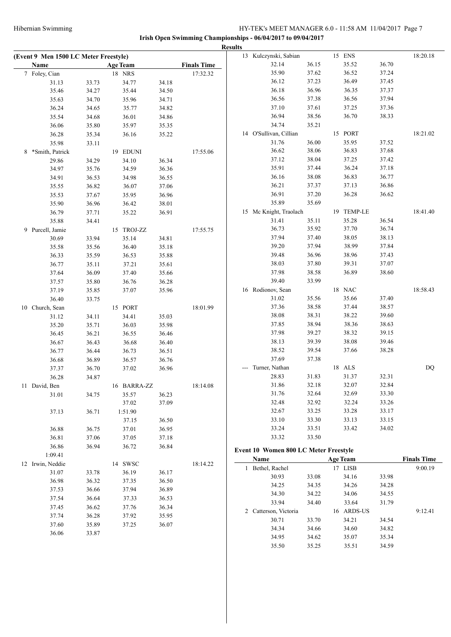|                                       |                |                 |                |                    | <b>Results</b> |                                       |                |                 |                |                    |
|---------------------------------------|----------------|-----------------|----------------|--------------------|----------------|---------------------------------------|----------------|-----------------|----------------|--------------------|
| (Event 9 Men 1500 LC Meter Freestyle) |                |                 |                |                    |                | 13 Kulczynski, Sabian                 |                | 15 ENS          |                | 18:20.18           |
| Name                                  |                | <b>Age Team</b> |                | <b>Finals Time</b> |                | 32.14                                 | 36.15          | 35.52           | 36.70          |                    |
| 7 Foley, Cian                         |                | 18 NRS          |                | 17:32.32           |                | 35.90                                 | 37.62          | 36.52           | 37.24          |                    |
| 31.13                                 | 33.73          | 34.77           | 34.18          |                    |                | 36.12                                 | 37.23          | 36.49           | 37.45          |                    |
| 35.46                                 | 34.27          | 35.44           | 34.50          |                    |                | 36.18                                 | 36.96          | 36.35           | 37.37          |                    |
| 35.63                                 | 34.70          | 35.96           | 34.71          |                    |                | 36.56                                 | 37.38          | 36.56           | 37.94          |                    |
| 36.24                                 | 34.65          | 35.77           | 34.82          |                    |                | 37.10                                 | 37.61          | 37.25           | 37.36          |                    |
| 35.54                                 | 34.68          | 36.01           | 34.86          |                    |                | 36.94                                 | 38.56          | 36.70           | 38.33          |                    |
| 36.06                                 | 35.80          | 35.97           | 35.35          |                    |                | 34.74                                 | 35.21          |                 |                |                    |
| 36.28                                 | 35.34          | 36.16           | 35.22          |                    |                | 14 O'Sullivan, Cillian                |                | 15 PORT         |                | 18:21.02           |
| 35.98                                 | 33.11          |                 |                |                    |                | 31.76                                 | 36.00          | 35.95           | 37.52          |                    |
| 8 *Smith, Patrick                     |                | 19 EDUNI        |                | 17:55.06           |                | 36.62                                 | 38.06          | 36.83           | 37.68          |                    |
| 29.86                                 | 34.29          | 34.10           | 36.34          |                    |                | 37.12                                 | 38.04          | 37.25           | 37.42          |                    |
| 34.97                                 | 35.76          | 34.59           | 36.36          |                    |                | 35.91                                 | 37.44          | 36.24           | 37.18          |                    |
| 34.91                                 | 36.53          | 34.98           | 36.55          |                    |                | 36.16                                 | 38.08          | 36.83           | 36.77          |                    |
| 35.55                                 | 36.82          | 36.07           | 37.06          |                    |                | 36.21                                 | 37.37          | 37.13           | 36.86          |                    |
| 35.53                                 | 37.67          | 35.95           | 36.96          |                    |                | 36.91                                 | 37.20          | 36.28           | 36.62          |                    |
| 35.90                                 | 36.96          | 36.42           | 38.01          |                    |                | 35.89                                 | 35.69          |                 |                |                    |
| 36.79                                 | 37.71          | 35.22           | 36.91          |                    |                | 15 Mc Knight, Traolach                |                | 19 TEMP-LE      |                | 18:41.40           |
| 35.88                                 | 34.41          |                 |                |                    |                | 31.41                                 | 35.11          | 35.28           | 36.54          |                    |
| 9 Purcell, Jamie                      |                | 15 TROJ-ZZ      |                | 17:55.75           |                | 36.73                                 | 35.92          | 37.70           | 36.74          |                    |
| 30.69                                 | 33.94          | 35.14           | 34.81          |                    |                | 37.94                                 | 37.40          | 38.05           | 38.13          |                    |
| 35.58                                 | 35.56          | 36.40           | 35.18          |                    |                | 39.20                                 | 37.94          | 38.99           | 37.84          |                    |
| 36.33                                 | 35.59          | 36.53           | 35.88          |                    |                | 39.48                                 | 36.96          | 38.96           | 37.43          |                    |
| 36.77                                 | 35.11          | 37.21           | 35.61          |                    |                | 38.03                                 | 37.80          | 39.31           | 37.07          |                    |
| 37.64                                 | 36.09          | 37.40           | 35.66          |                    |                | 37.98                                 | 38.58          | 36.89           | 38.60          |                    |
| 37.57                                 | 35.80          | 36.76           | 36.28          |                    |                | 39.40                                 | 33.99          |                 |                |                    |
| 37.19                                 | 35.85          | 37.07           | 35.96          |                    |                | 16 Rodionov, Sean                     |                | 18 NAC          |                | 18:58.43           |
| 36.40                                 | 33.75          |                 |                |                    |                | 31.02                                 | 35.56          | 35.66           | 37.40          |                    |
| 10 Church, Sean                       |                | 15 PORT         |                | 18:01.99           |                | 37.36                                 | 38.58          | 37.44           | 38.57          |                    |
| 31.12                                 | 34.11          | 34.41           | 35.03          |                    |                | 38.08                                 | 38.31          | 38.22           | 39.60          |                    |
| 35.20                                 | 35.71          | 36.03           | 35.98          |                    |                | 37.85                                 | 38.94          | 38.36           | 38.63          |                    |
| 36.45                                 | 36.21          | 36.55           | 36.46          |                    |                | 37.98                                 | 39.27          | 38.32           | 39.15          |                    |
| 36.67                                 | 36.43          | 36.68           | 36.40          |                    |                | 38.13                                 | 39.39          | 38.08           | 39.46          |                    |
| 36.77                                 | 36.44          | 36.73           | 36.51          |                    |                | 38.52                                 | 39.54          | 37.66           | 38.28          |                    |
| 36.68                                 | 36.89          | 36.57           | 36.76          |                    |                | 37.69                                 | 37.38          |                 |                |                    |
| 37.37                                 | 36.70          | 37.02           | 36.96          |                    |                | --- Turner, Nathan                    |                | 18 ALS          |                | DQ                 |
| 36.28                                 | 34.87          |                 |                |                    |                | 28.83                                 | 31.83          | 31.37           | 32.31          |                    |
| 11 David, Ben                         |                | 16 BARRA-ZZ     |                | 18:14.08           |                | 31.86                                 | 32.18          | 32.07           | 32.84          |                    |
| 31.01                                 | 34.75          | 35.57           | 36.23          |                    |                | 31.76<br>32.48                        | 32.64          | 32.69           | 33.30          |                    |
|                                       |                | 37.02           | 37.09          |                    |                | 32.67                                 | 32.92<br>33.25 | 32.24<br>33.28  | 33.26<br>33.17 |                    |
| 37.13                                 | 36.71          | 1:51.90         |                |                    |                | 33.10                                 | 33.30          | 33.13           | 33.15          |                    |
|                                       |                | 37.15           | 36.50          |                    |                | 33.24                                 |                | 33.42           | 34.02          |                    |
| 36.88                                 | 36.75          | 37.01           | 36.95          |                    |                | 33.32                                 | 33.51<br>33.50 |                 |                |                    |
| 36.81                                 | 37.06          | 37.05           | 37.18          |                    |                |                                       |                |                 |                |                    |
| 36.86                                 | 36.94          | 36.72           | 36.84          |                    |                | Event 10 Women 800 LC Meter Freestyle |                |                 |                |                    |
| 1:09.41                               |                |                 |                |                    |                | Name                                  |                | <b>Age Team</b> |                | <b>Finals Time</b> |
| 12 Irwin, Neddie                      |                | 14 SWSC         |                | 18:14.22           |                | 1 Bethel, Rachel                      |                | 17 LISB         |                | 9:00.19            |
| 31.07                                 | 33.78          | 36.19           | 36.17          |                    |                | 30.93                                 | 33.08          | 34.16           | 33.98          |                    |
| 36.98<br>37.53                        | 36.32<br>36.66 | 37.35           | 36.50<br>36.89 |                    |                | 34.25                                 | 34.35          | 34.26           | 34.28          |                    |
| 37.54                                 | 36.64          | 37.94           | 36.53          |                    |                | 34.30                                 | 34.22          | 34.06           | 34.55          |                    |
|                                       |                | 37.33           |                |                    |                | 33.94                                 | 34.40          | 33.64           | 31.79          |                    |
| 37.45                                 | 36.62          | 37.76           | 36.34          |                    |                | 2 Catterson, Victoria                 |                | 16 ARDS-US      |                | 9:12.41            |
| 37.74<br>37.60                        | 36.28          | 37.92           | 35.95          |                    |                | 30.71                                 | 33.70          | 34.21           | 34.54          |                    |
|                                       | 35.89          | 37.25           | 36.07          |                    |                | 34.34                                 | 34.66          | 34.60           | 34.82          |                    |
| 36.06                                 | 33.87          |                 |                |                    |                | 34.95                                 | 34.62          | 35.07           | 35.34          |                    |
|                                       |                |                 |                |                    |                | 35.50                                 | 35.25          | 35.51           | 34.59          |                    |
|                                       |                |                 |                |                    |                |                                       |                |                 |                |                    |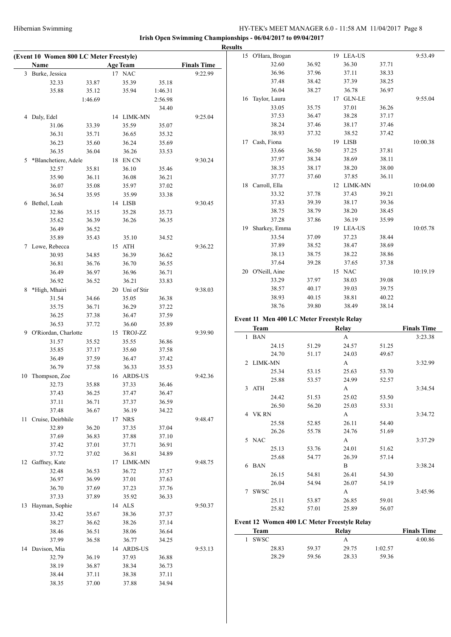|                                         |                |                 |                |                    | <b>Results</b> |                                             |                |                |                |                    |
|-----------------------------------------|----------------|-----------------|----------------|--------------------|----------------|---------------------------------------------|----------------|----------------|----------------|--------------------|
| (Event 10 Women 800 LC Meter Freestyle) |                |                 |                |                    |                | 15 O'Hara, Brogan                           |                | 19 LEA-US      |                | 9:53.49            |
| Name                                    |                | <b>Age Team</b> |                | <b>Finals Time</b> |                | 32.60                                       | 36.92          | 36.30          | 37.71          |                    |
| 3 Burke, Jessica                        |                | 17 NAC          |                | 9:22.99            |                | 36.96                                       | 37.96          | 37.11          | 38.33          |                    |
| 32.33                                   | 33.87          | 35.39           | 35.18          |                    |                | 37.48                                       | 38.42          | 37.39          | 38.25          |                    |
| 35.88                                   | 35.12          | 35.94           | 1:46.31        |                    |                | 36.04                                       | 38.27          | 36.78          | 36.97          |                    |
|                                         | 1:46.69        |                 | 2:56.98        |                    |                | 16 Taylor, Laura                            |                | 17 GLN-LE      |                | 9:55.04            |
|                                         |                |                 | 34.40          |                    |                | 33.05                                       | 35.75          | 37.01          | 36.26          |                    |
| 4 Daly, Edel                            |                | 14 LIMK-MN      |                | 9:25.04            |                | 37.53                                       | 36.47          | 38.28          | 37.17          |                    |
| 31.06                                   | 33.39          | 35.59           | 35.07          |                    |                | 38.24                                       | 37.46          | 38.17          | 37.46          |                    |
| 36.31                                   | 35.71          | 36.65           | 35.32          |                    |                | 38.93                                       | 37.32          | 38.52          | 37.42          |                    |
| 36.23                                   | 35.60          | 36.24           | 35.69          |                    |                | 17 Cash, Fiona                              |                | 19 LISB        |                | 10:00.38           |
| 36.35                                   | 36.04          | 36.26           | 33.53          |                    |                | 33.66                                       | 36.50          | 37.25          | 37.81          |                    |
| 5 *Blanchetiere, Adele                  |                | 18 EN CN        |                | 9:30.24            |                | 37.97                                       | 38.34          | 38.69          | 38.11          |                    |
| 32.57                                   | 35.81          | 36.10           | 35.46          |                    |                | 38.35                                       | 38.17          | 38.20          | 38.00          |                    |
| 35.90                                   | 36.11          | 36.08           | 36.21          |                    |                | 37.77                                       | 37.60          | 37.85          | 36.11          |                    |
| 36.07                                   | 35.08          | 35.97           | 37.02          |                    |                | 18 Carroll, Ella                            |                | 12 LIMK-MN     |                | 10:04.00           |
| 36.54                                   | 35.95          | 35.99           | 33.38          |                    |                | 33.32<br>37.83                              | 37.78<br>39.39 | 37.43<br>38.17 | 39.21<br>39.36 |                    |
| 6 Bethel, Leah                          |                | 14 LISB         |                | 9:30.45            |                | 38.75                                       | 38.79          | 38.20          | 38.45          |                    |
| 32.86                                   | 35.15          | 35.28           | 35.73          |                    |                | 37.28                                       | 37.86          | 36.19          | 35.99          |                    |
| 35.62                                   | 36.39          | 36.26           | 36.35          |                    |                | 19 Sharkey, Emma                            |                | 19 LEA-US      |                | 10:05.78           |
| 36.49                                   | 36.52          |                 |                |                    |                | 33.54                                       | 37.09          | 37.23          | 38.44          |                    |
| 35.89                                   | 35.43          | 35.10           | 34.52          |                    |                | 37.89                                       | 38.52          | 38.47          | 38.69          |                    |
| 7 Lowe, Rebecca                         |                | 15 ATH          |                | 9:36.22            |                | 38.13                                       | 38.75          | 38.22          | 38.86          |                    |
| 30.93<br>36.81                          | 34.85<br>36.76 | 36.39<br>36.70  | 36.62<br>36.55 |                    |                | 37.64                                       | 39.28          | 37.65          | 37.38          |                    |
| 36.49                                   | 36.97          | 36.96           | 36.71          |                    |                | 20 O'Neill, Aine                            |                | 15 NAC         |                | 10:19.19           |
| 36.92                                   | 36.52          | 36.21           |                |                    |                | 33.29                                       | 37.97          | 38.03          | 39.08          |                    |
| 8 *High, Mhairi                         |                | 20 Uni of Stir  | 33.83          | 9:38.03            |                | 38.57                                       | 40.17          | 39.03          | 39.75          |                    |
| 31.54                                   | 34.66          | 35.05           | 36.38          |                    |                | 38.93                                       | 40.15          | 38.81          | 40.22          |                    |
| 35.75                                   | 36.71          | 36.29           | 37.22          |                    |                | 38.76                                       | 39.80          | 38.49          | 38.14          |                    |
| 36.25                                   | 37.38          | 36.47           | 37.59          |                    |                |                                             |                |                |                |                    |
| 36.53                                   | 37.72          | 36.60           | 35.89          |                    |                | Event 11 Men 400 LC Meter Freestyle Relay   |                |                |                |                    |
| 9 O'Riordan, Charlotte                  |                | 15 TROJ-ZZ      |                | 9:39.90            |                | <b>Team</b>                                 |                | Relay          |                | <b>Finals Time</b> |
| 31.57                                   | 35.52          | 35.55           | 36.86          |                    |                | 1 BAN                                       |                | A              |                | 3:23.38            |
| 35.85                                   | 37.17          | 35.60           | 37.58          |                    |                | 24.15                                       | 51.29          | 24.57          | 51.25          |                    |
| 36.49                                   | 37.59          | 36.47           | 37.42          |                    |                | 24.70                                       | 51.17          | 24.03          | 49.67          |                    |
| 36.79                                   | 37.58          | 36.33           | 35.53          |                    |                | 2 LIMK-MN                                   |                | A              |                | 3:32.99            |
| 10 Thompson, Zoe                        |                | 16 ARDS-US      |                | 9:42.36            |                | 25.34                                       | 53.15          | 25.63          | 53.70          |                    |
| 32.73                                   | 35.88          | 37.33           | 36.46          |                    |                | 25.88                                       | 53.57          | 24.99          | 52.57          |                    |
| 37.43                                   | 36.25          | 37.47           | 36.47          |                    |                | 3 ATH                                       |                | $\mathbf{A}$   |                | 3:34.54            |
| 37.11                                   | 36.71          | 37.37           | 36.59          |                    |                | 24.42                                       | 51.53          | 25.02          | 53.50          |                    |
| 37.48                                   | 36.67          | 36.19           | 34.22          |                    |                | 26.50                                       | 56.20          | 25.03          | 53.31          |                    |
| 11 Cruise, Deirbhile                    |                | 17 NRS          |                | 9:48.47            |                | 4 VKRN                                      |                | A              |                | 3:34.72            |
| 32.89                                   | 36.20          | 37.35           | 37.04          |                    |                | 25.58<br>26.26                              | 52.85<br>55.78 | 26.11<br>24.76 | 54.40<br>51.69 |                    |
| 37.69                                   | 36.83          | 37.88           | 37.10          |                    |                | 5 NAC                                       |                | A              |                | 3:37.29            |
| 37.42                                   | 37.01          | 37.71           | 36.91          |                    |                | 25.13                                       | 53.76          |                |                |                    |
| 37.72                                   | 37.02          | 36.81           | 34.89          |                    |                | 25.68                                       | 54.77          | 24.01<br>26.39 | 51.62<br>57.14 |                    |
| 12 Gaffney, Kate                        |                | 17 LIMK-MN      |                | 9:48.75            |                | 6 BAN                                       |                | B              |                | 3:38.24            |
| 32.48                                   | 36.53          | 36.72           | 37.57          |                    |                | 26.15                                       | 54.81          | 26.41          | 54.30          |                    |
| 36.97                                   | 36.99          | 37.01           | 37.63          |                    |                | 26.04                                       | 54.94          | 26.07          | 54.19          |                    |
| 36.70                                   | 37.69          | 37.23           | 37.76          |                    |                | 7 SWSC                                      |                | A              |                | 3:45.96            |
| 37.33                                   | 37.89          | 35.92           | 36.33          |                    |                | 25.11                                       | 53.87          | 26.85          | 59.01          |                    |
| 13 Hayman, Sophie                       |                | 14 ALS          |                | 9:50.37            |                | 25.82                                       | 57.01          | 25.89          | 56.07          |                    |
| 33.42                                   | 35.67          | 38.36           | 37.37          |                    |                |                                             |                |                |                |                    |
| 38.27                                   | 36.62          | 38.26           | 37.14          |                    |                | Event 12 Women 400 LC Meter Freestyle Relay |                |                |                |                    |
| 38.46                                   | 36.51          | 38.06           | 36.64          |                    |                | <b>Team</b>                                 |                | Relay          |                | <b>Finals Time</b> |
| 37.99                                   | 36.58          | 36.77           | 34.25          |                    |                | 1 SWSC                                      |                | $\mathbf{A}$   |                | 4:00.86            |
| 14 Davison, Mia                         |                | 14 ARDS-US      |                | 9:53.13            |                | 28.83                                       | 59.37          | 29.75          | 1:02.57        |                    |
| 32.79                                   | 36.19          | 37.93           | 36.88          |                    |                | 28.29                                       | 59.56          | 28.33          | 59.36          |                    |
| 38.19                                   | 36.87          | 38.34           | 36.73          |                    |                |                                             |                |                |                |                    |
|                                         |                |                 |                |                    |                |                                             |                |                |                |                    |
| 38.44<br>38.35                          | 37.11<br>37.00 | 38.38<br>37.88  | 37.11<br>34.94 |                    |                |                                             |                |                |                |                    |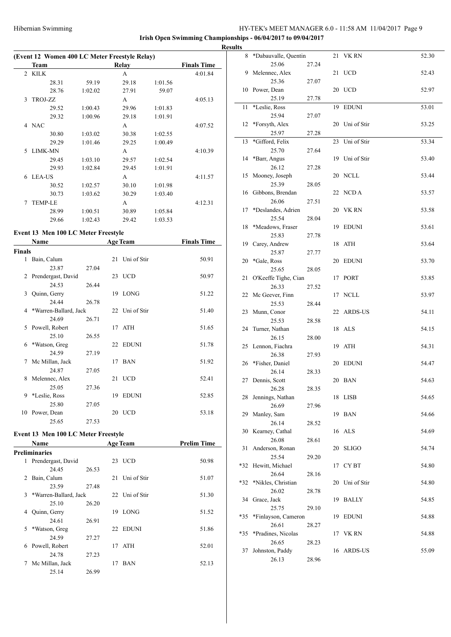|   | (Event 12 Women 400 LC Meter Freestyle Relay) |         |       |         |                    |  |  |  |  |  |  |  |  |
|---|-----------------------------------------------|---------|-------|---------|--------------------|--|--|--|--|--|--|--|--|
|   | Team                                          |         | Relay |         | <b>Finals Time</b> |  |  |  |  |  |  |  |  |
|   | 2 KILK                                        |         | A     |         | 4:01.84            |  |  |  |  |  |  |  |  |
|   | 28.31                                         | 59.19   | 29.18 | 1:01.56 |                    |  |  |  |  |  |  |  |  |
|   | 28.76                                         | 1:02.02 | 27.91 | 59.07   |                    |  |  |  |  |  |  |  |  |
| 3 | <b>TROJ-ZZ</b>                                |         | A     |         | 4:05.13            |  |  |  |  |  |  |  |  |
|   | 29.52                                         | 1:00.43 | 29.96 | 1:01.83 |                    |  |  |  |  |  |  |  |  |
|   | 29.32                                         | 1:00.96 | 29.18 | 1:01.91 |                    |  |  |  |  |  |  |  |  |
| 4 | <b>NAC</b>                                    |         | A     |         | 4:07.52            |  |  |  |  |  |  |  |  |
|   | 30.80                                         | 1:03.02 | 30.38 | 1:02.55 |                    |  |  |  |  |  |  |  |  |
|   | 29.29                                         | 1:01.46 | 29.25 | 1:00.49 |                    |  |  |  |  |  |  |  |  |
| 5 | <b>LIMK-MN</b>                                |         | A     |         | 4:10.39            |  |  |  |  |  |  |  |  |
|   | 29.45                                         | 1:03.10 | 29.57 | 1:02.54 |                    |  |  |  |  |  |  |  |  |
|   | 29.93                                         | 1:02.84 | 29.45 | 1:01.91 |                    |  |  |  |  |  |  |  |  |
| 6 | <b>LEA-US</b>                                 |         | A     |         | 4:11.57            |  |  |  |  |  |  |  |  |
|   | 30.52                                         | 1:02.57 | 30.10 | 1:01.98 |                    |  |  |  |  |  |  |  |  |
|   | 30.73                                         | 1:03.62 | 30.29 | 1:03.40 |                    |  |  |  |  |  |  |  |  |
| 7 | <b>TEMP-LE</b>                                |         | A     |         | 4:12.31            |  |  |  |  |  |  |  |  |
|   | 28.99                                         | 1:00.51 | 30.89 | 1:05.84 |                    |  |  |  |  |  |  |  |  |
|   | 29.66                                         | 1:02.43 | 29.42 | 1:03.53 |                    |  |  |  |  |  |  |  |  |

# **Event 13 Men 100 LC Meter Freestyle**

|               | Name                  |       |    | <b>Age Team</b> | <b>Finals Time</b> |
|---------------|-----------------------|-------|----|-----------------|--------------------|
| <b>Finals</b> |                       |       |    |                 |                    |
| 1             | Bain, Calum           |       |    | 21 Uni of Stir  | 50.91              |
|               | 23.87                 | 27.04 |    |                 |                    |
|               | 2 Prendergast, David  |       |    | 23 UCD          | 50.97              |
|               | 24.53                 | 26.44 |    |                 |                    |
| 3             | Quinn, Gerry          |       |    | 19 LONG         | 51.22              |
|               | 24.44                 | 26.78 |    |                 |                    |
| 4             | *Warren-Ballard, Jack |       |    | 22 Uni of Stir  | 51.40              |
|               | 24.69                 | 26.71 |    |                 |                    |
| 5.            | Powell, Robert        |       |    | 17 ATH          | 51.65              |
|               | 25.10                 | 26.55 |    |                 |                    |
| 6             | *Watson, Greg         |       |    | 22 EDUNI        | 51.78              |
|               | 24.59                 | 27.19 |    |                 |                    |
| 7             | Mc Millan, Jack       |       | 17 | <b>BAN</b>      | 51.92              |
|               | 24.87                 | 27.05 |    |                 |                    |
| 8             | Melennec, Alex        |       |    | 21 UCD          | 52.41              |
|               | 25.05                 | 27.36 |    |                 |                    |
| 9             | *Leslie, Ross         |       | 19 | <b>EDUNI</b>    | 52.85              |
|               | 25.80                 | 27.05 |    |                 |                    |
| 10            | Power, Dean           |       |    | 20 UCD          | 53.18              |
|               | 25.65                 | 27.53 |    |                 |                    |

# **Event 13 Men 100 LC Meter Freestyle**

|   | <b>Name</b>           |       |    | <b>Age Team</b> | <b>Prelim Time</b> |
|---|-----------------------|-------|----|-----------------|--------------------|
|   | <b>Preliminaries</b>  |       |    |                 |                    |
| 1 | Prendergast, David    |       |    | 23 UCD          | 50.98              |
|   | 24.45                 | 26.53 |    |                 |                    |
| 2 | Bain, Calum           |       | 21 | Uni of Stir     | 51.07              |
|   | 23.59                 | 27.48 |    |                 |                    |
| 3 | *Warren-Ballard, Jack |       |    | 22 Uni of Stir  | 51.30              |
|   | 25.10                 | 26.20 |    |                 |                    |
| 4 | Quinn, Gerry          |       | 19 | <b>LONG</b>     | 51.52              |
|   | 24.61                 | 26.91 |    |                 |                    |
| 5 | *Watson, Greg         |       | 22 | EDUNI           | 51.86              |
|   | 24.59                 | 27.27 |    |                 |                    |
| 6 | Powell, Robert        |       | 17 | ATH             | 52.01              |
|   | 24.78                 | 27.23 |    |                 |                    |
| 7 | Mc Millan, Jack       |       | 17 | <b>BAN</b>      | 52.13              |
|   | 25.14                 | 26.99 |    |                 |                    |

| <b>Results</b> |                             |       |                |       |
|----------------|-----------------------------|-------|----------------|-------|
| 8              | *Dabauvalle, Quentin        |       | 21 VK RN       | 52.30 |
|                | 25.06                       | 27.24 |                |       |
|                | 9 Melennec, Alex            |       | 21 UCD         | 52.43 |
|                | 25.36                       | 27.07 |                |       |
|                | 10 Power, Dean              |       | 20 UCD         | 52.97 |
|                | 25.19                       | 27.78 |                |       |
| 11             | *Leslie, Ross               |       | 19 EDUNI       | 53.01 |
|                | 25.94                       | 27.07 |                |       |
| 12             | *Forsyth, Alex              |       | 20 Uni of Stir | 53.25 |
| 13             | 25.97<br>*Gifford, Felix    | 27.28 | 23 Uni of Stir | 53.34 |
|                | 25.70                       | 27.64 |                |       |
| 14             | *Barr, Angus                |       | 19 Uni of Stir | 53.40 |
|                | 26.12                       | 27.28 |                |       |
| 15             | Mooney, Joseph              |       | 20 NCLL        | 53.44 |
|                | 25.39                       | 28.05 |                |       |
|                | 16 Gibbons, Brendan         |       | 22 NCD A       | 53.57 |
|                | 26.06                       | 27.51 |                |       |
| 17             | *Deslandes, Adrien          |       | 20 VK RN       | 53.58 |
|                | 25.54                       | 28.04 |                |       |
| 18             | *Meadows, Fraser            |       | 19 EDUNI       | 53.61 |
|                | 25.83                       | 27.78 |                |       |
|                | 19 Carey, Andrew            |       | 18 ATH         | 53.64 |
|                | 25.87                       | 27.77 | 20 EDUNI       | 53.70 |
|                | 20 *Gale, Ross<br>25.65     | 28.05 |                |       |
| 21             | O'Keeffe Tighe, Cian        |       | 17 PORT        | 53.85 |
|                | 26.33                       | 27.52 |                |       |
|                | 22 Mc Geever, Finn          |       | 17 NCLL        | 53.97 |
|                | 25.53                       | 28.44 |                |       |
| 23             | Munn, Conor                 |       | 22 ARDS-US     | 54.11 |
|                | 25.53                       | 28.58 |                |       |
|                | 24 Turner, Nathan           |       | 18 ALS         | 54.15 |
|                | 26.15<br>25 Lennon, Fiachra | 28.00 | 19 ATH         | 54.31 |
|                | 26.38                       | 27.93 |                |       |
|                | 26 *Fisher, Daniel          |       | 20 EDUNI       | 54.47 |
|                | 26.14                       | 28.33 |                |       |
|                | 27 Dennis, Scott            |       | 20 BAN         | 54.63 |
|                | 26.28                       | 28.35 |                |       |
|                | 28 Jennings, Nathan         |       | 18 LISB        | 54.65 |
|                | 26.69                       | 27.96 |                |       |
|                | 29 Manley, Sam              |       | 19 BAN         | 54.66 |
|                | 26.14                       | 28.52 |                |       |
|                | 30 Kearney, Cathal<br>26.08 | 28.61 | 16 ALS         | 54.69 |
| 31             | Anderson, Ronan             |       | 20 SLIGO       | 54.74 |
|                | 25.54                       | 29.20 |                |       |
|                | *32 Hewitt, Michael         |       | 17 CYBT        | 54.80 |
|                | 26.64                       | 28.16 |                |       |
| *32            | *Nikles, Christian          |       | 20 Uni of Stir | 54.80 |
|                | 26.02                       | 28.78 |                |       |
| 34             | Grace, Jack                 |       | 19 BALLY       | 54.85 |
|                | 25.75                       | 29.10 |                |       |
| $*35$          | *Finlayson, Cameron         |       | 19 EDUNI       | 54.88 |
| *35            | 26.61<br>*Pradines, Nicolas | 28.27 | 17 VK RN       | 54.88 |
|                | 26.65                       | 28.23 |                |       |
| 37             | Johnston, Paddy             |       | 16 ARDS-US     | 55.09 |
|                | 26.13                       | 28.96 |                |       |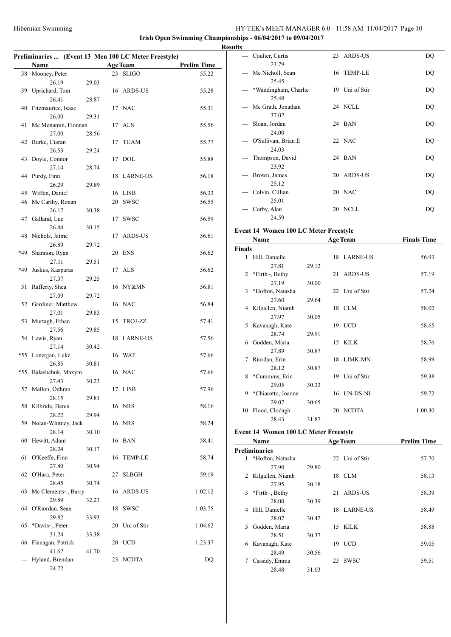**Irish Open Swimming Championships - 06/04/2017 to 09/04/2017**

|     | Preliminaries  (Event 13 Men 100 LC Meter Freestyle) |       |    |                 |                    |
|-----|------------------------------------------------------|-------|----|-----------------|--------------------|
|     | Name                                                 |       |    | <b>Age Team</b> | <b>Prelim Time</b> |
| 38  | Mooney, Peter                                        |       |    | 23 SLIGO        | 55.22              |
|     | 26.19                                                | 29.03 |    |                 |                    |
| 39  | Uprichard, Tom                                       |       |    | 16 ARDS-US      | 55.28              |
|     | 26.41                                                | 28.87 |    |                 |                    |
|     | 40 Fitzmaurice, Isaac                                |       |    | 17 NAC          | 55.31              |
|     | 26.00                                                | 29.31 |    |                 |                    |
| 41  | Mc Menamin, Fionnan                                  |       |    | 17 ALS          | 55.56              |
| 42  | 27.00<br>Burke, Ciaran                               | 28.56 | 17 | <b>TUAM</b>     | 55.77              |
|     | 26.53                                                | 29.24 |    |                 |                    |
| 43  | Doyle, Connor                                        |       | 17 | <b>DOL</b>      | 55.88              |
|     | 27.14                                                | 28.74 |    |                 |                    |
| 44  | Purdy, Finn                                          |       | 18 | <b>LARNE-US</b> | 56.18              |
|     | 26.29                                                | 29.89 |    |                 |                    |
| 45  | Wiffen, Daniel                                       |       |    | 16 LISB         | 56.33              |
| 46  | Mc Carthy, Ronan                                     |       | 20 | <b>SWSC</b>     | 56.55              |
|     | 26.17                                                | 30.38 |    |                 |                    |
| 47  | Galland, Luc<br>26.44                                |       | 17 | <b>SWSC</b>     | 56.59              |
|     | 48 Nichols, Jaime                                    | 30.15 | 17 | <b>ARDS-US</b>  | 56.61              |
|     | 26.89                                                | 29.72 |    |                 |                    |
| *49 | Shannon, Ryan                                        |       | 20 | ENS             | 56.62              |
|     | 27.11                                                | 29.51 |    |                 |                    |
| *49 | Juskus, Kasparas                                     |       |    | 17 ALS          | 56.62              |
|     | 27.37                                                | 29.25 |    |                 |                    |
| 51  | Rafferty, Shea                                       |       |    | 16 NY&MN        | 56.81              |
|     | 27.09                                                | 29.72 |    |                 |                    |
| 52  | Gardiner, Matthew                                    |       |    | 16 NAC          | 56.84              |
| 53  | 27.01<br>Murtagh, Ethan                              | 29.83 | 15 | TROJ-ZZ         | 57.41              |
|     | 27.56                                                | 29.85 |    |                 |                    |
| 54  | Lewis, Ryan                                          |       | 18 | LARNE-US        | 57.56              |
|     | 27.14                                                | 30.42 |    |                 |                    |
| *55 | Lonergan, Luke                                       |       |    | 16 WAT          | 57.66              |
|     | 26.85                                                | 30.81 |    |                 |                    |
| *55 | Balashchuk, Maxym                                    |       |    | 16 NAC          | 57.66              |
|     | 27.43                                                | 30.23 |    |                 |                    |
|     | 57 Mallon, Odhran                                    |       |    | 17 LISB         | 57.96              |
| 58  | 28.15<br>Kilbride, Denis                             | 29.81 |    | 16 NRS          | 58.16              |
|     | 28.22                                                | 29.94 |    |                 |                    |
|     | 59 Nolan-Whitney, Jack                               |       |    | 16 NRS          | 58.24              |
|     | 28.14                                                | 30.10 |    |                 |                    |
| 60  | Hewitt, Adam                                         |       | 16 | BAN             | 58.41              |
|     | 28.24                                                | 30.17 |    |                 |                    |
| 61  | O'Keeffe, Finn                                       |       | 16 | TEMP-LE         | 58.74              |
|     | 27.80                                                | 30.94 |    |                 |                    |
| 62  | O'Hara, Peter<br>28.45                               |       | 27 | <b>SLBGH</b>    | 59.19              |
| 63  | Mc Clements~, Barry                                  | 30.74 | 16 | ARDS-US         | 1:02.12            |
|     | 29.89                                                | 32.23 |    |                 |                    |
| 64  | O'Riordan, Sean                                      |       | 18 | SWSC            | 1:03.75            |
|     | 29.82                                                | 33.93 |    |                 |                    |
| 65  | *Davis~, Peter                                       |       | 20 | Uni of Stir     | 1:04.62            |
|     | 31.24                                                | 33.38 |    |                 |                    |
| 66  | Flanagan, Patrick                                    |       | 20 | <b>UCD</b>      | 1:23.37            |
|     | 41.67                                                | 41.70 |    |                 |                    |
|     | Hyland, Brendan                                      |       | 23 | NCDTA           | DQ                 |
|     | 24.72                                                |       |    |                 |                    |

| <b>Results</b>                                                                                                                                                                                                                                                                                                                                                                                                                                                             |                               |                |    |
|----------------------------------------------------------------------------------------------------------------------------------------------------------------------------------------------------------------------------------------------------------------------------------------------------------------------------------------------------------------------------------------------------------------------------------------------------------------------------|-------------------------------|----------------|----|
| $\frac{1}{2}$                                                                                                                                                                                                                                                                                                                                                                                                                                                              | Coulter, Curtis<br>23.79      | 23 ARDS-US     | DQ |
| $\qquad \qquad - -$                                                                                                                                                                                                                                                                                                                                                                                                                                                        | Mc Nicholl, Sean<br>25.45     | 16 TEMP-LE     | DQ |
|                                                                                                                                                                                                                                                                                                                                                                                                                                                                            | *Waddingham, Charlie<br>25.48 | 19 Uni of Stir | DQ |
| $---$                                                                                                                                                                                                                                                                                                                                                                                                                                                                      | Mc Grath, Jonathan<br>37.02   | 24 NCLL        | DQ |
| $\frac{1}{2} \left( \frac{1}{2} \right) \left( \frac{1}{2} \right) \left( \frac{1}{2} \right) \left( \frac{1}{2} \right) \left( \frac{1}{2} \right) \left( \frac{1}{2} \right) \left( \frac{1}{2} \right) \left( \frac{1}{2} \right) \left( \frac{1}{2} \right) \left( \frac{1}{2} \right) \left( \frac{1}{2} \right) \left( \frac{1}{2} \right) \left( \frac{1}{2} \right) \left( \frac{1}{2} \right) \left( \frac{1}{2} \right) \left( \frac{1}{2} \right) \left( \frac$ | Sloan, Jordan<br>24.00        | 24 BAN         | DQ |
| $\frac{1}{2} \left( \frac{1}{2} \right) \left( \frac{1}{2} \right) \left( \frac{1}{2} \right) \left( \frac{1}{2} \right)$                                                                                                                                                                                                                                                                                                                                                  | O'Sullivan, Brian E<br>24.03  | 22 NAC         | DQ |
| $---$                                                                                                                                                                                                                                                                                                                                                                                                                                                                      | Thompson, David               | 24 BAN         | DQ |
| $---$                                                                                                                                                                                                                                                                                                                                                                                                                                                                      | 23.92<br>Brown, James         | 20 ARDS-US     | DQ |
| $---$                                                                                                                                                                                                                                                                                                                                                                                                                                                                      | 25.12<br>Colvin, Cillian      | 20 NAC         | DQ |
|                                                                                                                                                                                                                                                                                                                                                                                                                                                                            | 25.01<br>Corby, Alan<br>24.59 | 20 NCLL        | DQ |

# **Event 14 Women 100 LC Meter Freestyle**

|        | Name                  |       |    | <b>Age Team</b> | <b>Finals Time</b> |
|--------|-----------------------|-------|----|-----------------|--------------------|
| Finals |                       |       |    |                 |                    |
| 1      | Hill, Danielle        |       |    | 18 LARNE-US     | 56.93              |
|        | 27.81                 | 29.12 |    |                 |                    |
| 2      | *Firth $\sim$ , Bethy |       |    | 21 ARDS-US      | 57.19              |
|        | 27.19                 | 30.00 |    |                 |                    |
| 3      | *Hofton, Natasha      |       |    | 22 Uni of Stir  | 57.24              |
|        | 27.60                 | 29.64 |    |                 |                    |
| 4      | Kilgallen, Niamh      |       |    | 18 CLM          | 58.02              |
|        | 27.97                 | 30.05 |    |                 |                    |
| 5      | Kavanagh, Kate        |       |    | 19 UCD          | 58.65              |
|        | 28.74                 | 29.91 |    |                 |                    |
| 6      | Godden, Maria         |       |    | 15 KILK         | 58.76              |
|        | 27.89                 | 30.87 |    |                 |                    |
| 7      | Riordan, Erin         |       |    | 18 LIMK-MN      | 58.99              |
|        | 28.12                 | 30.87 |    |                 |                    |
| 8      | *Cummins, Erin        |       | 19 | Uni of Stir     | 59.38              |
|        | 29.05                 | 30.33 |    |                 |                    |
| 9      | *Chiarotto, Joanne    |       |    | 16 UN-DS-NI     | 59.72              |
|        | 29.07                 | 30.65 |    |                 |                    |
| 10     | Flood, Clodagh        |       | 20 | <b>NCDTA</b>    | 1:00.30            |
|        | 28.43                 | 31.87 |    |                 |                    |

# **Event 14 Women 100 LC Meter Freestyle**

|   | <b>Name</b>           |       |    | <b>Age Team</b> | <b>Prelim Time</b> |
|---|-----------------------|-------|----|-----------------|--------------------|
|   | Preliminaries         |       |    |                 |                    |
| 1 | *Hofton, Natasha      |       |    | 22 Uni of Stir  | 57.70              |
|   | 27.90                 | 29.80 |    |                 |                    |
|   | 2 Kilgallen, Niamh    |       | 18 | CLM             | 58.13              |
|   | 27.95                 | 30.18 |    |                 |                    |
| 3 | *Firth $\sim$ , Bethy |       | 21 | ARDS-US         | 58.39              |
|   | 28.00                 | 30.39 |    |                 |                    |
| 4 | Hill, Danielle        |       |    | 18 LARNE-US     | 58.49              |
|   | 28.07                 | 30.42 |    |                 |                    |
| 5 | Godden, Maria         |       | 15 | KILK.           | 58.88              |
|   | 28.51                 | 30.37 |    |                 |                    |
| 6 | Kavanagh, Kate        |       | 19 | <b>UCD</b>      | 59.05              |
|   | 28.49                 | 30.56 |    |                 |                    |
| 7 | Cassidy, Emma         |       | 23 | <b>SWSC</b>     | 59.51              |
|   | 28.48                 | 31.03 |    |                 |                    |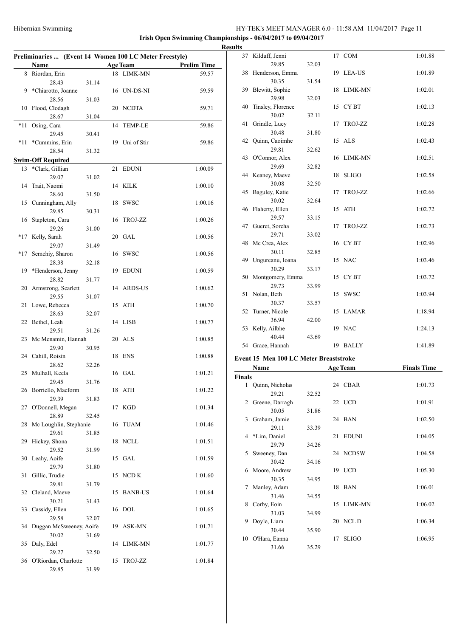| Preliminaries  (Event 14 Women 100 LC Meter Freestyle) |                             |       |    |                 |                    |  |
|--------------------------------------------------------|-----------------------------|-------|----|-----------------|--------------------|--|
|                                                        | Name                        |       |    | <b>Age Team</b> | <b>Prelim Time</b> |  |
|                                                        | 8 Riordan, Erin             |       |    | 18 LIMK-MN      | 59.57              |  |
|                                                        | 28.43                       | 31.14 |    |                 |                    |  |
| 9                                                      | *Chiarotto, Joanne          |       |    | 16 UN-DS-NI     | 59.59              |  |
|                                                        | 28.56                       | 31.03 |    |                 |                    |  |
| 10                                                     | Flood, Clodagh<br>28.67     | 31.04 | 20 | <b>NCDTA</b>    | 59.71              |  |
| *11                                                    | Osing, Cara                 |       | 14 | <b>TEMP-LE</b>  | 59.86              |  |
|                                                        | 29.45                       | 30.41 |    |                 |                    |  |
| $*11$                                                  | *Cummins, Erin              |       | 19 | Uni of Stir     | 59.86              |  |
|                                                        | 28.54                       | 31.32 |    |                 |                    |  |
|                                                        | <b>Swim-Off Required</b>    |       |    |                 |                    |  |
| 13                                                     | *Clark, Gillian             |       | 21 | <b>EDUNI</b>    | 1:00.09            |  |
|                                                        | 29.07                       | 31.02 |    |                 |                    |  |
| 14                                                     | Trait, Naomi                |       | 14 | <b>KILK</b>     | 1:00.10            |  |
| 15                                                     | 28.60<br>Cunningham, Ally   | 31.50 | 18 | <b>SWSC</b>     | 1:00.16            |  |
|                                                        | 29.85                       | 30.31 |    |                 |                    |  |
| 16                                                     | Stapleton, Cara             |       | 16 | TROJ-ZZ         | 1:00.26            |  |
|                                                        | 29.26                       | 31.00 |    |                 |                    |  |
| $*17$                                                  | Kelly, Sarah                |       | 20 | GAL             | 1:00.56            |  |
|                                                        | 29.07                       | 31.49 |    |                 |                    |  |
| *17                                                    | Semchiy, Sharon             |       |    | 16 SWSC         | 1:00.56            |  |
|                                                        | 28.38                       | 32.18 |    |                 |                    |  |
| 19                                                     | *Henderson, Jenny<br>28.82  | 31.77 | 19 | <b>EDUNI</b>    | 1:00.59            |  |
| 20                                                     | Armstrong, Scarlett         |       |    | 14 ARDS-US      | 1:00.62            |  |
|                                                        | 29.55                       | 31.07 |    |                 |                    |  |
| 21                                                     | Lowe, Rebecca               |       | 15 | ATH             | 1:00.70            |  |
|                                                        | 28.63                       | 32.07 |    |                 |                    |  |
| 22                                                     | Bethel, Leah                |       |    | 14 LISB         | 1:00.77            |  |
|                                                        | 29.51                       | 31.26 |    |                 |                    |  |
| 23                                                     | Mc Menamin, Hannah<br>29.90 | 30.95 | 20 | ALS             | 1:00.85            |  |
|                                                        | 24 Cahill, Roisin           |       | 18 | <b>ENS</b>      | 1:00.88            |  |
|                                                        | 28.62                       | 32.26 |    |                 |                    |  |
| 25                                                     | Mulhall, Keela              |       |    | 16 GAL          | 1:01.21            |  |
|                                                        | 29.45                       | 31.76 |    |                 |                    |  |
|                                                        | 26 Borriello, Maeform       |       | 18 | ATH             | 1:01.22            |  |
|                                                        | 29.39                       | 31.83 |    |                 |                    |  |
| 27                                                     | O'Donnell, Megan<br>28.89   | 32.45 | 17 | <b>KGD</b>      | 1:01.34            |  |
| 28                                                     | Mc Loughlin, Stephanie      |       | 16 | <b>TUAM</b>     | 1:01.46            |  |
|                                                        | 29.61                       | 31.85 |    |                 |                    |  |
| 29                                                     | Hickey, Shona               |       | 18 | <b>NCLL</b>     | 1:01.51            |  |
|                                                        | 29.52                       | 31.99 |    |                 |                    |  |
| 30                                                     | Leahy, Aoife                |       | 15 | GAL             | 1:01.59            |  |
|                                                        | 29.79                       | 31.80 |    |                 |                    |  |
| 31                                                     | Gillic, Trudie<br>29.81     | 31.79 | 15 | NCD K           | 1:01.60            |  |
| 32                                                     | Cleland, Maeve              |       | 15 | <b>BANB-US</b>  | 1:01.64            |  |
|                                                        | 30.21                       | 31.43 |    |                 |                    |  |
| 33                                                     | Cassidy, Ellen              |       | 16 | <b>DOL</b>      | 1:01.65            |  |
|                                                        | 29.58                       | 32.07 |    |                 |                    |  |
| 34                                                     | Duggan McSweeney, Aoife     |       | 19 | ASK-MN          | 1:01.71            |  |
|                                                        | 30.02                       | 31.69 |    |                 |                    |  |
| 35                                                     | Daly, Edel<br>29.27         |       | 14 | LIMK-MN         | 1:01.77            |  |
|                                                        | 36 O'Riordan, Charlotte     | 32.50 | 15 | TROJ-ZZ         | 1:01.84            |  |
|                                                        | 29.85                       | 31.99 |    |                 |                    |  |
|                                                        |                             |       |    |                 |                    |  |

| <b>Results</b>  |                                        |       |                 |              |                    |
|-----------------|----------------------------------------|-------|-----------------|--------------|--------------------|
|                 | 37 Kilduff, Jenni                      |       |                 | 17 COM       | 1:01.88            |
|                 | 29.85                                  | 32.03 |                 |              |                    |
|                 | 38 Henderson, Emma                     |       |                 | 19 LEA-US    | 1:01.89            |
|                 | 30.35                                  | 31.54 |                 |              |                    |
|                 | 39 Blewitt, Sophie                     |       |                 | 18 LIMK-MN   | 1:02.01            |
|                 | 29.98                                  | 32.03 |                 |              |                    |
|                 | 40 Tinsley, Florence                   |       |                 | 15 CYBT      | 1:02.13            |
|                 | 30.02                                  | 32.11 |                 |              |                    |
|                 | 41 Grindle, Lucy                       |       |                 | 17 TROJ-ZZ   | 1:02.28            |
|                 | 30.48                                  | 31.80 |                 |              |                    |
|                 | 42 Quinn, Caoimhe                      |       |                 | 15 ALS       | 1:02.43            |
|                 | 29.81                                  | 32.62 |                 |              |                    |
|                 | 43 O'Connor, Alex                      |       |                 | 16 LIMK-MN   | 1:02.51            |
|                 | 29.69                                  | 32.82 |                 |              |                    |
|                 | 44 Keaney, Maeve                       |       |                 | 18 SLIGO     | 1:02.58            |
|                 | 30.08                                  | 32.50 |                 |              |                    |
|                 | 45 Baguley, Katie                      |       |                 | 17 TROJ-ZZ   | 1:02.66            |
|                 | 30.02                                  | 32.64 |                 |              |                    |
|                 | 46 Flaherty, Ellen                     |       |                 | 15 ATH       | 1:02.72            |
|                 | 29.57                                  | 33.15 |                 |              |                    |
|                 | 47 Gueret, Sorcha                      |       |                 | 17 TROJ-ZZ   | 1:02.73            |
|                 | 29.71                                  | 33.02 |                 |              |                    |
|                 | 48 Mc Crea, Alex                       |       |                 | 16 CYBT      | 1:02.96            |
|                 | 30.11                                  | 32.85 |                 |              |                    |
|                 | 49 Ungureanu, Ioana                    |       |                 | 15 NAC       | 1:03.46            |
|                 | 30.29                                  | 33.17 |                 |              |                    |
|                 | 50 Montgomery, Emma                    |       |                 | 15 CYBT      | 1:03.72            |
|                 | 29.73                                  | 33.99 |                 |              |                    |
|                 | 51 Nolan, Beth                         |       |                 | 15 SWSC      | 1:03.94            |
|                 | 30.37                                  | 33.57 |                 |              |                    |
|                 | 52 Turner, Nicole                      |       |                 | 15 LAMAR     | 1:18.94            |
|                 | 36.94                                  | 42.00 |                 |              |                    |
|                 | 53 Kelly, Ailbhe                       |       |                 | 19 NAC       | 1:24.13            |
|                 | 40.44                                  | 43.69 |                 |              |                    |
|                 | 54 Grace, Hannah                       |       |                 | 19 BALLY     | 1:41.89            |
|                 | Event 15 Men 100 LC Meter Breaststroke |       |                 |              |                    |
|                 | <b>Name</b>                            |       | <b>Age Team</b> |              | <b>Finals Time</b> |
| <b>Finals</b>   |                                        |       |                 |              |                    |
|                 | 1 Quinn, Nicholas                      |       |                 | 24 CBAR      | 1:01.73            |
|                 | 29.21                                  | 32.52 |                 |              |                    |
|                 | 2 Greene, Darragh                      |       |                 | 22 UCD       | 1:01.91            |
|                 | 30.05                                  | 31.86 |                 |              |                    |
| 3               | Graham, Jamie                          |       |                 | 24 BAN       | 1:02.50            |
|                 | 29.11                                  | 33.39 |                 |              |                    |
| 4               | *Lim, Daniel                           |       | 21              | <b>EDUNI</b> | 1:04.05            |
|                 | 29.79                                  | 34.26 |                 |              |                    |
| 5               | Sweeney, Dan                           |       |                 | 24 NCDSW     | 1:04.58            |
|                 | 30.42                                  | 34.16 |                 |              |                    |
|                 | 6 Moore, Andrew                        |       |                 | 19 UCD       | 1:05.30            |
|                 | 30.35                                  | 34.95 |                 |              |                    |
| $7\phantom{.0}$ | Manley, Adam                           |       |                 | 18 BAN       | 1:06.01            |
|                 | 31.46                                  | 34.55 |                 |              |                    |
| 8               | Corby, Eoin                            |       |                 | 15 LIMK-MN   | 1:06.02            |
|                 | 31.03                                  | 34.99 |                 |              |                    |
| 9               | Doyle, Liam                            |       |                 | 20 NCL D     | 1:06.34            |

30.44 35.90

31.66 35.29

10 O'Hara, Eanna 17 SLIGO 1:06.95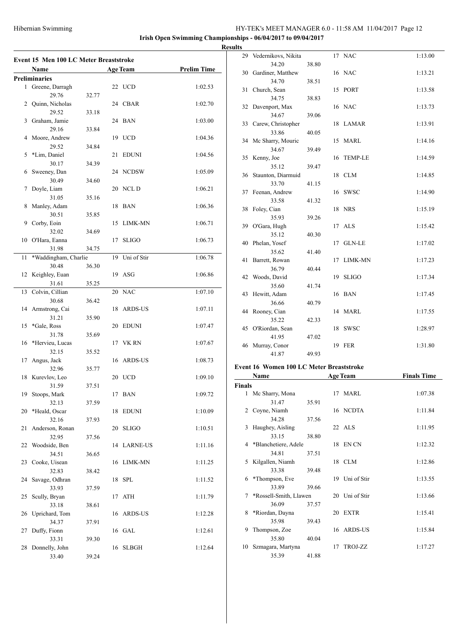$\sim$ 

**Irish Open Swimming Championships - 06/04/2017 to 09/04/2017**

|    | Event 15 Men 100 LC Meter Breaststroke<br>Name |       |    | <b>Age Team</b> | <b>Prelim Time</b> |
|----|------------------------------------------------|-------|----|-----------------|--------------------|
|    | <b>Preliminaries</b>                           |       |    |                 |                    |
| 1  | Greene, Darragh                                |       | 22 | <b>UCD</b>      | 1:02.53            |
|    | 29.76                                          | 32.77 |    |                 |                    |
| 2  | Quinn, Nicholas                                |       |    | 24 CBAR         | 1:02.70            |
|    | 29.52                                          | 33.18 |    |                 |                    |
| 3  | Graham, Jamie                                  |       | 24 | BAN             | 1:03.00            |
|    | 29.16                                          | 33.84 |    |                 |                    |
| 4  | Moore, Andrew                                  |       | 19 | <b>UCD</b>      | 1:04.36            |
|    | 29.52                                          | 34.84 |    |                 |                    |
| 5  | *Lim, Daniel                                   |       | 21 | <b>EDUNI</b>    | 1:04.56            |
|    | 30.17                                          | 34.39 |    |                 |                    |
| 6  | Sweeney, Dan                                   |       | 24 | NCDSW           | 1:05.09            |
|    | 30.49                                          | 34.60 |    |                 |                    |
| 7  | Doyle, Liam                                    |       | 20 | NCL D           | 1:06.21            |
|    | 31.05                                          | 35.16 |    |                 |                    |
| 8  | Manley, Adam                                   |       | 18 | <b>BAN</b>      | 1:06.36            |
|    | 30.51                                          | 35.85 |    |                 |                    |
| 9  | Corby, Eoin                                    |       | 15 | LIMK-MN         | 1:06.71            |
|    | 32.02                                          | 34.69 |    |                 |                    |
| 10 | O'Hara, Eanna                                  |       | 17 | <b>SLIGO</b>    | 1:06.73            |
|    | 31.98                                          | 34.75 |    |                 |                    |
| 11 | *Waddingham, Charlie                           |       | 19 | Uni of Stir     | 1:06.78            |
|    | 30.48                                          | 36.30 |    | ASG             | 1:06.86            |
| 12 | Keighley, Euan<br>31.61                        |       | 19 |                 |                    |
| 13 |                                                | 35.25 | 20 | <b>NAC</b>      | 1:07.10            |
|    | Colvin, Cillian<br>30.68                       | 36.42 |    |                 |                    |
| 14 | Armstrong, Cai                                 |       | 18 | ARDS-US         | 1:07.11            |
|    | 31.21                                          | 35.90 |    |                 |                    |
| 15 | *Gale, Ross                                    |       | 20 | EDUNI           | 1:07.47            |
|    | 31.78                                          | 35.69 |    |                 |                    |
| 16 | *Hervieu, Lucas                                |       | 17 | VK RN           | 1:07.67            |
|    | 32.15                                          | 35.52 |    |                 |                    |
| 17 | Angus, Jack                                    |       |    | 16 ARDS-US      | 1:08.73            |
|    | 32.96                                          | 35.77 |    |                 |                    |
| 18 | Kurevlov, Leo                                  |       |    | 20 UCD          | 1:09.10            |
|    | 31.59                                          | 37.51 |    |                 |                    |
| 19 | Stoops, Mark                                   |       |    | 17 BAN          | 1:09.72            |
|    | 32.13                                          | 37.59 |    |                 |                    |
| 20 | *Heald, Oscar                                  |       | 18 | <b>EDUNI</b>    | 1:10.09            |
|    | 32.16                                          | 37.93 |    |                 |                    |
| 21 | Anderson, Ronan                                |       | 20 | <b>SLIGO</b>    | 1:10.51            |
|    | 32.95                                          | 37.56 |    |                 |                    |
| 22 | Woodside, Ben                                  |       |    | 14 LARNE-US     | 1:11.16            |
|    | 34.51                                          | 36.65 |    |                 |                    |
| 23 | Cooke, Uisean                                  |       | 16 | LIMK-MN         | 1:11.25            |
|    | 32.83                                          | 38.42 |    |                 |                    |
| 24 | Savage, Odhran                                 |       | 18 | <b>SPL</b>      | 1:11.52            |
|    | 33.93                                          | 37.59 |    |                 |                    |
| 25 | Scully, Bryan<br>33.18                         | 38.61 | 17 | ATH             | 1:11.79            |
| 26 | Uprichard, Tom                                 |       |    | 16 ARDS-US      | 1:12.28            |
|    | 34.37                                          | 37.91 |    |                 |                    |
| 27 | Duffy, Fionn                                   |       |    | 16 GAL          | 1:12.61            |
|    | 33.31                                          | 39.30 |    |                 |                    |
| 28 | Donnelly, John                                 |       | 16 | <b>SLBGH</b>    | 1:12.64            |
|    | 33.40                                          | 39.24 |    |                 |                    |
|    |                                                |       |    |                 |                    |

| <b>Results</b> |                        |       |            |         |
|----------------|------------------------|-------|------------|---------|
|                | 29 Vedernikovs, Nikita |       | 17 NAC     | 1:13.00 |
|                | 34.20                  | 38.80 |            |         |
|                | 30 Gardiner, Matthew   |       | 16 NAC     | 1:13.21 |
|                | 34.70                  | 38.51 |            |         |
|                | 31 Church, Sean        |       | 15 PORT    | 1:13.58 |
|                | 34.75                  | 38.83 |            |         |
| 32             | Davenport, Max         |       | 16 NAC     | 1:13.73 |
|                | 34.67                  | 39.06 |            |         |
|                | 33 Carew, Christopher  |       | 18 LAMAR   | 1:13.91 |
|                | 33.86                  | 40.05 |            |         |
|                | 34 Mc Sharry, Mouric   |       | 15 MARL    | 1:14.16 |
|                | 34.67                  | 39.49 |            |         |
|                | 35 Kenny, Joe          |       | 16 TEMP-LE | 1:14.59 |
|                | 35.12                  | 39.47 |            |         |
|                | 36 Staunton, Diarmuid  |       | 18 CLM     | 1:14.85 |
|                | 33.70                  | 41.15 |            |         |
|                | 37 Feenan, Andrew      |       | 16 SWSC    | 1:14.90 |
|                | 33.58                  | 41.32 |            |         |
| 38             | Foley, Cian<br>35.93   | 39.26 | 18 NRS     | 1:15.19 |
|                | 39 O'Gara, Hugh        |       | 17 ALS     | 1:15.42 |
|                | 35.12                  | 40.30 |            |         |
| 40             | Phelan, Yosef          |       | 17 GLN-LE  | 1:17.02 |
|                | 35.62                  | 41.40 |            |         |
| 41             | Barrett, Rowan         |       | 17 LIMK-MN | 1:17.23 |
|                | 36.79                  | 40.44 |            |         |
|                | 42 Woods, David        |       | 19 SLIGO   | 1:17.34 |
|                | 35.60                  | 41.74 |            |         |
| 43             | Hewitt, Adam           |       | 16 BAN     | 1:17.45 |
|                | 36.66                  | 40.79 |            |         |
|                | 44 Rooney, Cian        |       | 14 MARL    | 1:17.55 |
|                | 35.22                  | 42.33 |            |         |
|                | 45 O'Riordan, Sean     |       | 18 SWSC    | 1:28.97 |
|                | 41.95                  | 47.02 |            |         |
|                | 46 Murray, Conor       |       | 19 FER     | 1:31.80 |
|                | 41.87                  | 49.93 |            |         |
|                |                        |       |            |         |

# **Event 16 Women 100 LC Meter Breaststroke**

| Name          |                        |       | <b>Age Team</b> | <b>Finals Time</b> |         |
|---------------|------------------------|-------|-----------------|--------------------|---------|
| <b>Finals</b> |                        |       |                 |                    |         |
|               | 1 Mc Sharry, Mona      |       |                 | 17 MARL            | 1:07.38 |
|               | 31.47                  | 35.91 |                 |                    |         |
|               | 2 Coyne, Niamh         |       |                 | 16 NCDTA           | 1:11.84 |
|               | 34.28                  | 37.56 |                 |                    |         |
| 3             | Haughey, Aisling       |       |                 | $22$ ALS           | 1:11.95 |
|               | 33.15                  | 38.80 |                 |                    |         |
|               | 4 *Blanchetiere, Adele |       |                 | 18 EN CN           | 1:12.32 |
|               | 34.81                  | 37.51 |                 |                    |         |
|               | 5 Kilgallen, Niamh     |       |                 | 18 CLM             | 1:12.86 |
|               | 33.38                  | 39.48 |                 |                    |         |
| 6             | *Thompson, Eve         |       |                 | 19 Uni of Stir     | 1:13.55 |
|               | 33.89                  | 39.66 |                 |                    |         |
| 7             | *Rossell-Smith, Llawen |       |                 | 20 Uni of Stir     | 1:13.66 |
|               | 36.09                  | 37.57 |                 |                    |         |
| 8             | *Riordan, Dayna        |       |                 | 20 EXTR            | 1:15.41 |
|               | 35.98                  | 39.43 |                 |                    |         |
| 9             | Thompson, Zoe          |       |                 | 16 ARDS-US         | 1:15.84 |
|               | 35.80                  | 40.04 |                 |                    |         |
| 10            | Szmagara, Martyna      |       | 17              | TROJ-ZZ            | 1:17.27 |
|               | 35.39                  | 41.88 |                 |                    |         |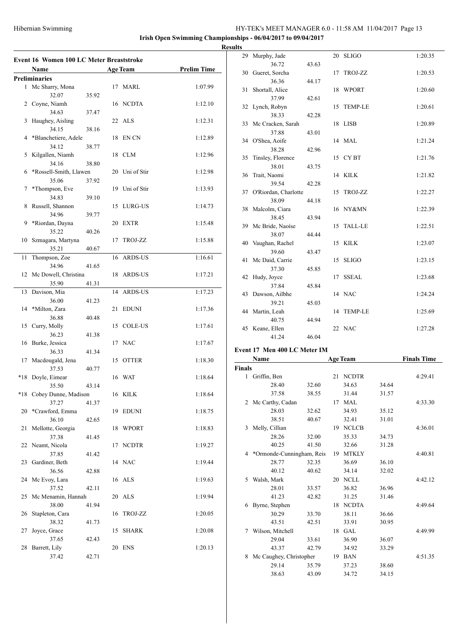**Irish Open Swimming Championships - 06/04/2017 to 09/04/2017**

**Result** 

|              | Event 16 Women 100 LC Meter Breaststroke |       |    |                 |                    |
|--------------|------------------------------------------|-------|----|-----------------|--------------------|
|              | <b>Name</b>                              |       |    | <b>Age Team</b> | <b>Prelim Time</b> |
|              | <b>Preliminaries</b>                     |       |    |                 |                    |
| $\mathbf{1}$ | Mc Sharry, Mona<br>32.07                 | 35.92 |    | 17 MARL         | 1:07.99            |
|              | 2 Coyne, Niamh<br>34.63                  | 37.47 |    | 16 NCDTA        | 1:12.10            |
| 3            | Haughey, Aisling                         |       |    | 22 ALS          | 1:12.31            |
| 4            | 34.15<br>*Blanchetiere, Adele            | 38.16 | 18 | EN CN           | 1:12.89            |
| 5            | 34.12<br>Kilgallen, Niamh                | 38.77 | 18 | <b>CLM</b>      | 1:12.96            |
| 6            | 34.16<br>*Rossell-Smith, Llawen          | 38.80 | 20 | Uni of Stir     | 1:12.98            |
|              | 35.06                                    | 37.92 |    |                 |                    |
| 7            | *Thompson, Eve<br>34.83                  | 39.10 | 19 | Uni of Stir     | 1:13.93            |
| 8            | Russell, Shannon<br>34.96                | 39.77 | 15 | LURG-US         | 1:14.73            |
| 9            | *Riordan, Dayna<br>35.22                 |       | 20 | <b>EXTR</b>     | 1:15.48            |
| 10           | Szmagara, Martyna                        | 40.26 | 17 | TROJ-ZZ         | 1:15.88            |
| 11           | 35.21<br>Thompson, Zoe                   | 40.67 | 16 | <b>ARDS-US</b>  | 1:16.61            |
| 12           | 34.96<br>Mc Dowell, Christina            | 41.65 | 18 | ARDS-US         | 1:17.21            |
|              | 35.90                                    | 41.31 |    |                 |                    |
| 13           | Davison, Mia<br>36.00                    | 41.23 | 14 | <b>ARDS-US</b>  | 1:17.23            |
| 14           | *Milton, Zara<br>36.88                   | 40.48 | 21 | <b>EDUNI</b>    | 1:17.36            |
| 15           | Curry, Molly<br>36.23                    | 41.38 |    | 15 COLE-US      | 1:17.61            |
| 16           | Burke, Jessica                           |       |    | 17 NAC          | 1:17.67            |
| 17           | 36.33<br>Macdougald, Jena                | 41.34 | 15 | <b>OTTER</b>    | 1:18.30            |
| $*18$        | 37.53<br>Doyle, Eimear                   | 40.77 |    | 16 WAT          | 1:18.64            |
|              | 35.50<br>*18 Cobey Dunne, Madison        | 43.14 |    | 16 KILK         | 1:18.64            |
| 20           | 37.27<br>*Crawford, Emma                 | 41.37 | 19 | <b>EDUNI</b>    | 1:18.75            |
|              | 36.10                                    | 42.65 |    |                 |                    |
| 21           | Mellotte, Georgia<br>37.38               | 41.45 | 18 | <b>WPORT</b>    | 1:18.83            |
| 22           | Neamt, Nicola<br>37.85                   | 41.42 | 17 | <b>NCDTR</b>    | 1:19.27            |
| 23           | Gardiner, Beth<br>36.56                  | 42.88 |    | 14 NAC          | 1:19.44            |
| 24           | Mc Evoy, Lara<br>37.52                   | 42.11 |    | 16 ALS          | 1:19.63            |
| 25           | Mc Menamin, Hannah                       |       | 20 | ALS             | 1:19.94            |
| 26           | 38.00<br>Stapleton, Cara                 | 41.94 | 16 | TROJ-ZZ         | 1:20.05            |
| 27           | 38.32<br>Joyce, Grace                    | 41.73 | 15 | <b>SHARK</b>    | 1:20.08            |
| 28           | 37.65<br>Barrett, Lily                   | 42.43 |    | 20 ENS          | 1:20.13            |
|              | 37.42                                    | 42.71 |    |                 |                    |

| τs |                         |       |    |                |         |
|----|-------------------------|-------|----|----------------|---------|
| 29 | Murphy, Jade            |       |    | 20 SLIGO       | 1:20.35 |
|    | 36.72                   | 43.63 |    |                |         |
|    | 30 Gueret, Sorcha       |       | 17 | TROJ-ZZ        | 1:20.53 |
|    | 36.36                   | 44.17 |    |                |         |
| 31 | Shortall, Alice         |       | 18 | <b>WPORT</b>   | 1:20.60 |
|    | 37.99                   | 42.61 |    |                |         |
| 32 | Lynch, Robyn            |       | 15 | <b>TEMP-LE</b> | 1:20.61 |
|    | 38.33                   | 42.28 |    |                |         |
| 33 | Mc Cracken, Sarah       |       | 18 | LISB           | 1:20.89 |
|    | 37.88                   | 43.01 |    |                |         |
| 34 | O'Shea, Aoife           |       |    | 14 MAL         | 1:21.24 |
|    | 38.28                   | 42.96 |    |                |         |
| 35 | Tinsley, Florence       |       |    | 15 CYBT        | 1:21.76 |
|    | 38.01                   | 43.75 |    |                |         |
| 36 | Trait, Naomi            |       |    | 14 KILK        | 1:21.82 |
|    | 39.54                   | 42.28 |    |                |         |
|    | 37 O'Riordan, Charlotte |       | 15 | TROJ-ZZ        | 1:22.27 |
|    | 38.09                   | 44.18 |    |                |         |
|    | 38 Malcolm, Ciara       |       |    | 16 NY&MN       | 1:22.39 |
|    | 38.45                   | 43.94 |    |                |         |
|    | 39 Mc Bride, Naoíse     |       | 15 | <b>TALL-LE</b> | 1:22.51 |
|    | 38.07                   | 44.44 |    |                |         |
|    | 40 Vaughan, Rachel      |       |    | 15 KILK        | 1:23.07 |
|    | 39.60                   | 43.47 |    |                |         |
| 41 | Mc Daid, Carrie         |       | 15 | <b>SLIGO</b>   | 1:23.15 |
|    | 37.30                   | 45.85 |    |                |         |
| 42 | Hudy, Joyce<br>37.84    |       | 17 | <b>SSEAL</b>   | 1:23.68 |
|    |                         | 45.84 |    | 14 NAC         |         |
| 43 | Dawson, Ailbhe<br>39.21 | 45.03 |    |                | 1:24.24 |
|    | 44 Martin, Leah         |       | 14 | <b>TEMP-LE</b> | 1:25.69 |
|    | 40.75                   | 44.94 |    |                |         |
|    | 45 Keane, Ellen         |       |    | 22 NAC         | 1:27.28 |
|    | 41.24                   | 46.04 |    |                |         |
|    |                         |       |    |                |         |
|    |                         |       |    |                |         |

# **Event 17 Men 400 LC Meter IM**<br>Name **Age Team**

|              | EVENT 17   MIEN 400 LU MIEIEF IM |       |    |                 |       |                    |  |  |  |
|--------------|----------------------------------|-------|----|-----------------|-------|--------------------|--|--|--|
|              | Name                             |       |    | <b>Age Team</b> |       | <b>Finals Time</b> |  |  |  |
| Finals       |                                  |       |    |                 |       |                    |  |  |  |
| $\mathbf{1}$ | Griffin, Ben                     |       | 21 | <b>NCDTR</b>    |       | 4:29.41            |  |  |  |
|              | 28.40                            | 32.60 |    | 34.63           | 34.64 |                    |  |  |  |
|              | 37.58                            | 38.55 |    | 31.44           | 31.57 |                    |  |  |  |
|              | 2 Mc Carthy, Cadan               |       | 17 | <b>MAL</b>      |       | 4:33.30            |  |  |  |
|              | 28.03                            | 32.62 |    | 34.93           | 35.12 |                    |  |  |  |
|              | 38.51                            | 40.67 |    | 32.41           | 31.01 |                    |  |  |  |
| 3            | Melly, Cillian                   |       |    | 19 NCLCB        |       | 4:36.01            |  |  |  |
|              | 28.26                            | 32.00 |    | 35.33           | 34.73 |                    |  |  |  |
|              | 40.25                            | 41.50 |    | 32.66           | 31.28 |                    |  |  |  |
| 4            | *Ormonde-Cunningham, Reis        |       | 19 | <b>MTKLY</b>    |       | 4:40.81            |  |  |  |
|              | 28.77                            | 32.35 |    | 36.69           | 36.10 |                    |  |  |  |
|              | 40.12                            | 40.62 |    | 34.14           | 32.02 |                    |  |  |  |
| 5            | Walsh, Mark                      |       |    | 20 NCLL         |       | 4:42.12            |  |  |  |
|              | 28.01                            | 33.57 |    | 36.82           | 36.96 |                    |  |  |  |
|              | 41.23                            | 42.82 |    | 31.25           | 31.46 |                    |  |  |  |
| 6            | Byrne, Stephen                   |       | 18 | <b>NCDTA</b>    |       | 4:49.64            |  |  |  |
|              | 30.29                            | 33.70 |    | 38.11           | 36.66 |                    |  |  |  |
|              | 43.51                            | 42.51 |    | 33.91           | 30.95 |                    |  |  |  |
| 7            | Wilson, Mitchell                 |       |    | 18 GAL          |       | 4:49.99            |  |  |  |
|              | 29.04                            | 33.61 |    | 36.90           | 36.07 |                    |  |  |  |
|              | 43.37                            | 42.79 |    | 34.92           | 33.29 |                    |  |  |  |
| 8            | Mc Caughey, Christopher          |       |    | 19 BAN          |       | 4:51.35            |  |  |  |
|              | 29.14                            | 35.79 |    | 37.23           | 38.60 |                    |  |  |  |
|              | 38.63                            | 43.09 |    | 34.72           | 34.15 |                    |  |  |  |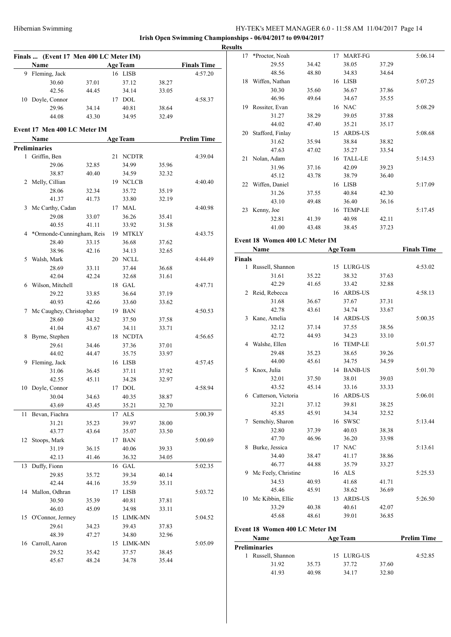|        | Finals  (Event 17 Men 400 LC Meter IM) |       |    |                 |       |                    |
|--------|----------------------------------------|-------|----|-----------------|-------|--------------------|
|        | Name                                   |       |    | <b>Age Team</b> |       | <b>Finals Time</b> |
| 9      | Fleming, Jack                          |       |    | 16 LISB         |       | 4:57.20            |
|        | 30.60                                  | 37.01 |    | 37.12           | 38.27 |                    |
|        | 42.56                                  | 44.45 |    | 34.14           | 33.05 |                    |
| 10     | Doyle, Connor                          |       |    | 17 DOL          |       | 4:58.37            |
|        | 29.96                                  | 34.14 |    | 40.81           | 38.64 |                    |
|        | 44.08                                  | 43.30 |    | 34.95           | 32.49 |                    |
|        |                                        |       |    |                 |       |                    |
|        | Event 17 Men 400 LC Meter IM           |       |    |                 |       |                    |
|        | Name                                   |       |    | <b>Age Team</b> |       | <b>Prelim Time</b> |
|        | <b>Preliminaries</b>                   |       |    |                 |       |                    |
| 1      | Griffin, Ben                           |       | 21 | <b>NCDTR</b>    |       | 4:39.04            |
|        | 29.06                                  | 32.85 |    | 34.99           | 35.96 |                    |
|        | 38.87                                  | 40.40 |    | 34.59           | 32.32 |                    |
| 2      | Melly, Cillian                         |       |    | 19 NCLCB        |       | 4:40.40            |
|        | 28.06                                  | 32.34 |    | 35.72           | 35.19 |                    |
|        | 41.37                                  | 41.73 |    | 33.80           | 32.19 |                    |
| 3      | Mc Carthy, Cadan                       |       |    | 17 MAL          |       | 4:40.98            |
|        | 29.08                                  | 33.07 |    | 36.26           | 35.41 |                    |
|        | 40.55                                  | 41.11 |    | 33.92           | 31.58 |                    |
| 4      | *Ormonde-Cunningham, Reis              |       |    | 19 MTKLY        |       | 4:43.75            |
|        | 28.40                                  | 33.15 |    | 36.68           | 37.62 |                    |
|        | 38.96                                  | 42.16 |    | 34.13           | 32.65 |                    |
| 5      | Walsh, Mark                            |       |    | 20 NCLL         |       | 4:44.49            |
|        | 28.69                                  | 33.11 |    | 37.44           | 36.68 |                    |
|        | 42.04                                  | 42.24 |    | 32.68           | 31.61 |                    |
|        | 6 Wilson, Mitchell                     |       |    | 18 GAL          |       | 4:47.71            |
|        | 29.22                                  | 33.85 |    | 36.64           | 37.19 |                    |
|        | 40.93                                  | 42.66 |    | 33.60           | 33.62 |                    |
| 7      | Mc Caughey, Christopher                |       |    | 19 BAN          |       | 4:50.53            |
|        | 28.60                                  | 34.32 |    | 37.50           | 37.58 |                    |
|        | 41.04                                  | 43.67 |    | 34.11           | 33.71 |                    |
| 8      | Byrne, Stephen                         |       |    | 18 NCDTA        |       | 4:56.65            |
|        | 29.61                                  | 34.46 |    | 37.36           | 37.01 |                    |
|        | 44.02                                  | 44.47 |    | 35.75           | 33.97 |                    |
| 9      | Fleming, Jack                          |       |    | 16 LISB         |       | 4:57.45            |
|        | 31.06                                  | 36.45 |    | 37.11           | 37.92 |                    |
|        | 42.55                                  | 45.11 |    | 34.28           | 32.97 |                    |
|        | 10 Doyle, Connor                       |       |    | 17 DOL          |       | 4:58.94            |
|        | 30.04                                  | 34.63 |    | 40.35           | 38.87 |                    |
|        | 43.69                                  | 43.45 |    | 35.21           | 32.70 |                    |
| $11\,$ | Bevan, Fiachra                         |       | 17 | ALS             |       | 5:00.39            |
|        | 31.21                                  | 35.23 |    | 39.97           | 38.00 |                    |
|        | 43.77                                  | 43.64 |    | 35.07           | 33.50 |                    |
| 12     | Stoops, Mark                           |       |    | 17 BAN          |       | 5:00.69            |
|        | 31.19                                  | 36.15 |    | 40.06           | 39.33 |                    |
|        | 42.13                                  | 41.46 |    | 36.32           | 34.05 |                    |
| 13     | Duffy, Fionn                           |       | 16 | GAL             |       | 5:02.35            |
|        | 29.85                                  | 35.72 |    | 39.34           | 40.14 |                    |
|        | 42.44                                  | 44.16 |    | 35.59           | 35.11 |                    |
| 14     | Mallon, Odhran                         |       |    | 17 LISB         |       | 5:03.72            |
|        | 30.50                                  | 35.39 |    | 40.81           | 37.81 |                    |
|        | 46.03                                  | 45.09 |    | 34.98           | 33.11 |                    |
| 15     | O'Connor, Jermey                       |       |    | 15 LIMK-MN      |       | 5:04.52            |
|        | 29.61                                  | 34.23 |    | 39.43           | 37.83 |                    |
|        | 48.39                                  | 47.27 |    | 34.80           | 32.96 |                    |
| 16     | Carroll, Aaron                         |       |    | 15 LIMK-MN      |       | 5:05.09            |
|        | 29.52                                  | 35.42 |    | 37.57           | 38.45 |                    |
|        | 45.67                                  | 48.24 |    | 34.78           | 35.44 |                    |
|        |                                        |       |    |                 |       |                    |

| 17            | *Proctor, Noah                 |       | 17 MART-FG      |       | 5:06.14            |
|---------------|--------------------------------|-------|-----------------|-------|--------------------|
|               | 29.55                          | 34.42 | 38.05           | 37.29 |                    |
|               | 48.56                          | 48.80 | 34.83           | 34.64 |                    |
|               | 18 Wiffen, Nathan              |       | 16 LISB         |       | 5:07.25            |
|               | 30.30                          | 35.60 | 36.67           | 37.86 |                    |
|               | 46.96                          | 49.64 | 34.67           | 35.55 |                    |
|               | 19 Rossiter, Evan              |       | 16 NAC          |       | 5:08.29            |
|               | 31.27                          | 38.29 | 39.05           | 37.88 |                    |
|               | 44.02                          | 47.40 | 35.21           | 35.17 |                    |
|               | 20 Stafford, Finlay            |       | 15 ARDS-US      |       | 5:08.68            |
|               | 31.62                          | 35.94 | 38.84           | 38.82 |                    |
|               | 47.63                          | 47.02 | 35.27           | 33.54 |                    |
|               | 21 Nolan, Adam                 |       | 16 TALL-LE      |       | 5:14.53            |
|               | 31.96                          | 37.16 | 42.09           | 39.23 |                    |
|               | 45.12                          | 43.78 | 38.79           | 36.40 |                    |
|               | 22 Wiffen, Daniel              |       | 16 LISB         |       | 5:17.09            |
|               | 31.26                          | 37.55 | 40.84           | 42.30 |                    |
|               | 43.10                          | 49.48 | 36.40           | 36.16 |                    |
|               | 23 Kenny, Joe                  |       | 16 TEMP-LE      |       | 5:17.45            |
|               | 32.81                          | 41.39 | 40.98           | 42.11 |                    |
|               | 41.00                          | 43.48 | 38.45           | 37.23 |                    |
|               |                                |       |                 |       |                    |
|               | Event 18 Women 400 LC Meter IM |       |                 |       |                    |
|               | Name                           |       | <b>Age Team</b> |       | <b>Finals Time</b> |
| <b>Finals</b> |                                |       |                 |       |                    |
|               | 1 Russell, Shannon             |       | 15 LURG-US      |       | 4:53.02            |
|               | 31.61                          | 35.22 | 38.32           | 37.63 |                    |
|               | 42.29                          | 41.65 | 33.42           | 32.88 |                    |
|               | 2 Reid, Rebecca                |       | 16 ARDS-US      |       | 4:58.13            |
|               | 31.68                          | 36.67 | 37.67           | 37.31 |                    |
|               | 42.78                          | 43.61 | 34.74           | 33.67 |                    |
|               | 3 Kane, Amelia                 |       | 14 ARDS-US      |       | 5:00.35            |
|               | 32.12                          | 37.14 | 37.55           | 38.56 |                    |
|               | 42.72                          | 44.93 | 34.23           | 33.10 |                    |
|               | 4 Walshe, Ellen                |       | 16 TEMP-LE      |       | 5:01.57            |
|               | 29.48                          | 35.23 | 38.65           | 39.26 |                    |
|               | 44.00                          | 45.61 | 34.75           | 34.59 |                    |
| 5             | Knox, Julia                    |       | 14 BANB-US      |       | 5:01.70            |
|               | 32.01                          | 37.50 | 38.01           | 39.03 |                    |
|               | 43.52                          | 45.14 | 33.16           | 33.33 |                    |
|               | 6 Catterson, Victoria          |       | 16 ARDS-US      |       | 5:06.01            |
|               | 32.21                          | 37.12 | 39.81           | 38.25 |                    |
|               | 45.85                          | 45.91 | 34.34           | 32.52 |                    |
| 7             | Semchiy, Sharon                |       | 16 SWSC         |       | 5:13.44            |
|               | 32.80                          | 37.39 | 40.03           | 38.38 |                    |
|               | 47.70                          | 46.96 | 36.20           | 33.98 |                    |
| 8             | Burke, Jessica                 |       | 17 NAC          |       | 5:13.61            |
|               | 34.40                          | 38.47 | 41.17           | 38.86 |                    |
|               | 46.77                          | 44.88 | 35.79           | 33.27 |                    |
|               | 9 Mc Feely, Christine          |       | 16 ALS          |       | 5:25.53            |
|               | 34.53                          |       | 41.68           |       |                    |
|               | 45.46                          | 40.93 | 38.62           | 41.71 |                    |
|               |                                | 45.91 |                 | 36.69 |                    |
|               | Mc Kibbin, Ellie               | 40.38 | 13 ARDS-US      |       | 5:26.50            |
| 10            |                                |       | 40.61           | 42.07 |                    |
|               | 33.29                          |       |                 |       |                    |
|               | 45.68                          | 48.61 | 39.01           | 36.85 |                    |
|               | Event 18 Women 400 LC Meter IM |       |                 |       |                    |

| wann                 |       | тес теаш   | ттении типе |         |  |
|----------------------|-------|------------|-------------|---------|--|
| <b>Preliminaries</b> |       |            |             |         |  |
| Russell, Shannon     |       | 15 LURG-US |             | 4:52.85 |  |
| 31.92                | 35.73 | 37.72      | 37.60       |         |  |
| 41 93                | 40.98 | 34.17      | 32.80       |         |  |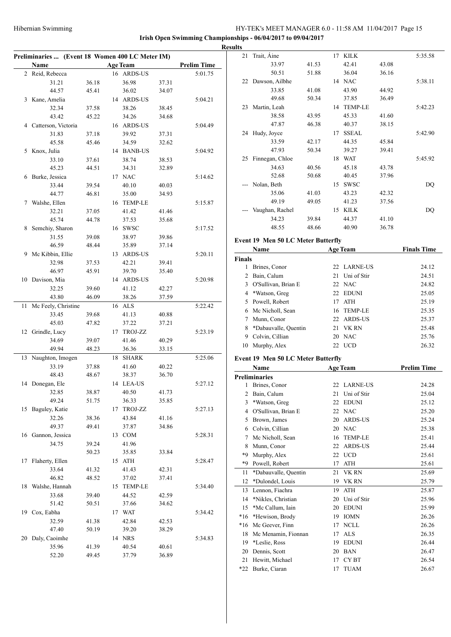| Preliminaries  (Event 18 Women 400 LC Meter IM) |                       |       |  |                 |       |                    |  |  |  |  |
|-------------------------------------------------|-----------------------|-------|--|-----------------|-------|--------------------|--|--|--|--|
|                                                 | Name                  |       |  | <b>Age Team</b> |       | <b>Prelim Time</b> |  |  |  |  |
| $\overline{2}$                                  | Reid, Rebecca         |       |  | 16 ARDS-US      |       | 5:01.75            |  |  |  |  |
|                                                 | 31.21                 | 36.18 |  | 36.98           | 37.31 |                    |  |  |  |  |
|                                                 | 44.57                 | 45.41 |  | 36.02           | 34.07 |                    |  |  |  |  |
| 3                                               | Kane, Amelia          |       |  | 14 ARDS-US      |       | 5:04.21            |  |  |  |  |
|                                                 | 32.34                 | 37.58 |  | 38.26           | 38.45 |                    |  |  |  |  |
|                                                 | 43.42                 | 45.22 |  | 34.26           | 34.68 |                    |  |  |  |  |
|                                                 | 4 Catterson, Victoria |       |  | 16 ARDS-US      |       | 5:04.49            |  |  |  |  |
|                                                 | 31.83                 | 37.18 |  | 39.92           | 37.31 |                    |  |  |  |  |
|                                                 | 45.58                 | 45.46 |  | 34.59           | 32.62 |                    |  |  |  |  |
| 5                                               | Knox, Julia           |       |  | 14 BANB-US      |       | 5:04.92            |  |  |  |  |
|                                                 | 33.10                 | 37.61 |  | 38.74           | 38.53 |                    |  |  |  |  |
|                                                 | 45.23                 | 44.51 |  | 34.31           | 32.89 |                    |  |  |  |  |
| 6                                               | Burke, Jessica        |       |  | 17 NAC          |       | 5:14.62            |  |  |  |  |
|                                                 | 33.44                 | 39.54 |  | 40.10           | 40.03 |                    |  |  |  |  |
|                                                 | 44.77                 | 46.81 |  | 35.00           | 34.93 |                    |  |  |  |  |
| 7                                               | Walshe, Ellen         |       |  | 16 TEMP-LE      |       | 5:15.87            |  |  |  |  |
|                                                 | 32.21                 | 37.05 |  | 41.42           | 41.46 |                    |  |  |  |  |
|                                                 | 45.74                 | 44.78 |  | 37.53           | 35.68 |                    |  |  |  |  |
| 8                                               | Semchiy, Sharon       |       |  | 16 SWSC         |       | 5:17.52            |  |  |  |  |
|                                                 | 31.55                 | 39.08 |  | 38.97           | 39.86 |                    |  |  |  |  |
|                                                 | 46.59                 | 48.44 |  | 35.89           | 37.14 |                    |  |  |  |  |
| 9.                                              | Mc Kibbin, Ellie      |       |  | 13 ARDS-US      |       | 5:20.11            |  |  |  |  |
|                                                 | 32.98                 | 37.53 |  | 42.21           | 39.41 |                    |  |  |  |  |
|                                                 | 46.97                 | 45.91 |  | 39.70           | 35.40 |                    |  |  |  |  |
| 10                                              | Davison, Mia          |       |  | 14 ARDS-US      |       | 5:20.98            |  |  |  |  |
|                                                 | 32.25                 | 39.60 |  | 41.12           | 42.27 |                    |  |  |  |  |
|                                                 | 43.80                 | 46.09 |  | 38.26           | 37.59 |                    |  |  |  |  |
| 11                                              | Mc Feely, Christine   |       |  | 16 ALS          |       | 5:22.42            |  |  |  |  |
|                                                 | 33.45                 | 39.68 |  | 41.13           | 40.88 |                    |  |  |  |  |
|                                                 | 45.03                 | 47.82 |  | 37.22           | 37.21 |                    |  |  |  |  |
| 12                                              | Grindle, Lucy         |       |  | 17 TROJ-ZZ      |       | 5:23.19            |  |  |  |  |
|                                                 | 34.69                 | 39.07 |  | 41.46           | 40.29 |                    |  |  |  |  |
|                                                 | 49.94                 | 48.23 |  | 36.36           | 33.15 |                    |  |  |  |  |
| 13                                              | Naughton, Imogen      |       |  | 18 SHARK        |       | 5:25.06            |  |  |  |  |
|                                                 | 33.19                 | 37.88 |  | 41.60           | 40.22 |                    |  |  |  |  |
|                                                 | 48.43                 | 48.67 |  | 38.37           | 36.70 |                    |  |  |  |  |
| 14                                              | Donegan, Ele          |       |  | 14 LEA-US       |       | 5:27.12            |  |  |  |  |
|                                                 | 32.85                 | 38.87 |  | 40.50           | 41.73 |                    |  |  |  |  |
|                                                 | 49.24                 | 51.75 |  | 36.33           | 35.85 |                    |  |  |  |  |
| 15                                              | Baguley, Katie        |       |  | 17 TROJ-ZZ      |       | 5:27.13            |  |  |  |  |
|                                                 | 32.26                 | 38.36 |  | 43.84           | 41.16 |                    |  |  |  |  |
|                                                 | 49.37                 | 49.41 |  | 37.87           | 34.86 |                    |  |  |  |  |
| 16                                              | Gannon, Jessica       |       |  | 13 COM          |       | 5:28.31            |  |  |  |  |
|                                                 | 34.75                 | 39.24 |  | 41.96           |       |                    |  |  |  |  |
|                                                 |                       | 50.23 |  | 35.85           | 33.84 |                    |  |  |  |  |
| 17                                              | Flaherty, Ellen       |       |  | 15 ATH          |       | 5:28.47            |  |  |  |  |
|                                                 | 33.64                 | 41.32 |  | 41.43           | 42.31 |                    |  |  |  |  |
|                                                 | 46.82                 | 48.52 |  | 37.02           | 37.41 |                    |  |  |  |  |
| 18                                              | Walshe, Hannah        |       |  | 15 TEMP-LE      |       | 5:34.40            |  |  |  |  |
|                                                 | 33.68                 | 39.40 |  | 44.52           | 42.59 |                    |  |  |  |  |
|                                                 | 51.42                 | 50.51 |  | 37.66           | 34.62 |                    |  |  |  |  |
| 19                                              | Cox, Eabha            |       |  | 17 WAT          |       | 5:34.42            |  |  |  |  |
|                                                 | 32.59                 | 41.38 |  | 42.84           | 42.53 |                    |  |  |  |  |
|                                                 | 47.40                 | 50.19 |  | 39.20           | 38.29 |                    |  |  |  |  |
| 20                                              | Daly, Caoimhe         |       |  | 14 NRS          |       | 5:34.83            |  |  |  |  |
|                                                 | 35.96                 | 41.39 |  | 40.54           | 40.61 |                    |  |  |  |  |
|                                                 | 52.20                 | 49.45 |  | 37.79           | 36.89 |                    |  |  |  |  |

| <b>Results</b> |                                        |       |    |                   |       |                    |
|----------------|----------------------------------------|-------|----|-------------------|-------|--------------------|
| 21             | Trait, Aine                            |       |    | 17 KILK           |       | 5:35.58            |
|                | 33.97                                  | 41.53 |    | 42.41             | 43.08 |                    |
|                | 50.51                                  | 51.88 |    | 36.04             | 36.16 |                    |
|                | 22 Dawson, Ailbhe                      |       |    | 14 NAC            |       | 5:38.11            |
|                |                                        |       |    |                   | 44.92 |                    |
|                | 33.85                                  | 41.08 |    | 43.90             |       |                    |
|                | 49.68                                  | 50.34 |    | 37.85             | 36.49 |                    |
|                | 23 Martin, Leah                        |       |    | 14 TEMP-LE        |       | 5:42.23            |
|                | 38.58                                  | 43.95 |    | 45.33             | 41.60 |                    |
|                | 47.87                                  | 46.38 |    | 40.37             | 38.15 |                    |
|                | 24 Hudy, Joyce                         |       |    | 17 SSEAL          |       | 5:42.90            |
|                | 33.59                                  | 42.17 |    | 44.35             | 45.84 |                    |
|                | 47.93                                  | 50.34 |    | 39.27             | 39.41 |                    |
|                | 25 Finnegan, Chloe                     |       |    | 18 WAT            |       | 5:45.92            |
|                | 34.63                                  | 40.56 |    | 45.18             | 43.78 |                    |
|                | 52.68                                  | 50.68 |    | 40.45             | 37.96 |                    |
|                | --- Nolan, Beth                        |       |    | 15 SWSC           |       | DQ                 |
|                | 35.06                                  | 41.03 |    | 43.23             | 42.32 |                    |
|                | 49.19                                  | 49.05 |    | 41.23             | 37.56 |                    |
|                | Vaughan, Rachel                        |       |    | 15 KILK           |       | DQ                 |
|                | 34.23                                  | 39.84 |    | 44.37             | 41.10 |                    |
|                | 48.55                                  | 48.66 |    | 40.90             | 36.78 |                    |
|                |                                        |       |    |                   |       |                    |
|                | Event 19 Men 50 LC Meter Butterfly     |       |    |                   |       |                    |
|                | Name                                   |       |    | <b>Age Team</b>   |       | <b>Finals Time</b> |
| <b>Finals</b>  |                                        |       |    |                   |       |                    |
|                | 1 Brines, Conor                        |       |    | 22 LARNE-US       |       | 24.12              |
|                | 2 Bain, Calum                          |       |    | 21 Uni of Stir    |       | 24.51              |
|                | 3 O'Sullivan, Brian E                  |       |    | 22 NAC            |       | 24.82              |
|                | 4 *Watson, Greg                        |       |    | 22 EDUNI          |       | 25.05              |
|                | 5 Powell, Robert                       |       |    | 17 ATH            |       | 25.19              |
|                | 6 Mc Nicholl, Sean                     |       |    | 16 TEMP-LE        |       | 25.35              |
|                | 7 Munn, Conor                          |       |    | 22 ARDS-US        |       | 25.37              |
|                | 8 *Dabauvalle, Quentin                 |       |    | 21 VK RN          |       | 25.48              |
|                | 9 Colvin, Cillian                      |       |    | 20 NAC            |       | 25.76              |
| 10             | Murphy, Alex                           |       |    | 22 UCD            |       | 26.32              |
|                | Event 19 Men 50 LC Meter Butterfly     |       |    |                   |       |                    |
|                | Name                                   |       |    | Age Team          |       | <b>Prelim Time</b> |
|                | <b>Preliminaries</b>                   |       |    |                   |       |                    |
| 1              | Brines, Conor                          |       | 22 | <b>LARNE-US</b>   |       | 24.28              |
|                | Bain, Calum                            |       | 21 |                   |       |                    |
| 2              |                                        |       |    | Uni of Stir       |       | 25.04              |
| 3              | *Watson, Greg                          |       |    | 22 EDUNI          |       | 25.12              |
|                | 4 O'Sullivan, Brian E                  |       |    | 22 NAC            |       | 25.20              |
|                | 5 Brown, James                         |       | 20 | <b>ARDS-US</b>    |       | 25.24              |
|                | 6 Colvin, Cillian                      |       |    | 20 NAC            |       | 25.38              |
| 7              | Mc Nicholl, Sean                       |       |    | 16 TEMP-LE        |       | 25.41              |
|                |                                        |       |    | 22 ARDS-US        |       | 25.44              |
| 8              | Munn, Conor                            |       |    |                   |       |                    |
| *9             | Murphy, Alex                           |       |    | 22 UCD            |       | 25.61              |
| *9             | Powell, Robert                         |       |    | 17 ATH            |       | 25.61              |
| 11             | *Dabauvalle, Quentin                   |       | 21 | VK RN             |       | 25.69              |
| 12             | *Dulondel, Louis                       |       |    | 19 VK RN          |       | 25.79              |
| 13             | Lennon, Fiachra                        |       | 19 | ATH               |       | 25.87              |
|                |                                        |       |    |                   |       |                    |
| 14             | *Nikles, Christian                     |       | 20 | Uni of Stir       |       | 25.96              |
| 15             | *Mc Callum, Iain                       |       |    | 20 EDUNI          |       | 25.99              |
| $*16$          | *Hewison, Brody                        |       |    | 19 IOMN           |       | 26.26              |
|                | *16 Mc Geever, Finn                    |       |    | 17 NCLL           |       | 26.26              |
|                | 18 Mc Menamin, Fionnan                 |       |    | 17 ALS            |       | 26.35              |
|                | 19 *Leslie, Ross                       |       |    | 19 EDUNI          |       | 26.44              |
|                | 20 Dennis, Scott<br>21 Hewitt, Michael |       |    | 20 BAN<br>17 CYBT |       | 26.47<br>26.54     |

\*22 Burke, Ciaran 17 TUAM 26.67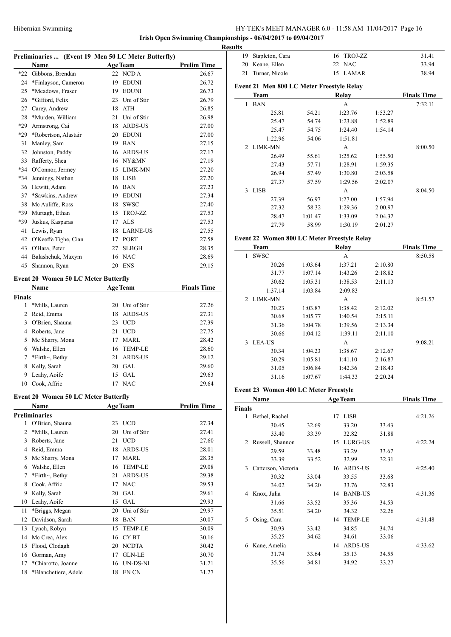**Irish Open Swimming Championships - 06/04/2017 to 09/04/2017 Results**

|                | Preliminaries  (Event 19 Men 50 LC Meter Butterfly) |    |                 |                    |
|----------------|-----------------------------------------------------|----|-----------------|--------------------|
|                | Name                                                |    | <b>Age Team</b> | <b>Prelim Time</b> |
| $*22$          | Gibbons, Brendan                                    |    | 22 NCD A        | 26.67              |
| 24             | *Finlayson, Cameron                                 |    | 19 EDUNI        | 26.72              |
| 25             | *Meadows, Fraser                                    |    | 19 EDUNI        | 26.73              |
| 26             | *Gifford, Felix                                     |    | 23 Uni of Stir  | 26.79              |
| 27             | Carey, Andrew                                       |    | 18 ATH          | 26.85              |
| 28             | *Murden, William                                    |    | 21 Uni of Stir  | 26.98              |
| *29            | Armstrong, Cai                                      |    | 18 ARDS-US      | 27.00              |
| *29            | *Robertson, Alastair                                |    | 20 EDUNI        | 27.00              |
| 31             | Manley, Sam                                         |    | 19 BAN          | 27.15              |
| 32             | Johnston, Paddy                                     |    | 16 ARDS-US      | 27.17              |
| 33             | Rafferty, Shea                                      |    | 16 NY&MN        | 27.19              |
| *34            | O'Connor, Jermey                                    |    | 15 LIMK-MN      | 27.20              |
| *34            | Jennings, Nathan                                    |    | 18 LISB         | 27.20              |
| 36             | Hewitt, Adam                                        |    | 16 BAN          | 27.23              |
| 37             | *Sawkins, Andrew                                    |    | 19 EDUNI        | 27.34              |
| 38             | Mc Auliffe, Ross                                    |    | 18 SWSC         | 27.40              |
|                | Murtagh, Ethan                                      |    |                 |                    |
| *39            |                                                     |    | 15 TROJ-ZZ      | 27.53              |
| *39            | Juskus, Kasparas                                    |    | 17 ALS          | 27.53              |
| 41             | Lewis, Ryan                                         |    | 18 LARNE-US     | 27.55              |
| 42             | O'Keeffe Tighe, Cian                                |    | 17 PORT         | 27.58              |
| 43             | O'Hara, Peter                                       | 27 | <b>SLBGH</b>    | 28.35              |
| 44             | Balashchuk, Maxym                                   |    | 16 NAC          | 28.69              |
| 45             | Shannon, Ryan                                       | 20 | <b>ENS</b>      | 29.15              |
|                | <b>Event 20 Women 50 LC Meter Butterfly</b>         |    |                 |                    |
|                | Name                                                |    |                 | <b>Finals Time</b> |
|                |                                                     |    | <b>Age Team</b> |                    |
| <b>Finals</b>  |                                                     |    |                 |                    |
| 1              | *Mills, Lauren                                      |    | 20 Uni of Stir  | 27.26              |
| $\overline{c}$ | Reid, Emma                                          | 18 | ARDS-US         | 27.31              |
| 3              | O'Brien, Shauna                                     | 23 | $UCD$           | 27.39              |
| 4              | Roberts, Jane                                       | 21 | <b>UCD</b>      | 27.75              |
| 5              | Mc Sharry, Mona                                     |    | 17 MARL         | 28.42              |
|                | 6 Walshe, Ellen                                     |    | 16 TEMP-LE      | 28.60              |
| 7              | *Firth~, Bethy                                      | 21 | ARDS-US         | 29.12              |
| 8              | Kelly, Sarah                                        |    | 20 GAL          | 29.60              |
| 9              | Leahy, Aoife                                        |    | 15 GAL          | 29.63              |
| 10             | Cook, Affric                                        | 17 | <b>NAC</b>      | 29.64              |
|                |                                                     |    |                 |                    |
|                | <b>Event 20 Women 50 LC Meter Butterfly</b>         |    |                 |                    |
|                | Name                                                |    | <b>Age Team</b> | <b>Prelim Time</b> |
|                | <b>Preliminaries</b>                                |    |                 |                    |
|                | 1 O'Brien, Shauna                                   |    | 23 UCD          | 27.34              |
| 2              | *Mills, Lauren                                      |    | 20 Uni of Stir  | 27.41              |
| 3              | Roberts, Jane                                       |    | 21 UCD          | 27.60              |
| 4              | Reid, Emma                                          |    | 18 ARDS-US      | 28.01              |
| 5              | Mc Sharry, Mona                                     |    | 17 MARL         | 28.35              |
|                | 6 Walshe, Ellen                                     |    | 16 TEMP-LE      | 29.08              |
| $\tau$         | *Firth~, Bethy                                      | 21 | ARDS-US         | 29.38              |
| 8              | Cook, Affric                                        | 17 | <b>NAC</b>      | 29.53              |
| 9              | Kelly, Sarah                                        |    | 20 GAL          | 29.61              |
| 10             | Leahy, Aoife                                        |    | 15 GAL          | 29.93              |
| 11             | *Briggs, Megan                                      | 20 | Uni of Stir     | 29.97              |
| 12             | Davidson, Sarah                                     | 18 | <b>BAN</b>      | 30.07              |
|                |                                                     |    |                 |                    |
| 13             | Lynch, Robyn                                        | 15 | <b>TEMP-LE</b>  | 30.09              |
| 14             | Mc Crea, Alex                                       | 16 | CY BT           | 30.16              |
| 15             | Flood, Clodagh                                      |    | 20 NCDTA        | 30.42              |
| 16             | Gorman, Amy                                         |    | 17 GLN-LE       | 30.70              |
| 17             | *Chiarotto, Joanne                                  | 16 | UN-DS-NI        | 31.21              |
| 18             | *Blanchetiere, Adele                                | 18 | EN CN           | 31.27              |

| 19 | Stapleton, Cara                             |         | TROJ-ZZ<br>16    |         | 31.41              |
|----|---------------------------------------------|---------|------------------|---------|--------------------|
| 20 | Keane, Ellen                                |         | 22<br><b>NAC</b> |         | 33.94              |
| 21 | Turner, Nicole                              |         | 15 LAMAR         |         | 38.94              |
|    | Event 21 Men 800 LC Meter Freestyle Relay   |         |                  |         |                    |
|    | Team                                        |         | Relay            |         | <b>Finals Time</b> |
| 1  | <b>BAN</b>                                  |         | A                |         | 7:32.11            |
|    | 25.81                                       | 54.21   | 1:23.76          | 1:53.27 |                    |
|    | 25.47                                       | 54.74   | 1:23.88          | 1:52.89 |                    |
|    | 25.47                                       | 54.75   | 1:24.40          | 1:54.14 |                    |
|    | 1:22.96                                     | 54.06   | 1:51.81          |         |                    |
| 2  | <b>LIMK-MN</b>                              |         | А                |         | 8:00.50            |
|    | 26.49                                       | 55.61   | 1:25.62          | 1:55.50 |                    |
|    | 27.43                                       | 57.71   | 1:28.91          | 1:59.35 |                    |
|    | 26.94                                       | 57.49   | 1:30.80          | 2:03.58 |                    |
|    | 27.37                                       | 57.59   | 1:29.56          | 2:02.07 |                    |
|    | 3 LISB                                      |         | A                |         | 8:04.50            |
|    | 27.39                                       | 56.97   | 1:27.00          | 1:57.94 |                    |
|    | 27.32                                       | 58.32   | 1:29.36          | 2:00.97 |                    |
|    | 28.47                                       | 1:01.47 | 1:33.09          | 2:04.32 |                    |
|    | 27.79                                       | 58.99   | 1:30.19          | 2:01.27 |                    |
|    | Event 22 Women 800 LC Meter Freestyle Relay |         |                  |         |                    |
|    | Team                                        |         | Relay            |         | <b>Finals Time</b> |
| 1  | <b>SWSC</b>                                 |         | A                |         | 8:50.58            |
|    | 30.26                                       | 1:03.64 | 1:37.21          | 2:10.80 |                    |
|    | 31.77                                       | 1:07.14 | 1:43.26          | 2:18.82 |                    |
|    | 30.62                                       | 1:05.31 | 1:38.53          | 2:11.13 |                    |
|    | 1:37.14                                     | 1:03.84 | 2:09.83          |         |                    |
| 2  | <b>LIMK-MN</b>                              |         | A                |         | 8:51.57            |
|    | 30.23                                       | 1:03.87 | 1:38.42          | 2:12.02 |                    |
|    | 30.68                                       | 1:05.77 | 1:40.54          | 2:15.11 |                    |
|    | 31.36                                       | 1:04.78 | 1:39.56          | 2:13.34 |                    |
|    | 30.66                                       | 1:04.12 | 1:39.11          | 2:11.10 |                    |
|    | 3 LEA-US                                    |         | A                |         | 9:08.21            |
|    | 30.34                                       | 1:04.23 | 1:38.67          | 2:12.67 |                    |
|    | 30.29                                       | 1:05.81 | 1:41.10          | 2:16.87 |                    |
|    | 31.05                                       | 1:06.84 | 1:42.36          | 2:18.43 |                    |
|    |                                             |         |                  |         |                    |
|    | 31.16                                       | 1:07.67 | 1:44.33          | 2:20.24 |                    |

|               | Name                |       |    | <b>Age Team</b> |       | <b>Finals Time</b> |  |
|---------------|---------------------|-------|----|-----------------|-------|--------------------|--|
| <b>Finals</b> |                     |       |    |                 |       |                    |  |
| 1             | Bethel, Rachel      |       | 17 | <b>LISB</b>     |       | 4:21.26            |  |
|               | 30.45               | 32.69 |    | 33.20           | 33.43 |                    |  |
|               | 33.40               | 33.39 |    | 32.82           | 31.88 |                    |  |
| 2             | Russell, Shannon    |       | 15 | <b>LURG-US</b>  |       | 4:22.24            |  |
|               | 29.59               | 33.48 |    | 33.29           | 33.67 |                    |  |
|               | 33.39               | 33.52 |    | 32.99           | 32.31 |                    |  |
| 3             | Catterson, Victoria |       | 16 | <b>ARDS-US</b>  |       | 4:25.40            |  |
|               | 30.32               | 33.04 |    | 33.55           | 33.68 |                    |  |
|               | 34.02               | 34.20 |    | 33.76           | 32.83 |                    |  |
| 4             | Knox, Julia         |       | 14 | <b>BANB-US</b>  |       | 4:31.36            |  |
|               | 31.66               | 33.52 |    | 35.36           | 34.53 |                    |  |
|               | 35.51               | 34.20 |    | 34.32           | 32.26 |                    |  |
| 5             | Osing, Cara         |       | 14 | <b>TEMP-LE</b>  |       | 4:31.48            |  |
|               | 30.93               | 33.42 |    | 34.85           | 34.74 |                    |  |
|               | 35.25               | 34.62 |    | 34.61           | 33.06 |                    |  |
| 6             | Kane, Amelia        |       | 14 | <b>ARDS-US</b>  |       | 4:33.62            |  |
|               | 31.74               | 33.64 |    | 35.13           | 34.55 |                    |  |
|               | 35.56               | 34.81 |    | 34.92           | 33.27 |                    |  |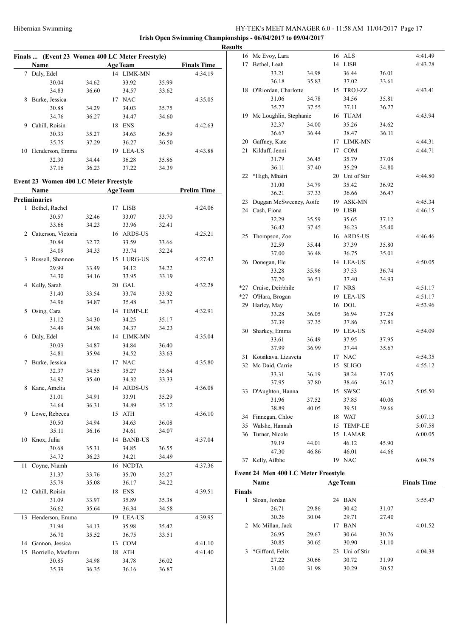|              | Finals  (Event 23 Women 400 LC Meter Freestyle) |       |    |                 |       |                    |  |  |  |  |  |  |
|--------------|-------------------------------------------------|-------|----|-----------------|-------|--------------------|--|--|--|--|--|--|
|              | Name                                            |       |    | <b>Age Team</b> |       | <b>Finals Time</b> |  |  |  |  |  |  |
| 7            | Daly, Edel                                      |       |    | 14 LIMK-MN      |       | 4:34.19            |  |  |  |  |  |  |
|              | 30.04                                           | 34.62 |    | 33.92           | 35.99 |                    |  |  |  |  |  |  |
|              | 34.83                                           | 36.60 |    | 34.57           | 33.62 |                    |  |  |  |  |  |  |
| 8            | Burke, Jessica                                  |       |    | 17 NAC          |       | 4:35.05            |  |  |  |  |  |  |
|              | 30.88                                           | 34.29 |    | 34.03           | 35.75 |                    |  |  |  |  |  |  |
|              | 34.76                                           | 36.27 |    | 34.47           | 34.60 |                    |  |  |  |  |  |  |
| 9            | Cahill, Roisin                                  |       |    | 18 ENS          |       | 4:42.63            |  |  |  |  |  |  |
|              | 30.33                                           | 35.27 |    | 34.63           | 36.59 |                    |  |  |  |  |  |  |
|              | 35.75                                           | 37.29 |    | 36.27           | 36.50 |                    |  |  |  |  |  |  |
| 10           | Henderson, Emma                                 |       |    | 19 LEA-US       |       | 4:43.88            |  |  |  |  |  |  |
|              | 32.30                                           | 34.44 |    | 36.28           | 35.86 |                    |  |  |  |  |  |  |
|              | 37.16                                           | 36.23 |    | 37.22           | 34.39 |                    |  |  |  |  |  |  |
|              |                                                 |       |    |                 |       |                    |  |  |  |  |  |  |
|              | Event 23 Women 400 LC Meter Freestyle           |       |    |                 |       |                    |  |  |  |  |  |  |
|              | Name                                            |       |    | <b>Age Team</b> |       | <b>Prelim Time</b> |  |  |  |  |  |  |
|              | <b>Preliminaries</b>                            |       |    |                 |       |                    |  |  |  |  |  |  |
| $\mathbf{1}$ | Bethel, Rachel                                  |       |    | 17 LISB         |       | 4:24.06            |  |  |  |  |  |  |
|              | 30.57                                           | 32.46 |    | 33.07           | 33.70 |                    |  |  |  |  |  |  |
|              | 33.66                                           | 34.23 |    | 33.96           | 32.41 |                    |  |  |  |  |  |  |
|              | 2 Catterson, Victoria                           |       |    | 16 ARDS-US      |       | 4:25.21            |  |  |  |  |  |  |
|              | 30.84                                           | 32.72 |    | 33.59           | 33.66 |                    |  |  |  |  |  |  |
|              | 34.09                                           | 34.33 |    | 33.74           | 32.24 |                    |  |  |  |  |  |  |
| 3            | Russell, Shannon                                |       |    | 15 LURG-US      |       | 4:27.42            |  |  |  |  |  |  |
|              | 29.99                                           | 33.49 |    | 34.12           | 34.22 |                    |  |  |  |  |  |  |
|              | 34.30                                           | 34.16 |    | 33.95           | 33.19 |                    |  |  |  |  |  |  |
|              | 4 Kelly, Sarah                                  |       |    | 20 GAL          |       | 4:32.28            |  |  |  |  |  |  |
|              | 31.40                                           | 33.54 |    | 33.74           | 33.92 |                    |  |  |  |  |  |  |
|              | 34.96                                           | 34.87 |    | 35.48           | 34.37 |                    |  |  |  |  |  |  |
| 5            | Osing, Cara                                     |       |    | 14 TEMP-LE      |       | 4:32.91            |  |  |  |  |  |  |
|              | 31.12                                           | 34.30 |    | 34.25           | 35.17 |                    |  |  |  |  |  |  |
|              | 34.49                                           | 34.98 |    | 34.37           | 34.23 |                    |  |  |  |  |  |  |
| 6            | Daly, Edel                                      |       |    | 14 LIMK-MN      |       | 4:35.04            |  |  |  |  |  |  |
|              | 30.03                                           | 34.87 |    | 34.84           | 36.40 |                    |  |  |  |  |  |  |
|              | 34.81                                           | 35.94 |    | 34.52           | 33.63 |                    |  |  |  |  |  |  |
| 7            | Burke, Jessica                                  |       |    | 17 NAC          |       | 4:35.80            |  |  |  |  |  |  |
|              | 32.37                                           | 34.55 |    | 35.27           | 35.64 |                    |  |  |  |  |  |  |
|              | 34.92                                           | 35.40 |    | 34.32           | 33.33 |                    |  |  |  |  |  |  |
|              | 8 Kane, Amelia                                  |       |    | 14 ARDS-US      |       | 4:36.08            |  |  |  |  |  |  |
|              | 31.01                                           | 34.91 |    | 33.91           | 35.29 |                    |  |  |  |  |  |  |
|              | 34.64                                           | 36.31 |    | 34.89           | 35.12 |                    |  |  |  |  |  |  |
| 9            | Lowe, Rebecca                                   |       | 15 | ATH             |       | 4:36.10            |  |  |  |  |  |  |
|              | 30.50                                           | 34.94 |    | 34.63           | 36.08 |                    |  |  |  |  |  |  |
|              | 35.11                                           | 36.16 |    | 34.61           | 34.07 |                    |  |  |  |  |  |  |
| 10           | Knox, Julia                                     |       |    | 14 BANB-US      |       | 4:37.04            |  |  |  |  |  |  |
|              | 30.68                                           | 35.31 |    | 34.85           | 36.55 |                    |  |  |  |  |  |  |
|              | 34.72                                           | 36.23 |    | 34.21           | 34.49 |                    |  |  |  |  |  |  |
| 11           | Coyne, Niamh                                    |       |    | 16 NCDTA        |       | 4:37.36            |  |  |  |  |  |  |
|              | 31.37                                           | 33.76 |    | 35.70           | 35.27 |                    |  |  |  |  |  |  |
|              | 35.79                                           | 35.08 |    | 36.17           | 34.22 |                    |  |  |  |  |  |  |
| 12           | Cahill, Roisin                                  |       | 18 | <b>ENS</b>      |       | 4:39.51            |  |  |  |  |  |  |
|              | 31.09                                           | 33.97 |    | 35.89           | 35.38 |                    |  |  |  |  |  |  |
|              | 36.62                                           | 35.64 |    | 36.34           | 34.58 |                    |  |  |  |  |  |  |
| 13           | Henderson, Emma                                 |       | 19 | LEA-US          |       | 4:39.95            |  |  |  |  |  |  |
|              | 31.94                                           | 34.13 |    | 35.98           | 35.42 |                    |  |  |  |  |  |  |
|              | 36.70                                           | 35.52 |    | 36.75           | 33.51 |                    |  |  |  |  |  |  |
|              | 14 Gannon, Jessica                              |       | 13 | <b>COM</b>      |       | 4:41.10            |  |  |  |  |  |  |
| 15           | Borriello, Maeform                              |       | 18 | ATH             |       | 4:41.40            |  |  |  |  |  |  |
|              | 30.85                                           | 34.98 |    | 34.78           | 36.02 |                    |  |  |  |  |  |  |
|              | 35.39                                           | 36.35 |    | 36.16           | 36.87 |                    |  |  |  |  |  |  |
|              |                                                 |       |    |                 |       |                    |  |  |  |  |  |  |

| <b>Results</b> |                           |       |    |                |       |         |
|----------------|---------------------------|-------|----|----------------|-------|---------|
|                | 16 Mc Evoy, Lara          |       |    | 16 ALS         |       | 4:41.49 |
| 17             | Bethel, Leah              |       |    | 14 LISB        |       | 4:43.28 |
|                | 33.21                     | 34.98 |    | 36.44          | 36.01 |         |
|                | 36.18                     | 35.83 |    | 37.02          | 33.61 |         |
|                | 18 O'Riordan, Charlotte   |       |    | 15 TROJ-ZZ     |       | 4:43.41 |
|                | 31.06                     | 34.78 |    | 34.56          | 35.81 |         |
|                | 35.77                     | 37.55 |    | 37.11          | 36.77 |         |
|                | 19 Mc Loughlin, Stephanie |       |    | 16 TUAM        |       | 4:43.94 |
|                | 32.37                     | 34.00 |    | 35.26          | 34.62 |         |
|                | 36.67                     | 36.44 |    | 38.47          | 36.11 |         |
|                | 20 Gaffney, Kate          |       |    | 17 LIMK-MN     |       | 4:44.31 |
| 21             | Kilduff, Jenni            |       |    | 17 COM         |       | 4:44.71 |
|                | 31.79                     | 36.45 |    | 35.79          | 37.08 |         |
|                | 36.11                     | 37.40 |    | 35.29          | 34.80 |         |
| 22             | *High, Mhairi             |       |    | 20 Uni of Stir |       | 4:44.80 |
|                | 31.00                     | 34.79 |    | 35.42          | 36.92 |         |
|                | 36.21                     | 37.33 |    | 36.66          | 36.47 |         |
| 23             | Duggan McSweeney, Aoife   |       |    | 19 ASK-MN      |       | 4:45.34 |
|                | 24 Cash, Fiona            |       |    | 19 LISB        |       | 4:46.15 |
|                | 32.29                     | 35.59 |    | 35.65          | 37.12 |         |
|                | 36.42                     | 37.45 |    | 36.23          | 35.40 |         |
| 25             | Thompson, Zoe             |       |    | 16 ARDS-US     |       | 4:46.46 |
|                | 32.59                     | 35.44 |    | 37.39          | 35.80 |         |
|                | 37.00                     | 36.48 |    | 36.75          | 35.01 |         |
|                | 26 Donegan, Ele           |       |    | 14 LEA-US      |       | 4:50.05 |
|                | 33.28                     | 35.96 |    | 37.53          | 36.74 |         |
|                | 37.70                     | 36.51 |    | 37.40          | 34.93 |         |
|                | *27 Cruise, Deirbhile     |       |    | 17 NRS         |       | 4:51.17 |
|                | *27 O'Hara, Brogan        |       |    | 19 LEA-US      |       | 4:51.17 |
| 29             | Harley, May               |       |    | 16 DOL         |       | 4:53.96 |
|                | 33.28                     | 36.05 |    | 36.94          | 37.28 |         |
|                | 37.39                     | 37.35 |    | 37.86          | 37.81 |         |
| 30             | Sharkey, Emma             |       |    | 19 LEA-US      |       | 4:54.09 |
|                | 33.61                     | 36.49 |    | 37.95          | 37.95 |         |
|                | 37.99                     | 36.99 |    | 37.44          | 35.67 |         |
| 31             | Kotsikava, Lizaveta       |       |    | 17 NAC         |       | 4:54.35 |
| 32             | Mc Daid, Carrie           |       | 15 | <b>SLIGO</b>   |       | 4:55.12 |
|                | 33.31                     | 36.19 |    | 38.24          | 37.05 |         |
|                | 37.95                     | 37.80 |    | 38.46          | 36.12 |         |
|                | 33 D'Aughton, Hanna       |       |    | 15 SWSC        |       | 5:05.50 |
|                | 31.96                     | 37.52 |    | 37.85          | 40.06 |         |
|                | 38.89                     | 40.05 |    | 39.51          | 39.66 |         |
| 34             | Finnegan, Chloe           |       |    | 18 WAT         |       | 5:07.13 |
| 35             | Walshe, Hannah            |       | 15 | <b>TEMP-LE</b> |       | 5:07.58 |
| 36             | Turner, Nicole            |       |    | 15 LAMAR       |       | 6:00.05 |
|                | 39.19                     | 44.01 |    | 46.12          | 45.90 |         |
|                | 47.30                     | 46.86 |    | 46.01          | 44.66 |         |
| 37             | Kelly, Ailbhe             |       |    | 19 NAC         |       | 6:04.78 |

|               | Name              |       |    | <b>Age Team</b> |       | <b>Finals Time</b> |
|---------------|-------------------|-------|----|-----------------|-------|--------------------|
| <b>Finals</b> |                   |       |    |                 |       |                    |
| l             | Sloan, Jordan     |       | 24 | <b>BAN</b>      |       | 3:55.47            |
|               | 26.71             | 29.86 |    | 30.42           | 31.07 |                    |
|               | 30.26             | 30.04 |    | 29.71           | 27.40 |                    |
|               | 2 Mc Millan, Jack |       | 17 | <b>BAN</b>      |       | 4:01.52            |
|               | 26.95             | 29.67 |    | 30.64           | 30.76 |                    |
|               | 30.85             | 30.65 |    | 30.90           | 31.10 |                    |
| 3             | *Gifford, Felix   |       | 23 | Uni of Stir     |       | 4:04.38            |
|               | 27.22             | 30.66 |    | 30.72           | 31.99 |                    |
|               | 31.00             | 31.98 |    | 30.29           | 30.52 |                    |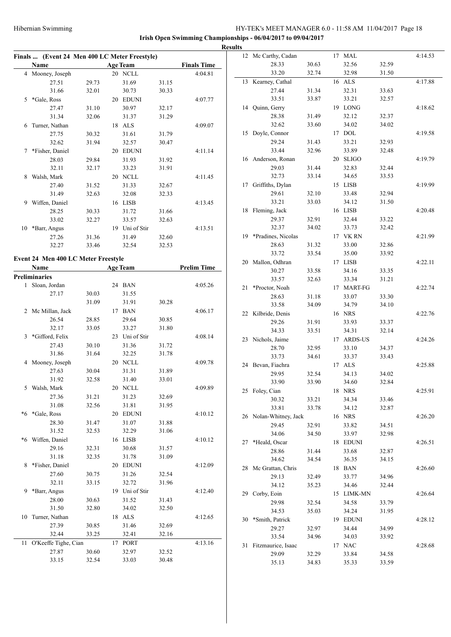|                                               |       |                 |       |                    | <b>Results</b> |                        |       |            |       |         |
|-----------------------------------------------|-------|-----------------|-------|--------------------|----------------|------------------------|-------|------------|-------|---------|
| Finals  (Event 24 Men 400 LC Meter Freestyle) |       |                 |       |                    |                | 12 Mc Carthy, Cadan    |       | 17 MAL     |       | 4:14.53 |
| Name                                          |       | <b>Age Team</b> |       | <b>Finals Time</b> |                | 28.33                  | 30.63 | 32.56      | 32.59 |         |
| 4 Mooney, Joseph                              |       | 20 NCLL         |       | 4:04.81            |                | 33.20                  | 32.74 | 32.98      | 31.50 |         |
| 27.51                                         | 29.73 | 31.69           | 31.15 |                    |                | 13 Kearney, Cathal     |       | 16 ALS     |       | 4:17.88 |
| 31.66                                         | 32.01 | 30.73           | 30.33 |                    |                | 27.44                  | 31.34 | 32.31      | 33.63 |         |
| 5 *Gale, Ross                                 |       | 20 EDUNI        |       | 4:07.77            |                | 33.51                  | 33.87 | 33.21      | 32.57 |         |
| 27.47                                         | 31.10 | 30.97           | 32.17 |                    |                | 14 Quinn, Gerry        |       | 19 LONG    |       | 4:18.62 |
| 31.34                                         | 32.06 | 31.37           | 31.29 |                    |                | 28.38                  | 31.49 | 32.12      | 32.37 |         |
| 6 Turner, Nathan                              |       | 18 ALS          |       | 4:09.07            |                | 32.62                  | 33.60 | 34.02      | 34.02 |         |
| 27.75                                         | 30.32 | 31.61           | 31.79 |                    |                | 15 Doyle, Connor       |       | 17 DOL     |       | 4:19.58 |
| 32.62                                         | 31.94 | 32.57           | 30.47 |                    |                | 29.24                  | 31.43 | 33.21      | 32.93 |         |
| 7 *Fisher, Daniel                             |       | 20 EDUNI        |       | 4:11.14            |                | 33.44                  | 32.96 | 33.89      | 32.48 |         |
| 28.03                                         | 29.84 | 31.93           | 31.92 |                    |                | 16 Anderson, Ronan     |       | 20 SLIGO   |       | 4:19.79 |
| 32.11                                         | 32.17 | 33.23           | 31.91 |                    |                | 29.03                  | 31.44 | 32.83      | 32.44 |         |
| 8 Walsh, Mark                                 |       | 20 NCLL         |       | 4:11.45            |                | 32.73                  | 33.14 | 34.65      | 33.53 |         |
| 27.40                                         | 31.52 | 31.33           | 32.67 |                    |                | 17 Griffiths, Dylan    |       | 15 LISB    |       | 4:19.99 |
| 31.49                                         | 32.63 | 32.08           | 32.33 |                    |                | 29.61                  | 32.10 | 33.48      | 32.94 |         |
| 9 Wiffen, Daniel                              |       | 16 LISB         |       | 4:13.45            |                | 33.21                  | 33.03 | 34.12      | 31.50 |         |
| 28.25                                         | 30.33 | 31.72           | 31.66 |                    |                | 18 Fleming, Jack       |       | 16 LISB    |       | 4:20.48 |
| 33.02                                         | 32.27 | 33.57           | 32.63 |                    |                | 29.37                  | 32.91 | 32.44      | 33.22 |         |
| 10 *Barr, Angus                               |       | 19 Uni of Stir  |       | 4:13.51            |                | 32.37                  | 34.02 | 33.73      | 32.42 |         |
| 27.26                                         | 31.36 | 31.49           | 32.60 |                    |                | 19 *Pradines, Nicolas  |       | 17 VK RN   |       | 4:21.99 |
| 32.27                                         | 33.46 | 32.54           | 32.53 |                    |                | 28.63                  | 31.32 | 33.00      | 32.86 |         |
|                                               |       |                 |       |                    |                | 33.72                  | 33.54 | 35.00      | 33.92 |         |
| Event 24 Men 400 LC Meter Freestyle           |       |                 |       |                    |                | 20 Mallon, Odhran      |       | 17 LISB    |       | 4:22.11 |
| Name                                          |       | <b>Age Team</b> |       | <b>Prelim Time</b> |                | 30.27                  | 33.58 | 34.16      | 33.35 |         |
| <b>Preliminaries</b>                          |       |                 |       |                    |                | 33.57                  | 32.63 | 33.34      | 31.21 |         |
| 1 Sloan, Jordan                               |       | 24 BAN          |       | 4:05.26            |                | 21 *Proctor, Noah      |       | 17 MART-FG |       | 4:22.74 |
| 27.17                                         | 30.03 | 31.55           |       |                    |                | 28.63                  | 31.18 | 33.07      | 33.30 |         |
|                                               | 31.09 | 31.91           | 30.28 |                    |                | 33.58                  | 34.09 | 34.79      | 34.10 |         |
| 2 Mc Millan, Jack                             |       | 17 BAN          |       | 4:06.17            |                | 22 Kilbride, Denis     |       | 16 NRS     |       | 4:22.76 |
| 26.54                                         | 28.85 | 29.64           | 30.85 |                    |                | 29.26                  | 31.91 | 33.93      | 33.37 |         |
| 32.17                                         | 33.05 | 33.27           | 31.80 |                    |                | 34.33                  | 33.51 | 34.31      | 32.14 |         |
| 3 *Gifford, Felix                             |       | 23 Uni of Stir  |       | 4:08.14            |                | 23 Nichols, Jaime      |       | 17 ARDS-US |       | 4:24.26 |
| 27.43                                         | 30.10 | 31.36           | 31.72 |                    |                | 28.70                  | 32.95 | 33.10      | 34.37 |         |
| 31.86                                         | 31.64 | 32.25           | 31.78 |                    |                | 33.73                  | 34.61 | 33.37      | 33.43 |         |
| 4 Mooney, Joseph                              |       | 20 NCLL         |       | 4:09.78            |                | 24 Bevan, Fiachra      |       | 17 ALS     |       | 4:25.88 |
| 27.63                                         | 30.04 | 31.31           | 31.89 |                    |                | 29.95                  | 32.54 | 34.13      | 34.02 |         |
| 31.92                                         | 32.58 | 31.40           | 33.01 |                    |                | 33.90                  | 33.90 | 34.60      | 32.84 |         |
| 5 Walsh, Mark                                 |       | 20 NCLL         |       | 4:09.89            |                | 25 Foley, Cian         |       | 18 NRS     |       | 4:25.91 |
| 27.36                                         | 31.21 | 31.23           | 32.69 |                    |                | 30.32                  | 33.21 | 34.34      | 33.46 |         |
| 31.08                                         | 32.56 | 31.81           | 31.95 |                    |                | 33.81                  | 33.78 | 34.12      | 32.87 |         |
| *6 *Gale, Ross                                |       | 20 EDUNI        |       | 4:10.12            |                | 26 Nolan-Whitney, Jack |       | 16 NRS     |       | 4:26.20 |
| 28.30                                         | 31.47 | 31.07           | 31.88 |                    |                | 29.45                  | 32.91 | 33.82      | 34.51 |         |
| 31.52                                         | 32.53 | 32.29           | 31.06 |                    |                | 34.06                  | 34.50 | 33.97      | 32.98 |         |
| *6 Wiffen, Daniel                             |       | 16 LISB         |       | 4:10.12            |                | 27 *Heald, Oscar       |       | 18 EDUNI   |       | 4:26.51 |
| 29.16                                         | 32.31 | 30.68           | 31.57 |                    |                | 28.86                  | 31.44 | 33.68      | 32.87 |         |
| 31.18                                         | 32.35 | 31.78           | 31.09 |                    |                | 34.62                  | 34.54 | 36.35      | 34.15 |         |
| 8 *Fisher, Daniel                             |       | 20 EDUNI        |       | 4:12.09            |                | 28 Mc Grattan, Chris   |       | 18 BAN     |       | 4:26.60 |
| 27.60                                         | 30.75 | 31.26           | 32.54 |                    |                | 29.13                  | 32.49 | 33.77      | 34.96 |         |
| 32.11                                         | 33.15 | 32.72           | 31.96 |                    |                | 34.12                  | 35.23 | 34.46      | 32.44 |         |
| 9 *Barr, Angus                                |       | 19 Uni of Stir  |       | 4:12.40            |                | 29 Corby, Eoin         |       | 15 LIMK-MN |       | 4:26.64 |
| 28.00                                         | 30.63 | 31.52           | 31.43 |                    |                | 29.98                  | 32.54 | 34.58      | 33.79 |         |
| 31.50                                         | 32.80 | 34.02           | 32.50 |                    |                | 34.53                  | 35.03 | 34.24      | 31.95 |         |
| 10 Turner, Nathan                             |       | 18 ALS          |       | 4:12.65            |                | 30 *Smith, Patrick     |       | 19 EDUNI   |       | 4:28.12 |
| 27.39                                         | 30.85 | 31.46           | 32.69 |                    |                | 29.27                  | 32.97 | 34.44      | 34.99 |         |
| 32.44                                         | 33.25 | 32.41           | 32.16 |                    |                | 33.54                  | 34.96 | 34.03      | 33.92 |         |
| 11 O'Keeffe Tighe, Cian                       |       | 17 PORT         |       | 4:13.16            |                | 31 Fitzmaurice, Isaac  |       | 17 NAC     |       | 4:28.68 |
| 27.87                                         | 30.60 | 32.97           | 32.52 |                    |                | 29.09                  | 32.29 | 33.84      | 34.58 |         |
| 33.15                                         | 32.54 | 33.03           | 30.48 |                    |                | 35.13                  | 34.83 | 35.33      | 33.59 |         |
|                                               |       |                 |       |                    |                |                        |       |            |       |         |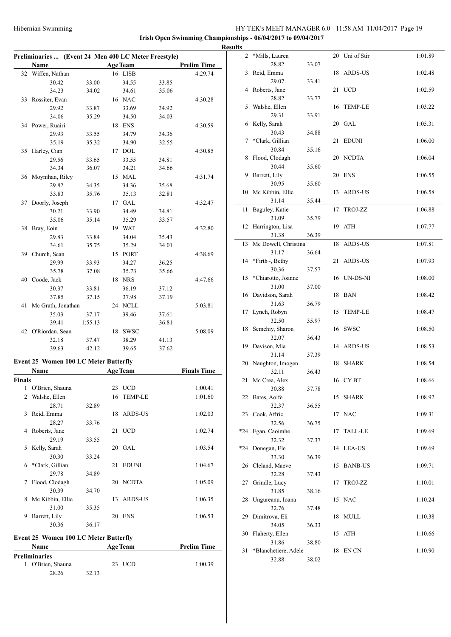|        | Preliminaries  (Event 24 Men 400 LC Meter Freestyle) |         |    |                 |       |                    |
|--------|------------------------------------------------------|---------|----|-----------------|-------|--------------------|
|        | Name                                                 |         |    | <b>Age Team</b> |       | <b>Prelim Time</b> |
|        | 32 Wiffen, Nathan                                    |         |    | 16 LISB         |       | 4:29.74            |
|        | 30.42                                                | 33.00   |    | 34.55           | 33.85 |                    |
|        | 34.23                                                | 34.02   |    | 34.61           | 35.06 |                    |
|        | 33 Rossiter, Evan                                    |         |    | 16 NAC          |       | 4:30.28            |
|        | 29.92                                                | 33.87   |    | 33.69           | 34.92 |                    |
|        | 34.06                                                | 35.29   |    | 34.50           | 34.03 |                    |
|        | 34 Power, Ruairi                                     |         |    | 18 ENS          |       | 4:30.59            |
|        | 29.93                                                | 33.55   |    | 34.79           | 34.36 |                    |
|        | 35.19                                                | 35.32   |    | 34.90           | 32.55 |                    |
| 35     | Harley, Cian                                         |         |    | 17 DOL          |       | 4:30.85            |
|        | 29.56                                                | 33.65   |    | 33.55           | 34.81 |                    |
|        | 34.34                                                | 36.07   |    | 34.21           | 34.66 |                    |
| 36     | Moynihan, Riley                                      |         |    | 15 MAL          |       | 4:31.74            |
|        | 29.82                                                | 34.35   |    | 34.36           | 35.68 |                    |
|        | 33.83                                                | 35.76   |    | 35.13           | 32.81 |                    |
| 37     | Doorly, Joseph                                       |         |    | 17 GAL          |       | 4:32.47            |
|        | 30.21                                                | 33.90   |    | 34.49           | 34.81 |                    |
|        | 35.06                                                | 35.14   |    | 35.29           | 33.57 |                    |
| 38     | Bray, Eoin                                           |         |    | 19 WAT          |       | 4:32.80            |
|        | 29.83                                                | 33.84   |    | 34.04           | 35.43 |                    |
|        | 34.61                                                | 35.75   |    | 35.29           | 34.01 |                    |
|        | 39 Church, Sean                                      |         |    | 15 PORT         |       | 4:38.69            |
|        | 29.99                                                | 33.93   |    | 34.27           | 36.25 |                    |
|        | 35.78                                                | 37.08   |    | 35.73           | 35.66 |                    |
| 40     | Coode, Jack                                          |         |    | 18 NRS          |       | 4:47.66            |
|        | 30.37                                                | 33.81   |    | 36.19           | 37.12 |                    |
|        | 37.85                                                | 37.15   |    | 37.98           | 37.19 |                    |
| 41     | Mc Grath, Jonathan                                   |         |    | 24 NCLL         |       | 5:03.81            |
|        | 35.03                                                | 37.17   |    | 39.46           | 37.61 |                    |
|        | 39.41                                                | 1:55.13 |    |                 | 36.81 |                    |
|        | 42 O'Riordan, Sean                                   |         |    | 18 SWSC         |       | 5:08.09            |
|        | 32.18                                                | 37.47   |    | 38.29           | 41.13 |                    |
|        | 39.63                                                | 42.12   |    | 39.65           | 37.62 |                    |
|        |                                                      |         |    |                 |       |                    |
|        | <b>Event 25 Women 100 LC Meter Butterfly</b>         |         |    |                 |       |                    |
|        | Name                                                 |         |    | <b>Age Team</b> |       | <b>Finals Time</b> |
| Finals |                                                      |         |    |                 |       |                    |
| 1      | O'Brien, Shauna                                      |         |    | 23 UCD          |       | 1:00.41            |
| 2      | Walshe, Ellen                                        |         | 16 | <b>TEMP-LE</b>  |       | 1:01.60            |
|        | 28.71                                                | 32.89   |    |                 |       |                    |
| 3      | Reid, Emma                                           |         | 18 | ARDS-US         |       | 1:02.03            |
|        | 28.27                                                | 33.76   |    |                 |       |                    |
| 4      | Roberts, Jane                                        |         | 21 | <b>UCD</b>      |       | 1:02.74            |
|        | 29.19                                                | 33.55   |    |                 |       |                    |
| 5      | Kelly, Sarah                                         |         | 20 | GAL             |       | 1:03.54            |
|        | 30.30                                                | 33.24   |    |                 |       |                    |
| 6      | *Clark, Gillian                                      |         | 21 | <b>EDUNI</b>    |       | 1:04.67            |
|        | 29.78                                                | 34.89   |    |                 |       |                    |
| 7      | Flood, Clodagh                                       |         | 20 | NCDTA           |       | 1:05.09            |
|        | 30.39                                                | 34.70   |    |                 |       |                    |
| 8      | Mc Kibbin, Ellie                                     |         | 13 | ARDS-US         |       | 1:06.35            |
|        | 31.00                                                | 35.35   |    |                 |       |                    |
| 9      | Barrett, Lily                                        |         | 20 | ENS             |       | 1:06.53            |
|        | 30.36                                                | 36.17   |    |                 |       |                    |
|        |                                                      |         |    |                 |       |                    |
|        | <b>Event 25 Women 100 LC Meter Butterfly</b>         |         |    |                 |       |                    |
|        | Name                                                 |         |    | <b>Age Team</b> |       | <b>Prelim Time</b> |
|        | <b>Preliminaries</b>                                 |         |    |                 |       |                    |
| 1      | O'Brien, Shauna                                      |         |    | 23 UCD          |       | 1:00.39            |
|        | 28.26                                                | 32.13   |    |                 |       |                    |
|        |                                                      |         |    |                 |       |                    |

| <b>Results</b> |                          |       |    |                |         |
|----------------|--------------------------|-------|----|----------------|---------|
| 2              | *Mills, Lauren           |       |    | 20 Uni of Stir | 1:01.89 |
|                | 28.82                    | 33.07 |    |                |         |
| 3              | Reid, Emma               |       |    | 18 ARDS-US     | 1:02.48 |
|                | 29.07                    | 33.41 |    |                |         |
| 4              | Roberts, Jane            |       |    | 21 UCD         | 1:02.59 |
|                | 28.82                    | 33.77 |    |                |         |
| 5              | Walshe, Ellen            |       |    | 16 TEMP-LE     | 1:03.22 |
| 6              | 29.31<br>Kelly, Sarah    | 33.91 |    | 20 GAL         | 1:05.31 |
|                | 30.43                    | 34.88 |    |                |         |
| 7              | *Clark, Gillian          |       | 21 | <b>EDUNI</b>   | 1:06.00 |
|                | 30.84                    | 35.16 |    |                |         |
| 8              | Flood, Clodagh           |       |    | 20 NCDTA       | 1:06.04 |
|                | 30.44                    | 35.60 |    |                |         |
| 9              | Barrett, Lily            |       |    | 20 ENS         | 1:06.55 |
|                | 30.95                    | 35.60 |    |                |         |
| 10             | Mc Kibbin, Ellie         |       | 13 | <b>ARDS-US</b> | 1:06.58 |
|                | 31.14                    | 35.44 |    |                |         |
| 11             | Baguley, Katie           |       | 17 | TROJ-ZZ        | 1:06.88 |
|                | 31.09                    | 35.79 |    |                |         |
| 12             | Harrington, Lisa         |       | 19 | ATH            | 1:07.77 |
|                | 31.38                    | 36.39 |    |                |         |
| 13             | Mc Dowell, Christina     |       | 18 | <b>ARDS-US</b> | 1:07.81 |
|                | 31.17                    | 36.64 |    | ARDS-US        | 1:07.93 |
| 14             | *Firth~, Bethy<br>30.36  |       | 21 |                |         |
| 15             | *Chiarotto, Joanne       | 37.57 |    | 16 UN-DS-NI    | 1:08.00 |
|                | 31.00                    | 37.00 |    |                |         |
| 16             | Davidson, Sarah          |       |    | 18 BAN         | 1:08.42 |
|                | 31.63                    | 36.79 |    |                |         |
| 17             | Lynch, Robyn             |       | 15 | <b>TEMP-LE</b> | 1:08.47 |
|                | 32.50                    | 35.97 |    |                |         |
| 18             | Semchiy, Sharon          |       |    | 16 SWSC        | 1:08.50 |
|                | 32.07                    | 36.43 |    |                |         |
| 19             | Davison, Mia             |       |    | 14 ARDS-US     | 1:08.53 |
|                | 31.14                    | 37.39 |    |                |         |
| 20             | Naughton, Imogen         |       | 18 | <b>SHARK</b>   | 1:08.54 |
|                | 32.11                    | 36.43 |    |                |         |
| 21             | Mc Crea, Alex            |       |    | 16 CYBT        | 1:08.66 |
|                | 30.88<br>22 Bates, Aoife | 37.78 |    | 15 SHARK       | 1:08.92 |
|                | 32.37                    | 36.55 |    |                |         |
| 23             | Cook, Affric             |       | 17 | <b>NAC</b>     | 1:09.31 |
|                | 32.56                    | 36.75 |    |                |         |
| *24            | Egan, Caoimhe            |       | 17 | <b>TALL-LE</b> | 1:09.69 |
|                | 32.32                    | 37.37 |    |                |         |
| *24            | Donegan, Ele             |       |    | 14 LEA-US      | 1:09.69 |
|                | 33.30                    | 36.39 |    |                |         |
| 26             | Cleland, Maeve           |       | 15 | <b>BANB-US</b> | 1:09.71 |
|                | 32.28                    | 37.43 |    |                |         |
| 27             | Grindle, Lucy            |       | 17 | TROJ-ZZ        | 1:10.01 |
|                | 31.85                    | 38.16 |    |                |         |
| 28             | Ungureanu, Ioana         |       | 15 | <b>NAC</b>     | 1:10.24 |
| 29             | 32.76<br>Dimitrova, Eli  | 37.48 | 18 | <b>MULL</b>    | 1:10.38 |
|                | 34.05                    | 36.33 |    |                |         |
| 30             | Flaherty, Ellen          |       | 15 | ATH            | 1:10.66 |
|                | 31.86                    | 38.80 |    |                |         |
| 31             | *Blanchetiere, Adele     |       | 18 | EN CN          | 1:10.90 |
|                | 32.88                    | 38.02 |    |                |         |
|                |                          |       |    |                |         |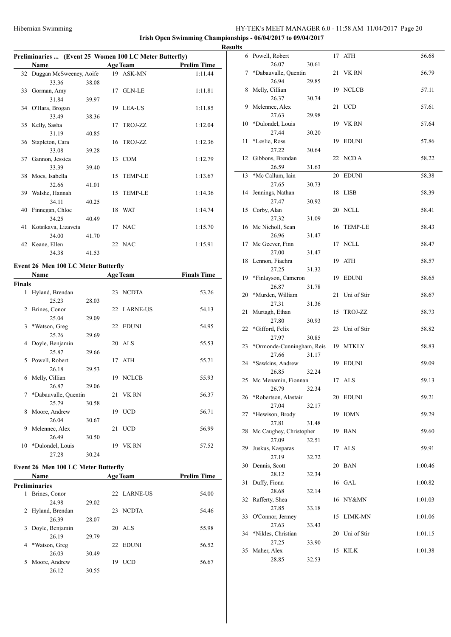**Irish Open Swimming Championships - 06/04/2017 to 09/04/2017**

#### **Preliminaries ... (Event 25 Women 100 LC Meter Butterfly)**

|    | $1$ chimiarics  (Event 25 ) women too DC meter Dutterity |       |  |                 |                    |  |  |  |  |  |
|----|----------------------------------------------------------|-------|--|-----------------|--------------------|--|--|--|--|--|
|    | Name                                                     |       |  | <b>Age Team</b> | <b>Prelim Time</b> |  |  |  |  |  |
|    | 32 Duggan McSweeney, Aoife                               |       |  | 19 ASK-MN       | 1:11.44            |  |  |  |  |  |
|    | 33.36                                                    | 38.08 |  |                 |                    |  |  |  |  |  |
| 33 | Gorman, Amy                                              |       |  | 17 GLN-LE       | 1:11.81            |  |  |  |  |  |
|    | 31.84                                                    | 39.97 |  |                 |                    |  |  |  |  |  |
|    | 34 O'Hara, Brogan                                        |       |  | 19 LEA-US       | 1:11.85            |  |  |  |  |  |
|    | 33.49                                                    | 38.36 |  |                 |                    |  |  |  |  |  |
|    | 35 Kelly, Sasha                                          |       |  | 17 TROJ-ZZ      | 1:12.04            |  |  |  |  |  |
|    | 31.19                                                    | 40.85 |  |                 |                    |  |  |  |  |  |
|    | 36 Stapleton, Cara                                       |       |  | 16 TROJ-ZZ      | 1:12.36            |  |  |  |  |  |
|    | 33.08                                                    | 39.28 |  |                 |                    |  |  |  |  |  |
| 37 | Gannon, Jessica                                          |       |  | 13 COM          | 1:12.79            |  |  |  |  |  |
|    | 33.39                                                    | 39.40 |  |                 |                    |  |  |  |  |  |
| 38 | Moes, Isabella                                           |       |  | 15 TEMP-LE      | 1:13.67            |  |  |  |  |  |
|    | 32.66                                                    | 41.01 |  |                 |                    |  |  |  |  |  |
|    | 39 Walshe, Hannah                                        |       |  | 15 TEMP-LE      | 1:14.36            |  |  |  |  |  |
|    | 34.11                                                    | 40.25 |  |                 |                    |  |  |  |  |  |
| 40 | Finnegan, Chloe                                          |       |  | 18 WAT          | 1:14.74            |  |  |  |  |  |
|    | 34.25                                                    | 40.49 |  |                 |                    |  |  |  |  |  |
| 41 | Kotsikava, Lizaveta                                      |       |  | 17 NAC          | 1:15.70            |  |  |  |  |  |
|    | 34.00                                                    | 41.70 |  |                 |                    |  |  |  |  |  |
| 42 | Keane, Ellen                                             |       |  | 22 NAC          | 1:15.91            |  |  |  |  |  |
|    | 34.38                                                    | 41.53 |  |                 |                    |  |  |  |  |  |

# **Event 26 Men 100 LC Meter Butterfly**

|               | Name                 |       | <b>Age Team</b> | <b>Finals Time</b> |  |
|---------------|----------------------|-------|-----------------|--------------------|--|
| <b>Finals</b> |                      |       |                 |                    |  |
| 1             | Hyland, Brendan      |       | 23 NCDTA        | 53.26              |  |
|               | 25.23                | 28.03 |                 |                    |  |
| 2             | Brines, Conor        |       | 22 LARNE-US     | 54.13              |  |
|               | 25.04                | 29.09 |                 |                    |  |
| 3             | *Watson, Greg        |       | 22 EDUNI        | 54.95              |  |
|               | 25.26                | 29.69 |                 |                    |  |
|               | 4 Doyle, Benjamin    |       | 20 ALS          | 55.53              |  |
|               | 25.87                | 29.66 |                 |                    |  |
| 5.            | Powell, Robert       |       | 17 ATH          | 55.71              |  |
|               | 26.18                | 29.53 |                 |                    |  |
|               | 6 Melly, Cillian     |       | 19 NCLCB        | 55.93              |  |
|               | 26.87                | 29.06 |                 |                    |  |
| 7             | *Dabauvalle, Quentin |       | 21 VK RN        | 56.37              |  |
|               | 25.79                | 30.58 |                 |                    |  |
| 8             | Moore, Andrew        |       | 19 UCD          | 56.71              |  |
|               | 26.04                | 30.67 |                 |                    |  |
| 9             | Melennec, Alex       |       | 21 UCD          | 56.99              |  |
|               | 26.49                | 30.50 |                 |                    |  |
| 10            | *Dulondel, Louis     |       | 19 VK RN        | 57.52              |  |
|               | 27.28                | 30.24 |                 |                    |  |

# **Event 26 Men 100 LC Meter Butterfly**

 $\overline{a}$ 

|               | <b>Name</b>     |       | <b>Age Team</b>     | <b>Prelim Time</b> |  |
|---------------|-----------------|-------|---------------------|--------------------|--|
| Preliminaries |                 |       |                     |                    |  |
| 1             | Brines, Conor   |       | 22 LARNE-US         | 54.00              |  |
|               | 24.98           | 29.02 |                     |                    |  |
| 2             | Hyland, Brendan |       | <b>NCDTA</b><br>23  | 54.46              |  |
|               | 26.39           | 28.07 |                     |                    |  |
| 3             | Doyle, Benjamin |       | 20 ALS              | 55.98              |  |
|               | 26.19           | 29.79 |                     |                    |  |
| 4             | *Watson, Greg   |       | <b>EDUNI</b><br>22. | 56.52              |  |
|               | 26.03           | 30.49 |                     |                    |  |
| 5             | Moore, Andrew   |       | UCD<br>19           | 56.67              |  |
|               | 26.12           | 30.55 |                     |                    |  |

| <b>Results</b> |                           |       |    |                |         |
|----------------|---------------------------|-------|----|----------------|---------|
|                | 6 Powell, Robert          |       |    | 17 ATH         | 56.68   |
|                | 26.07                     | 30.61 |    |                |         |
| 7              | *Dabauvalle, Quentin      |       |    | 21 VK RN       | 56.79   |
|                | 26.94                     | 29.85 |    |                |         |
| 8              | Melly, Cillian            |       |    | 19 NCLCB       | 57.11   |
|                | 26.37                     | 30.74 |    |                |         |
|                | 9 Melennec, Alex          |       |    | 21 UCD         | 57.61   |
|                | 27.63                     | 29.98 |    |                |         |
| 10             | *Dulondel, Louis<br>27.44 | 30.20 |    | 19 VK RN       | 57.64   |
| 11             | *Leslie, Ross             |       |    | 19 EDUNI       | 57.86   |
|                | 27.22                     | 30.64 |    |                |         |
| 12             | Gibbons, Brendan          |       |    | 22 NCD A       | 58.22   |
|                | 26.59                     | 31.63 |    |                |         |
| 13             | *Mc Callum, Iain          |       |    | 20 EDUNI       | 58.38   |
|                | 27.65                     | 30.73 |    |                |         |
| 14             | Jennings, Nathan          |       |    | 18 LISB        | 58.39   |
|                | 27.47                     | 30.92 |    |                |         |
| 15             | Corby, Alan               |       |    | 20 NCLL        | 58.41   |
|                | 27.32                     | 31.09 |    |                |         |
|                | 16 Mc Nicholl, Sean       |       |    | 16 TEMP-LE     | 58.43   |
| 17             | 26.96<br>Mc Geever, Finn  | 31.47 |    | 17 NCLL        | 58.47   |
|                | 27.00                     | 31.47 |    |                |         |
| 18             | Lennon, Fiachra           |       |    | 19 ATH         | 58.57   |
|                | 27.25                     | 31.32 |    |                |         |
| 19             | *Finlayson, Cameron       |       |    | 19 EDUNI       | 58.65   |
|                | 26.87                     | 31.78 |    |                |         |
| 20             | *Murden, William          |       | 21 | Uni of Stir    | 58.67   |
|                | 27.31                     | 31.36 |    |                |         |
| 21             | Murtagh, Ethan            |       | 15 | TROJ-ZZ        | 58.73   |
|                | 27.80                     | 30.93 |    |                |         |
| 22             | *Gifford, Felix<br>27.97  | 30.85 |    | 23 Uni of Stir | 58.82   |
| 23             | *Ormonde-Cunningham, Reis |       |    | 19 MTKLY       | 58.83   |
|                | 27.66                     | 31.17 |    |                |         |
|                | 24 *Sawkins, Andrew       |       |    | 19 EDUNI       | 59.09   |
|                | 26.85                     | 32.24 |    |                |         |
|                | 25 Mc Menamin, Fionnan    |       |    | 17 ALS         | 59.13   |
|                | 26.79                     | 32.34 |    |                |         |
|                | 26 *Robertson, Alastair   |       |    | 20 EDUNI       | 59.21   |
|                | 27.04                     | 32.17 |    |                |         |
| 27             | *Hewison, Brody<br>27.81  | 31.48 |    | 19 IOMN        | 59.29   |
| 28             | Mc Caughey, Christopher   |       |    | 19 BAN         | 59.60   |
|                | 27.09                     | 32.51 |    |                |         |
| 29             | Juskus, Kasparas          |       |    | 17 ALS         | 59.91   |
|                | 27.19                     | 32.72 |    |                |         |
| 30             | Dennis, Scott             |       |    | 20 BAN         | 1:00.46 |
|                | 28.12                     | 32.34 |    |                |         |
| 31             | Duffy, Fionn              |       |    | 16 GAL         | 1:00.82 |
|                | 28.68                     | 32.14 |    |                |         |
| 32             | Rafferty, Shea            |       |    | 16 NY&MN       | 1:01.03 |
| 33             | 27.85<br>O'Connor, Jermey | 33.18 | 15 | LIMK-MN        | 1:01.06 |
|                | 27.63                     | 33.43 |    |                |         |
| 34             | *Nikles, Christian        |       |    | 20 Uni of Stir | 1:01.15 |
|                | 27.25                     | 33.90 |    |                |         |
| 35             | Maher, Alex               |       |    | 15 KILK        | 1:01.38 |
|                | 28.85                     | 32.53 |    |                |         |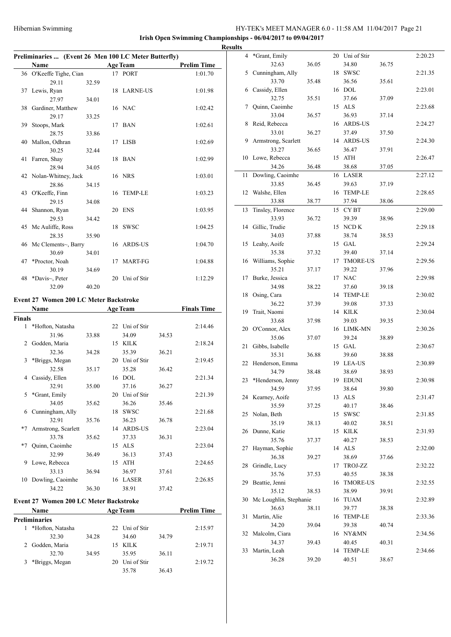|               | Preliminaries  (Event 26 Men 100 LC Meter Butterfly) |       |    |                 |                    |  |  |  |  |
|---------------|------------------------------------------------------|-------|----|-----------------|--------------------|--|--|--|--|
|               | Name                                                 |       |    | <b>Age Team</b> | <b>Prelim Time</b> |  |  |  |  |
|               | 36 O'Keeffe Tighe, Cian                              |       |    | 17 PORT         | 1:01.70            |  |  |  |  |
|               | 29.11                                                | 32.59 |    |                 |                    |  |  |  |  |
|               | 37 Lewis, Ryan                                       |       |    | 18 LARNE-US     | 1:01.98            |  |  |  |  |
|               | 27.97                                                | 34.01 |    |                 |                    |  |  |  |  |
|               | 38 Gardiner, Matthew                                 |       |    | 16 NAC          | 1:02.42            |  |  |  |  |
|               | 29.17                                                | 33.25 |    |                 |                    |  |  |  |  |
| 39            | Stoops, Mark                                         |       |    | 17 BAN          | 1:02.61            |  |  |  |  |
|               | 28.75                                                | 33.86 |    |                 |                    |  |  |  |  |
|               | 40 Mallon, Odhran                                    |       |    | 17 LISB         | 1:02.69            |  |  |  |  |
|               | 30.25                                                | 32.44 |    |                 |                    |  |  |  |  |
| 41            | Farren, Shay                                         |       |    | 18 BAN          | 1:02.99            |  |  |  |  |
|               | 28.94                                                | 34.05 |    |                 |                    |  |  |  |  |
|               | 42 Nolan-Whitney, Jack                               |       |    | 16 NRS          | 1:03.01            |  |  |  |  |
|               | 28.86                                                | 34.15 |    |                 |                    |  |  |  |  |
|               | 43 O'Keeffe, Finn                                    |       |    | 16 TEMP-LE      | 1:03.23            |  |  |  |  |
|               | 29.15                                                | 34.08 |    |                 |                    |  |  |  |  |
|               | 44 Shannon, Ryan                                     |       |    | 20 ENS          | 1:03.95            |  |  |  |  |
|               | 29.53                                                | 34.42 |    |                 |                    |  |  |  |  |
|               | 45 Mc Auliffe, Ross                                  |       |    | 18 SWSC         | 1:04.25            |  |  |  |  |
|               | 28.35                                                | 35.90 |    |                 |                    |  |  |  |  |
|               | 46 Mc Clements~, Barry                               |       |    | 16 ARDS-US      | 1:04.70            |  |  |  |  |
|               | 30.69                                                | 34.01 |    |                 |                    |  |  |  |  |
| 47            | *Proctor, Noah                                       |       | 17 | <b>MART-FG</b>  | 1:04.88            |  |  |  |  |
|               | 30.19                                                | 34.69 |    |                 |                    |  |  |  |  |
|               | 48 *Davis~, Peter                                    |       |    | 20 Uni of Stir  | 1:12.29            |  |  |  |  |
|               | 32.09                                                | 40.20 |    |                 |                    |  |  |  |  |
|               | <b>Event 27 Women 200 LC Meter Backstroke</b>        |       |    |                 |                    |  |  |  |  |
|               | <b>Name</b>                                          |       |    | <b>Age Team</b> | <b>Finals Time</b> |  |  |  |  |
| <b>Finals</b> |                                                      |       |    |                 |                    |  |  |  |  |
| 1             | *Hofton, Natasha                                     |       |    | 22 Uni of Stir  | 2:14.46            |  |  |  |  |
|               | 31.96                                                | 33.88 |    | 34.09           | 34.53              |  |  |  |  |

|                | ≁нопоп, Natasna     |       |    | 22 Uni of Stif |       | 2:14.40 |
|----------------|---------------------|-------|----|----------------|-------|---------|
|                | 31.96               | 33.88 |    | 34.09          | 34.53 |         |
| $\mathfrak{D}$ | Godden, Maria       |       | 15 | KILK           |       | 2:18.24 |
|                | 32.36               | 34.28 |    | 35.39          | 36.21 |         |
| 3              | *Briggs, Megan      |       | 20 | Uni of Stir    |       | 2:19.45 |
|                | 32.58               | 35.17 |    | 35.28          | 36.42 |         |
| 4              | Cassidy, Ellen      |       | 16 | <b>DOL</b>     |       | 2:21.34 |
|                | 32.91               | 35.00 |    | 37.16          | 36.27 |         |
| 5              | *Grant, Emily       |       | 20 | Uni of Stir    |       | 2:21.39 |
|                | 34.05               | 35.62 |    | 36.26          | 35.46 |         |
| 6              | Cunningham, Ally    |       | 18 | <b>SWSC</b>    |       | 2:21.68 |
|                | 32.91               | 35.76 |    | 36.23          | 36.78 |         |
| $*7$           | Armstrong, Scarlett |       | 14 | <b>ARDS-US</b> |       | 2:23.04 |
|                | 33.78               | 35.62 |    | 37.33          | 36.31 |         |
| $*7$           | Quinn, Caoimhe      |       | 15 | ALS            |       | 2:23.04 |
|                | 32.99               | 36.49 |    | 36.13          | 37.43 |         |
| 9              | Lowe, Rebecca       |       | 15 | <b>ATH</b>     |       | 2:24.65 |
|                | 33.13               | 36.94 |    | 36.97          | 37.61 |         |
| 10             | Dowling, Caoimhe    |       |    | 16 LASER       |       | 2:26.85 |
|                | 34.22               | 36.30 |    | 38.91          | 37.42 |         |

# **Event 27 Women 200 LC Meter Backstroke**

|                      | <b>Name</b>      |       |    | <b>Age Team</b> |       | <b>Prelim Time</b> |  |
|----------------------|------------------|-------|----|-----------------|-------|--------------------|--|
| <b>Preliminaries</b> |                  |       |    |                 |       |                    |  |
|                      | *Hofton, Natasha |       |    | 22 Uni of Stir  |       | 2:15.97            |  |
|                      | 32.30            | 34.28 |    | 34.60           | 34.79 |                    |  |
|                      | 2 Godden, Maria  |       |    | 15 KILK         |       | 2:19.71            |  |
|                      | 32.70            | 34.95 |    | 35.95           | 36.11 |                    |  |
| 3.                   | *Briggs, Megan   |       | 20 | Uni of Stir     |       | 2:19.72            |  |
|                      |                  |       |    | 35.78           | 36.43 |                    |  |

| <b>Results</b> |                        |       |                |       |         |
|----------------|------------------------|-------|----------------|-------|---------|
| 4              | *Grant, Emily          |       | 20 Uni of Stir |       | 2:20.23 |
|                | 32.63                  | 36.05 | 34.80          | 36.75 |         |
| 5              | Cunningham, Ally       |       | 18 SWSC        |       | 2:21.35 |
|                | 33.70                  | 35.48 | 36.56          | 35.61 |         |
| 6              | Cassidy, Ellen         |       | 16 DOL         |       | 2:23.01 |
|                | 32.75                  | 35.51 | 37.66          | 37.09 |         |
| 7              | Quinn, Caoimhe         |       | 15 ALS         |       | 2:23.68 |
|                | 33.04                  | 36.57 | 36.93          | 37.14 |         |
| 8              | Reid, Rebecca          |       | 16 ARDS-US     |       | 2:24.27 |
|                | 33.01                  | 36.27 | 37.49          | 37.50 |         |
| 9              | Armstrong, Scarlett    |       | 14 ARDS-US     |       | 2:24.30 |
|                | 33.27                  | 36.65 | 36.47          | 37.91 |         |
| 10             | Lowe, Rebecca          |       | 15 ATH         |       | 2:26.47 |
|                | 34.26                  | 36.48 | 38.68          | 37.05 |         |
| 11             | Dowling, Caoimhe       |       | 16 LASER       |       | 2:27.12 |
|                | 33.85                  | 36.45 | 39.63          | 37.19 |         |
| 12             | Walshe, Ellen          |       | 16 TEMP-LE     |       | 2:28.65 |
|                | 33.88                  | 38.77 | 37.94          | 38.06 |         |
| 13             | Tinsley, Florence      |       | 15 CYBT        |       | 2:29.00 |
|                | 33.93                  | 36.72 | 39.39          | 38.96 |         |
| 14             | Gillic, Trudie         |       | 15 NCD K       |       | 2:29.18 |
|                | 34.03                  | 37.88 | 38.74          | 38.53 |         |
| 15             | Leahy, Aoife           |       | 15 GAL         |       | 2:29.24 |
|                | 35.38                  | 37.32 | 39.40          | 37.14 |         |
|                | 16 Williams, Sophie    |       | 17 TMORE-US    |       | 2:29.56 |
|                | 35.21                  | 37.17 | 39.22          | 37.96 |         |
| 17             | Burke, Jessica         |       | 17 NAC         |       | 2:29.98 |
|                | 34.98                  | 38.22 | 37.60          | 39.18 |         |
| 18             | Osing, Cara            |       | 14 TEMP-LE     |       | 2:30.02 |
|                | 36.22                  | 37.39 | 39.08          | 37.33 |         |
| 19             | Trait, Naomi           |       | 14 KILK        |       | 2:30.04 |
|                | 33.68                  | 37.98 | 39.03          | 39.35 |         |
|                | 20 O'Connor, Alex      |       | 16 LIMK-MN     |       | 2:30.26 |
|                | 35.06                  | 37.07 | 39.24          | 38.89 |         |
| 21             | Gibbs, Isabelle        |       | 15 GAL         |       | 2:30.67 |
|                | 35.31                  | 36.88 | 39.60          | 38.88 |         |
| 22             | Henderson, Emma        |       | 19 LEA-US      |       | 2:30.89 |
|                | 34.79                  | 38.48 | 38.69          | 38.93 |         |
| 23             | *Henderson, Jenny      |       | 19 EDUNI       |       | 2:30.98 |
|                | 34.59                  | 37.95 | 38.64          | 39.80 |         |
|                | 24 Kearney, Aoife      |       | 13 ALS         |       | 2:31.47 |
|                | 35.59                  | 37.25 | 40.17          | 38.46 |         |
|                | 25 Nolan, Beth         |       | 15 SWSC        |       | 2:31.85 |
|                | 35.19                  | 38.13 | 40.02          | 38.51 |         |
|                | 26 Dunne, Katie        |       | 15 KILK        |       | 2:31.93 |
|                | 35.76                  |       | 40.27          | 38.53 |         |
| 27             | Hayman, Sophie         | 37.37 | 14 ALS         |       | 2:32.00 |
|                |                        |       |                |       |         |
|                | 36.38                  | 39.27 | 38.69          | 37.66 |         |
| 28             | Grindle, Lucy          |       | 17 TROJ-ZZ     |       | 2:32.22 |
|                | 35.76                  | 37.53 | 40.55          | 38.38 |         |
| 29             | Beattie, Jenni         |       | 16 TMORE-US    |       | 2:32.55 |
|                | 35.12                  | 38.53 | 38.99          | 39.91 |         |
| 30             | Mc Loughlin, Stephanie |       | 16 TUAM        |       | 2:32.89 |
|                | 36.63                  | 38.11 | 39.77          | 38.38 |         |
| 31             | Martin, Alie           |       | 16 TEMP-LE     |       | 2:33.36 |
|                | 34.20                  | 39.04 | 39.38          | 40.74 |         |
| 32             | Malcolm, Ciara         |       | 16 NY&MN       |       | 2:34.56 |
|                | 34.37                  | 39.43 | 40.45          | 40.31 |         |
| 33             | Martin, Leah           |       | 14 TEMP-LE     |       | 2:34.66 |
|                | 36.28                  | 39.20 | 40.51          | 38.67 |         |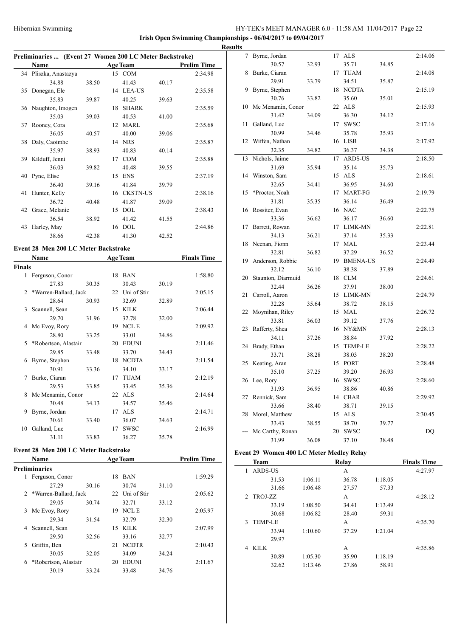**Irish Open Swimming Championships - 06/04/2017 to 09/04/2017**

|    | Preliminaries  (Event 27 Women 200 LC Meter Backstroke) |       |    |                 |       |                    |  |  |  |  |
|----|---------------------------------------------------------|-------|----|-----------------|-------|--------------------|--|--|--|--|
|    | <b>Name</b>                                             |       |    | <b>Age Team</b> |       | <b>Prelim Time</b> |  |  |  |  |
|    | 34 Pliszka, Anastazya                                   |       |    | 15 COM          |       | 2:34.98            |  |  |  |  |
|    | 34.88                                                   | 38.50 |    | 41.43           | 40.17 |                    |  |  |  |  |
|    | 35 Donegan, Ele                                         |       |    | 14 LEA-US       |       | 2:35.58            |  |  |  |  |
|    | 35.83                                                   | 39.87 |    | 40.25           | 39.63 |                    |  |  |  |  |
|    | 36 Naughton, Imogen                                     |       |    | 18 SHARK        |       | 2:35.59            |  |  |  |  |
|    | 35.03                                                   | 39.03 |    | 40.53           | 41.00 |                    |  |  |  |  |
| 37 | Rooney, Cora                                            |       |    | 12 MARL         |       | 2:35.68            |  |  |  |  |
|    | 36.05                                                   | 40.57 |    | 40.00           | 39.06 |                    |  |  |  |  |
|    | 38 Daly, Caoimhe                                        |       |    | 14 NRS          |       | 2:35.87            |  |  |  |  |
|    | 35.97                                                   | 38.93 |    | 40.83           | 40.14 |                    |  |  |  |  |
|    | 39 Kilduff, Jenni                                       |       |    | 17 COM          |       | 2:35.88            |  |  |  |  |
|    | 36.03                                                   | 39.82 |    | 40.48           | 39.55 |                    |  |  |  |  |
|    | 40 Pyne, Elise                                          |       |    | 15 ENS          |       | 2:37.19            |  |  |  |  |
|    | 36.40                                                   | 39.16 |    | 41.84           | 39.79 |                    |  |  |  |  |
| 41 | Hunter, Kelly                                           |       |    | 16 CKSTN-US     |       | 2:38.16            |  |  |  |  |
|    | 36.72                                                   | 40.48 |    | 41.87           | 39.09 |                    |  |  |  |  |
| 42 | Grace, Melanie                                          |       | 15 | <b>DOL</b>      |       | 2:38.43            |  |  |  |  |
|    | 36.54                                                   | 38.92 |    | 41.42           | 41.55 |                    |  |  |  |  |
|    | 43 Harley, May                                          |       | 16 | <b>DOL</b>      |       | 2:44.86            |  |  |  |  |
|    | 38.66                                                   | 42.38 |    | 41.30           | 42.52 |                    |  |  |  |  |
|    | Event 28 Men 200 LC Meter Backstroke                    |       |    |                 |       |                    |  |  |  |  |
|    | Name                                                    |       |    | <b>Age Team</b> |       | <b>Finals Time</b> |  |  |  |  |

|                |                       |       |    | $120$ really   |       |         |
|----------------|-----------------------|-------|----|----------------|-------|---------|
| Finals         |                       |       |    |                |       |         |
| 1              | Ferguson, Conor       |       | 18 | <b>BAN</b>     |       | 1:58.80 |
|                | 27.83                 | 30.35 |    | 30.43          | 30.19 |         |
| $\mathfrak{D}$ | *Warren-Ballard, Jack |       |    | 22 Uni of Stir |       | 2:05.15 |
|                | 28.64                 | 30.93 |    | 32.69          | 32.89 |         |
| $\mathbf{3}$   | Scannell, Sean        |       | 15 | <b>KILK</b>    |       | 2:06.44 |
|                | 29.70                 | 31.96 |    | 32.78          | 32.00 |         |
| 4              | Mc Evoy, Rory         |       | 19 | <b>NCLE</b>    |       | 2:09.92 |
|                | 28.80                 | 33.25 |    | 33.01          | 34.86 |         |
| 5              | *Robertson, Alastair  |       | 20 | <b>EDUNI</b>   |       | 2:11.46 |
|                | 29.85                 | 33.48 |    | 33.70          | 34.43 |         |
| 6              | Byrne, Stephen        |       | 18 | <b>NCDTA</b>   |       | 2:11.54 |
|                | 30.91                 | 33.36 |    | 34.10          | 33.17 |         |
| 7              | Burke, Ciaran         |       | 17 | <b>TUAM</b>    |       | 2:12.19 |
|                | 29.53                 | 33.85 |    | 33.45          | 35.36 |         |
| 8              | Mc Menamin, Conor     |       | 22 | <b>ALS</b>     |       | 2:14.64 |
|                | 30.48                 | 34.13 |    | 34.57          | 35.46 |         |
| 9              | Byrne, Jordan         |       | 17 | <b>ALS</b>     |       | 2:14.71 |
|                | 30.61                 | 33.40 |    | 36.07          | 34.63 |         |
| 10             | Galland, Luc          |       | 17 | <b>SWSC</b>    |       | 2:16.99 |
|                | 31.11                 | 33.83 |    | 36.27          | 35.78 |         |

# **Event 28 Men 200 LC Meter Backstroke**

|    | Name                    |       |    | <b>Age Team</b> |       | <b>Prelim Time</b> |  |  |
|----|-------------------------|-------|----|-----------------|-------|--------------------|--|--|
|    | <b>Preliminaries</b>    |       |    |                 |       |                    |  |  |
| 1  | Ferguson, Conor         |       | 18 | <b>BAN</b>      |       | 1:59.29            |  |  |
|    | 27.29                   | 30.16 |    | 30.74           | 31.10 |                    |  |  |
|    | 2 *Warren-Ballard, Jack |       | 22 | Uni of Stir     |       | 2:05.62            |  |  |
|    | 29.05                   | 30.74 |    | 32.71           | 33.12 |                    |  |  |
| 3  | Mc Evoy, Rory           |       | 19 | <b>NCLE</b>     |       | 2:05.97            |  |  |
|    | 29.34                   | 31.54 |    | 32.79           | 32.30 |                    |  |  |
| 4  | Scannell, Sean          |       | 15 | KILK            |       | 2:07.99            |  |  |
|    | 29.50                   | 32.56 |    | 33.16           | 32.77 |                    |  |  |
| 5. | Griffin, Ben            |       | 21 | <b>NCDTR</b>    |       | 2:10.43            |  |  |
|    | 30.05                   | 32.05 |    | 34.09           | 34.24 |                    |  |  |
| 6  | *Robertson, Alastair    |       | 20 | <b>EDUNI</b>    |       | 2:11.67            |  |  |
|    | 30.19                   | 33.24 |    | 33.48           | 34.76 |                    |  |  |

| <b>Results</b>  |                       |       |    |                  |       |         |
|-----------------|-----------------------|-------|----|------------------|-------|---------|
| $7\overline{ }$ | Byrne, Jordan         |       |    | 17 ALS           |       | 2:14.06 |
|                 | 30.57                 | 32.93 |    | 35.71            | 34.85 |         |
| 8               | Burke, Ciaran         |       |    | 17 TUAM          |       | 2:14.08 |
|                 | 29.91                 | 33.79 |    | 34.51            | 35.87 |         |
| 9               | Byrne, Stephen        |       |    | 18 NCDTA         |       | 2:15.19 |
|                 | 30.76                 | 33.82 |    | 35.60            | 35.01 |         |
| 10              | Mc Menamin, Conor     |       |    | 22 ALS           |       | 2:15.93 |
|                 | 31.42                 | 34.09 |    | 36.30            | 34.12 |         |
| 11              | Galland, Luc          |       | 17 | SWSC             |       | 2:17.16 |
|                 | 30.99                 | 34.46 |    | 35.78            | 35.93 |         |
| 12              | Wiffen, Nathan        |       |    | 16 LISB          |       | 2:17.92 |
|                 | 32.35                 | 34.82 |    | 36.37            | 34.38 |         |
| 13              | Nichols, Jaime        |       | 17 | <b>ARDS-US</b>   |       | 2:18.50 |
|                 | 31.69                 | 35.94 |    | 35.14            | 35.73 |         |
|                 | 14 Winston, Sam       |       |    | 15 ALS           |       | 2:18.61 |
|                 | 32.65                 | 34.41 |    | 36.95            | 34.60 |         |
| 15              | *Proctor, Noah        |       |    | 17 MART-FG       |       | 2:19.79 |
|                 | 31.81                 | 35.35 |    | 36.14            | 36.49 |         |
|                 | 16 Rossiter, Evan     |       |    | 16 NAC           |       | 2:22.75 |
|                 | 33.36                 | 36.62 |    | 36.17            | 36.60 |         |
| 17              | Barrett, Rowan        |       |    | 17 LIMK-MN       |       | 2:22.81 |
|                 | 34.13                 | 36.21 |    | 37.14            | 35.33 |         |
|                 | 18 Neenan, Fionn      |       |    | 17 MAL           |       | 2:23.44 |
|                 | 32.81                 | 36.82 |    | 37.29            | 36.52 |         |
| 19              | Anderson, Robbie      |       |    | 19 BMENA-US      |       | 2:24.49 |
|                 | 32.12                 | 36.10 |    | 38.38            | 37.89 |         |
| 20              | Staunton, Diarmuid    |       |    | 18 CLM           |       | 2:24.61 |
|                 | 32.44                 | 36.26 |    | 37.91            | 38.00 |         |
| 21              | Carroll, Aaron        |       |    | 15 LIMK-MN       |       | 2:24.79 |
|                 | 32.28                 | 35.64 |    | 38.72            | 38.15 |         |
| 22              | Moynihan, Riley       |       |    | 15 MAL           |       | 2:26.72 |
|                 | 33.81                 | 36.03 |    | 39.12            | 37.76 |         |
| 23              | Rafferty, Shea        |       |    | 16 NY&MN         |       | 2:28.13 |
| 24              | 34.11                 | 37.26 |    | 38.84            | 37.92 |         |
|                 | Brady, Ethan          |       |    | 15 TEMP-LE       |       | 2:28.22 |
|                 | 33.71                 | 38.28 |    | 38.03            | 38.20 |         |
| 25              | Keating, Aran         |       |    | 15 PORT          |       | 2:28.48 |
|                 | 35.10                 | 37.25 |    | 39.20            | 36.93 |         |
|                 | 26 Lee, Rory<br>31.93 |       |    | 16 SWSC          |       | 2:28.60 |
| 27              | Rennick, Sam          | 36.95 |    | 38.86<br>14 CBAR | 40.86 | 2:29.92 |
|                 | 33.66                 |       |    |                  |       |         |
| 28              | Morel, Matthew        | 38.40 | 15 | 38.71<br>ALS     | 39.15 | 2:30.45 |
|                 | 33.43                 | 38.55 |    | 38.70            | 39.77 |         |
|                 | Mc Carthy, Ronan      |       | 20 | SWSC             |       | DQ      |
|                 | 31.99                 | 36.08 |    | 37.10            | 38.48 |         |
|                 |                       |       |    |                  |       |         |

# **Event 29 Women 400 LC Meter Medley Relay**

|         | Relay |         |         |  |  |  |
|---------|-------|---------|---------|--|--|--|
|         | A     |         | 4:27.97 |  |  |  |
| 1:06.11 | 36.78 | 1:18.05 |         |  |  |  |
| 1:06.48 | 27.57 | 57.33   |         |  |  |  |
|         | A     |         | 4:28.12 |  |  |  |
| 1:08.50 | 34.41 | 1:13.49 |         |  |  |  |
| 1:06.82 | 28.40 | 59.31   |         |  |  |  |
|         | А     |         | 4:35.70 |  |  |  |
| 1:10.60 | 37.29 | 1:21.04 |         |  |  |  |
|         |       |         |         |  |  |  |
|         | А     |         | 4:35.86 |  |  |  |
| 1:05.30 | 35.90 | 1:18.19 |         |  |  |  |
| 1:13.46 | 27.86 | 58.91   |         |  |  |  |
|         |       |         |         |  |  |  |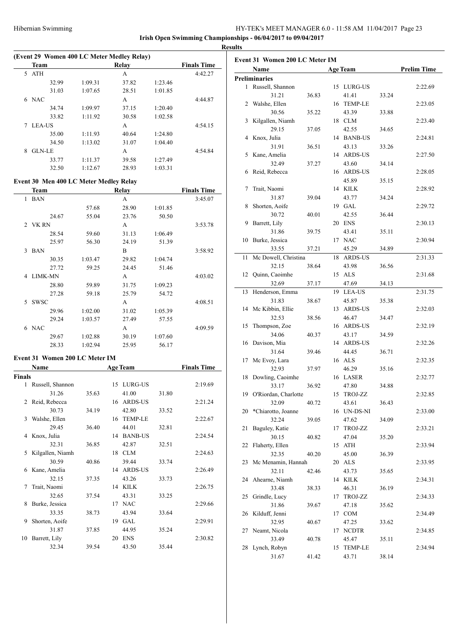| (Event 29 Women 400 LC Meter Medley Relay) |               |       |                    |       |         |         |
|--------------------------------------------|---------------|-------|--------------------|-------|---------|---------|
|                                            | <b>Team</b>   |       | <b>Finals Time</b> |       |         |         |
| 5                                          | <b>ATH</b>    |       |                    | А     |         | 4:42.27 |
|                                            |               | 32.99 | 1:09.31            | 37.82 | 1:23.46 |         |
|                                            |               | 31.03 | 1:07.65            | 28.51 | 1:01.85 |         |
| 6                                          | <b>NAC</b>    |       |                    | A     |         | 4:44.87 |
|                                            |               | 34.74 | 1:09.97            | 37.15 | 1:20.40 |         |
|                                            |               | 33.82 | 1:11.92            | 30.58 | 1:02.58 |         |
|                                            | <b>LEA-US</b> |       |                    | А     |         | 4:54.15 |
|                                            |               | 35.00 | 1:11.93            | 40.64 | 1:24.80 |         |
|                                            |               | 34.50 | 1:13.02            | 31.07 | 1:04.40 |         |
| 8                                          | <b>GLN-LE</b> |       |                    | А     |         | 4:54.84 |
|                                            |               | 33.77 | 1:11.37            | 39.58 | 1:27.49 |         |
|                                            |               | 32.50 | 1:12.67            | 28.93 | 1:03.31 |         |

# **Event 30 Men 400 LC Meter Medley Relay**

| Team                        |         | Relay |         | <b>Finals Time</b> |
|-----------------------------|---------|-------|---------|--------------------|
| <b>BAN</b><br>1             |         | A     |         | 3:45.07            |
|                             | 57.68   | 28.90 | 1:01.85 |                    |
| 24.67                       | 55.04   | 23.76 | 50.50   |                    |
| 2 VK RN                     |         | A     |         | 3:53.78            |
| 28.54                       | 59.60   | 31.13 | 1:06.49 |                    |
| 25.97                       | 56.30   | 24.19 | 51.39   |                    |
| $\mathcal{F}$<br><b>BAN</b> |         | B     |         | 3:58.92            |
| 30.35                       | 1:03.47 | 29.82 | 1:04.74 |                    |
| 27.72                       | 59.25   | 24.45 | 51.46   |                    |
| <b>LIMK-MN</b><br>4         |         | A     |         | 4:03.02            |
| 28.80                       | 59.89   | 31.75 | 1:09.23 |                    |
| 27.28                       | 59.18   | 25.79 | 54.72   |                    |
| <b>SWSC</b><br>5.           |         | A     |         | 4:08.51            |
| 29.96                       | 1:02.00 | 31.02 | 1:05.39 |                    |
| 29.24                       | 1:03.57 | 27.49 | 57.55   |                    |
| <b>NAC</b><br>6             |         | A     |         | 4:09.59            |
| 29.67                       | 1:02.88 | 30.19 | 1:07.60 |                    |
| 28.33                       | 1:02.94 | 25.95 | 56.17   |                    |

# **Event 31 Women 200 LC Meter IM**

|               | Name             |       | <b>Age Team</b> | <b>Finals Time</b> |       |         |
|---------------|------------------|-------|-----------------|--------------------|-------|---------|
| <b>Finals</b> |                  |       |                 |                    |       |         |
| 1             | Russell, Shannon |       |                 | 15 LURG-US         |       | 2:19.69 |
|               | 31.26            | 35.63 |                 | 41.00              | 31.80 |         |
| 2             | Reid, Rebecca    |       |                 | 16 ARDS-US         |       | 2:21.24 |
|               | 30.73            | 34.19 |                 | 42.80              | 33.52 |         |
| 3             | Walshe, Ellen    |       |                 | 16 TEMP-LE         |       | 2:22.67 |
|               | 29.45            | 36.40 |                 | 44.01              | 32.81 |         |
| 4             | Knox, Julia      |       | 14              | <b>BANB-US</b>     |       | 2:24.54 |
|               | 32.31            | 36.85 |                 | 42.87              | 32.51 |         |
| 5             | Kilgallen, Niamh |       |                 | 18 CLM             |       | 2:24.63 |
|               | 30.59            | 40.86 |                 | 39.44              | 33.74 |         |
| 6             | Kane, Amelia     |       | 14              | <b>ARDS-US</b>     |       | 2:26.49 |
|               | 32.15            | 37.35 |                 | 43.26              | 33.73 |         |
| 7             | Trait, Naomi     |       |                 | 14 KILK            |       | 2:26.75 |
|               | 32.65            | 37.54 |                 | 43.31              | 33.25 |         |
| 8             | Burke, Jessica   |       | 17              | <b>NAC</b>         |       | 2:29.66 |
|               | 33.35            | 38.73 |                 | 43.94              | 33.64 |         |
| 9             | Shorten, Aoife   |       | 19              | <b>GAL</b>         |       | 2:29.91 |
|               | 31.87            | 37.85 |                 | 44.95              | 35.24 |         |
| 10            | Barrett, Lily    |       | 20              | <b>ENS</b>         |       | 2:30.82 |
|               | 32.34            | 39.54 |                 | 43.50              | 35.44 |         |

|    | Name                    |       |    | <b>Age Team</b> |       | <b>Prelim Time</b> |
|----|-------------------------|-------|----|-----------------|-------|--------------------|
|    | <b>Preliminaries</b>    |       |    |                 |       |                    |
|    | 1 Russell, Shannon      |       |    | 15 LURG-US      |       | 2:22.69            |
|    | 31.21                   | 36.83 |    | 41.41           | 33.24 |                    |
|    | 2 Walshe, Ellen         |       |    | 16 TEMP-LE      |       | 2:23.05            |
|    | 30.56                   | 35.22 |    | 43.39           | 33.88 |                    |
| 3  | Kilgallen, Niamh        |       | 18 | <b>CLM</b>      |       | 2:23.40            |
|    | 29.15                   | 37.05 |    | 42.55           |       |                    |
| 4  |                         |       |    | 14 BANB-US      | 34.65 |                    |
|    | Knox, Julia             |       |    |                 |       | 2:24.81            |
|    | 31.91                   | 36.51 |    | 43.13           | 33.26 |                    |
| 5  | Kane, Amelia            |       |    | 14 ARDS-US      |       | 2:27.50            |
|    | 32.49                   | 37.27 |    | 43.60           | 34.14 |                    |
| 6  | Reid, Rebecca           |       |    | 16 ARDS-US      |       | 2:28.05            |
|    |                         |       |    | 45.89           | 35.15 |                    |
| 7  | Trait, Naomi            |       |    | 14 KILK         |       | 2:28.92            |
|    | 31.87                   | 39.04 |    | 43.77           | 34.24 |                    |
| 8  | Shorten, Aoife          |       |    | 19 GAL          |       | 2:29.72            |
|    | 30.72                   | 40.01 |    | 42.55           | 36.44 |                    |
| 9  | Barrett, Lily           |       |    | 20 ENS          |       | 2:30.13            |
|    | 31.86                   | 39.75 |    | 43.41           | 35.11 |                    |
| 10 | Burke, Jessica          |       | 17 | <b>NAC</b>      |       | 2:30.94            |
|    | 33.55                   | 37.21 |    | 45.29           | 34.89 |                    |
| 11 | Mc Dowell, Christina    |       | 18 | <b>ARDS-US</b>  |       | 2:31.33            |
|    | 32.15                   | 38.64 |    | 43.98           | 36.56 |                    |
| 12 | Quinn, Caoimhe          |       | 15 | <b>ALS</b>      |       | 2:31.68            |
|    | 32.69                   | 37.17 |    | 47.69           | 34.13 |                    |
| 13 |                         |       |    |                 |       |                    |
|    | Henderson, Emma         |       |    | 19 LEA-US       |       | 2:31.75            |
|    | 31.83                   | 38.67 |    | 45.87           | 35.38 |                    |
| 14 | Mc Kibbin, Ellie        |       |    | 13 ARDS-US      |       | 2:32.03            |
|    | 32.53                   | 38.56 |    | 46.47           | 34.47 |                    |
| 15 | Thompson, Zoe           |       |    | 16 ARDS-US      |       | 2:32.19            |
|    | 34.06                   | 40.37 |    | 43.17           | 34.59 |                    |
| 16 | Davison, Mia            |       | 14 | <b>ARDS-US</b>  |       | 2:32.26            |
|    | 31.64                   | 39.46 |    | 44.45           | 36.71 |                    |
| 17 | Mc Evoy, Lara           |       |    | 16 ALS          |       | 2:32.35            |
|    | 32.93                   | 37.97 |    | 46.29           | 35.16 |                    |
| 18 | Dowling, Caoimhe        |       |    | 16 LASER        |       | 2:32.77            |
|    | 33.17                   | 36.92 |    | 47.80           | 34.88 |                    |
|    | 19 O'Riordan, Charlotte |       |    | 15 TROJ-ZZ      |       | 2:32.85            |
|    | 32.09                   | 40.72 |    | 43.61           | 36.43 |                    |
| 20 | *Chiarotto, Joanne      |       |    | 16 UN-DS-NI     |       | 2:33.00            |
|    | 32.24                   | 39.05 |    | 47.62           | 34.09 |                    |
| 21 | Baguley, Katie          |       | 17 | TROJ-ZZ         |       | 2:33.21            |
|    | 30.15                   | 40.82 |    | 47.04           | 35.20 |                    |
| 22 | Flaherty, Ellen         |       |    | 15 ATH          |       | 2:33.94            |
|    | 32.35                   | 40.20 |    | 45.00           | 36.39 |                    |
| 23 | Mc Menamin, Hannah      |       | 20 | ALS             |       | 2:33.95            |
|    | 32.11                   | 42.46 |    | 43.73           | 35.65 |                    |
|    |                         |       |    |                 |       |                    |
|    | 24 Ahearne, Niamh       |       | 14 | <b>KILK</b>     |       | 2:34.31            |
|    | 33.48                   | 38.33 |    | 46.31           | 36.19 |                    |
| 25 | Grindle, Lucy           |       | 17 | TROJ-ZZ         |       | 2:34.33            |
|    | 31.86                   | 39.67 |    | 47.18           | 35.62 |                    |
| 26 | Kilduff, Jenni          |       | 17 | <b>COM</b>      |       | 2:34.49            |
|    | 32.95                   | 40.67 |    | 47.25           | 33.62 |                    |
| 27 | Neamt, Nicola           |       | 17 | <b>NCDTR</b>    |       | 2:34.85            |
|    | 33.49                   | 40.78 |    | 45.47           | 35.11 |                    |
| 28 | Lynch, Robyn            |       | 15 | <b>TEMP-LE</b>  |       | 2:34.94            |
|    | 31.67                   | 41.42 |    | 43.71           | 38.14 |                    |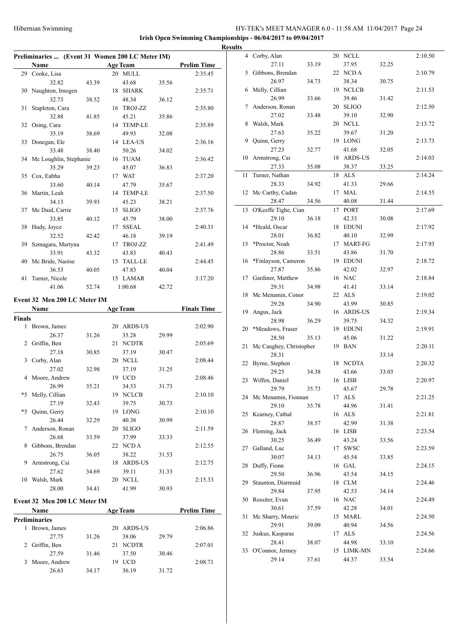**Preliminaries**

4 Corby, Alan 20 NCLL 2:10.50 27.11 33.19 37.95 32.25 5 Gibbons, Brendan 22 NCD A 2:10.79 26.97 34.73 38.34 30.75 6 Melly, Cillian 19 NCLCB 2:11.53 26.99 33.66 39.46 31.42 7 Anderson, Ronan 20 SLIGO 2:12.50 27.02 33.48 39.10 32.90 8 Walsh, Mark 20 NCLL 2:13.72 27.63 35.22 39.67 31.20 9 Quinn, Gerry 19 LONG 2:13.73 27.23 32.77 41.68 32.05 10 Armstrong, Cai 18 ARDS-US 2:14.03 27.33 35.08 38.37 33.25 11 Turner, Nathan 18 ALS 2:14.24 28.33 34.92 41.33 29.66 12 Mc Carthy, Cadan 17 MAL 2:14.55 28.47 34.56 40.08 31.44 13 O'Keeffe Tighe, Cian 17 PORT 2:17.69 29.10 36.18 42.33 30.08 14 \*Heald, Oscar 18 EDUNI 2:17.92 28.01 36.82 40.10 32.99 15 \*Proctor, Noah 17 MART-FG 2:17.93 28.86 33.51 43.86 31.70 16 \*Finlayson, Cameron 19 EDUNI 2:18.72 27.87 35.86 42.02 32.97 17 Gardiner, Matthew 16 NAC 2:18.84 29.31 34.98 41.41 33.14 18 Mc Menamin, Conor 22 ALS 2:19.02 29.28 34.90 43.99 30.85 19 Angus, Jack 16 ARDS-US 2:19.34 28.98 36.29 39.75 34.32 20 \*Meadows, Fraser 19 EDUNI 2:19.91 28.50 35.13 45.06 31.22 21 Mc Caughey, Christopher 19 BAN 2:20.11 28.31 33.14 22 Byrne, Stephen 18 NCDTA 2:20.32 29.25 34.38 43.66 33.03

**Irish Open Swimming Championships - 06/04/2017 to 09/04/2017**

|        | Preliminaries  (Event 31 Women 200 LC Meter IM)<br>Name |       |    |                            |       | <b>Prelim Time</b> |
|--------|---------------------------------------------------------|-------|----|----------------------------|-------|--------------------|
|        | 29 Cooke, Lisa                                          |       |    | <b>Age Team</b><br>20 MULL |       | 2:35.45            |
|        | 32.82                                                   | 43.39 |    | 43.68                      | 35.56 |                    |
|        | 30 Naughton, Imogen                                     |       |    | 18 SHARK                   |       | 2:35.71            |
|        | 32.73                                                   | 38.52 |    | 48.34                      | 36.12 |                    |
| 31     | Stapleton, Cara                                         |       |    | 16 TROJ-ZZ                 |       | 2:35.80            |
|        | 32.88                                                   | 41.85 |    | 45.21                      | 35.86 |                    |
|        | 32 Osing, Cara                                          |       |    | 14 TEMP-LE                 |       | 2:35.89            |
|        | 35.19                                                   |       |    |                            |       |                    |
|        |                                                         | 38.69 |    | 49.93<br>14 LEA-US         | 32.08 |                    |
| 33     | Donegan, Ele<br>33.48                                   | 38.40 |    |                            |       | 2:36.16            |
|        |                                                         |       |    | 50.26                      | 34.02 |                    |
|        | 34 Mc Loughlin, Stephanie                               |       |    | 16 TUAM                    |       | 2:36.42            |
|        | 35.29                                                   | 39.23 |    | 45.07                      | 36.83 |                    |
|        | 35 Cox, Eabha                                           |       |    | 17 WAT                     |       | 2:37.20            |
|        | 33.60                                                   | 40.14 |    | 47.79                      | 35.67 |                    |
|        | 36 Martin, Leah                                         |       |    | 14 TEMP-LE                 |       | 2:37.50            |
|        | 34.13                                                   | 39.93 |    | 45.23                      | 38.21 |                    |
|        | 37 Mc Daid, Carrie                                      |       |    | 15 SLIGO                   |       | 2:37.76            |
|        | 33.85                                                   | 40.12 |    | 45.79                      | 38.00 |                    |
|        | 38 Hudy, Joyce                                          |       |    | 17 SSEAL                   |       | 2:40.31            |
|        | 32.52                                                   | 42.42 |    | 46.18                      | 39.19 |                    |
|        | 39 Szmagara, Martyna                                    |       |    | 17 TROJ-ZZ                 |       | 2:41.49            |
|        | 33.91                                                   | 43.32 |    | 43.83                      | 40.43 |                    |
|        | 40 Mc Bride, Naoíse                                     |       |    | 15 TALL-LE                 |       | 2:44.45            |
|        | 36.53                                                   | 40.05 |    | 47.83                      | 40.04 |                    |
| 41     | Turner, Nicole                                          |       |    | 15 LAMAR                   |       | 3:17.20            |
|        | 41.06                                                   | 52.74 |    | 1:00.68                    | 42.72 |                    |
|        | Event 32 Men 200 LC Meter IM                            |       |    |                            |       |                    |
|        | Name                                                    |       |    | <b>Age Team</b>            |       | <b>Finals Time</b> |
| Finals |                                                         |       |    |                            |       |                    |
| 1      | Brown, James                                            |       |    | 20 ARDS-US                 |       | 2:02.90            |
|        | 26.37                                                   | 31.26 |    | 35.28                      | 29.99 |                    |
| 2      | Griffin, Ben                                            |       |    | 21 NCDTR                   |       | 2:05.69            |
|        | 27.18                                                   | 30.85 |    | 37.19                      | 30.47 |                    |
| 3      | Corby, Alan                                             |       |    | 20 NCLL                    |       | 2:08.44            |
|        | 27.02                                                   | 32.98 |    | 37.19                      | 31.25 |                    |
|        | 4 Moore, Andrew                                         |       |    | 19 UCD                     |       | 2:08.46            |
|        | 26.99                                                   | 35.21 |    | 34.53                      | 31.73 |                    |
| *5     | Melly, Cillian                                          |       |    | 19 NCLCB                   |       | 2:10.10            |
|        | 27.19                                                   | 32.43 |    | 39.75                      | 30.73 |                    |
| *5     | Quinn, Gerry                                            |       |    | 19 LONG                    |       | 2:10.10            |
|        | 26.44                                                   | 32.29 |    | 40.38                      | 30.99 |                    |
| 7      | Anderson, Ronan                                         |       |    | 20 SLIGO                   |       | 2:11.59            |
|        | 26.68                                                   | 33.59 |    | 37.99                      | 33.33 |                    |
| 8      | Gibbons, Brendan                                        |       |    | 22 NCDA                    |       | 2:12.55            |
|        | 26.75                                                   | 36.05 |    | 38.22                      | 31.53 |                    |
| 9      | Armstrong, Cai                                          |       | 18 | <b>ARDS-US</b>             |       | 2:12.75            |
|        | 27.62                                                   | 34.69 |    | 39.11                      | 31.33 |                    |
| 10     | Walsh, Mark                                             |       |    | 20 NCLL                    |       | 2:15.33            |
|        | 28.00                                                   |       |    | 41.99                      |       |                    |
|        |                                                         | 34.41 |    |                            | 30.93 |                    |
|        | Event 32 Men 200 LC Meter IM                            |       |    |                            |       |                    |
|        | Name                                                    |       |    | <b>Age Team</b>            |       | <b>Prelim Time</b> |

27.59 31.46 37.50 30.46 3 Moore, Andrew 19 UCD 2:08.71 26.63 34.17 36.19 31.72

| 4 Moore, Andrew            |       | 19 UCD                |       | 2:08.46            | 23 Wiffen, Daniel      |       | 16 LISB    |       | 2:20.97 |
|----------------------------|-------|-----------------------|-------|--------------------|------------------------|-------|------------|-------|---------|
| 26.99                      | 35.21 | 34.53                 | 31.73 |                    | 29.79                  | 35.73 | 45.67      | 29.78 |         |
| 5 Melly, Cillian           |       | 19 NCLCB              |       | 2:10.10            | 24 Mc Menamin, Fionnan |       | 17 ALS     |       | 2:21.25 |
| 27.19                      | 32.43 | 39.75                 | 30.73 |                    | 29.10                  | 35.78 | 44.96      | 31.41 |         |
| 5 Quinn, Gerry             |       | 19 LONG               |       | 2:10.10            | 25 Kearney, Cathal     |       | 16 ALS     |       | 2:21.81 |
| 26.44                      | 32.29 | 40.38                 | 30.99 |                    | 28.87                  | 38.57 | 42.99      | 31.38 |         |
| 7 Anderson, Ronan          |       | 20 SLIGO              |       | 2:11.59            | 26 Fleming, Jack       |       | 16 LISB    |       | 2:23.54 |
| 26.68                      | 33.59 | 37.99                 | 33.33 |                    | 30.25                  | 36.49 | 43.24      | 33.56 |         |
| 8 Gibbons, Brendan         |       | 22 NCD A              |       | 2:12.55            | 27 Galland, Luc        |       | 17 SWSC    |       | 2:23.59 |
| 26.75                      | 36.05 | 38.22                 | 31.53 |                    | 30.07                  | 34.13 | 45.54      | 33.85 |         |
| 9 Armstrong, Cai           |       | 18 ARDS-US            |       | 2:12.75            | 28 Duffy, Fionn        |       | 16 GAL     |       | 2:24.15 |
| 27.62                      | 34.69 | 39.11                 | 31.33 |                    | 29.50                  | 36.96 | 43.54      | 34.15 |         |
| 0 Walsh, Mark              |       | 20 NCLL               |       | 2:15.33            | 29 Staunton, Diarmuid  |       | 18 CLM     |       | 2:24.46 |
| 28.00                      | 34.41 | 41.99                 | 30.93 |                    | 29.84                  | 37.95 | 42.53      | 34.14 |         |
| ent 32 Men 200 LC Meter IM |       |                       |       |                    | 30 Rossiter, Evan      |       | 16 NAC     |       | 2:24.49 |
| <b>Name</b>                |       | <b>Age Team</b>       |       | <b>Prelim Time</b> | 30.61                  | 37.59 | 42.28      | 34.01 |         |
| liminaries                 |       |                       |       |                    | 31 Mc Sharry, Mouric   |       | 15 MARL    |       | 2:24.50 |
| 1 Brown, James             |       | 20 ARDS-US            |       | 2:06.86            | 29.91                  | 39.09 | 40.94      | 34.56 |         |
| 27.75                      | 31.26 | 38.06                 | 29.79 |                    | 32 Juskus, Kasparas    |       | 17 ALS     |       | 2:24.56 |
| 2 Griffin, Ben             |       | 21 NCDTR              |       | 2:07.01            | 28.41                  | 38.07 | 44.98      | 33.10 |         |
| 27.59                      | 31.46 | 37.50                 | 30.46 |                    | 33 O'Connor, Jermey    |       | 15 LIMK-MN |       | 2:24.66 |
| 3 Moore Andrew             |       | $10$ $\overline{100}$ |       | 2.0871             | 29.14                  | 37.61 | 44.37      | 33.54 |         |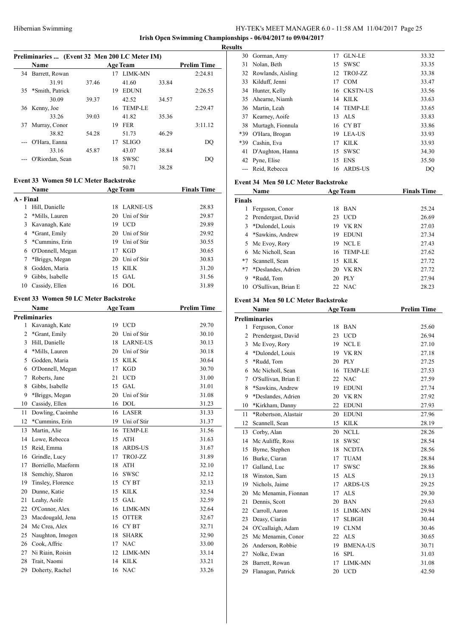**Irish Open Swimming Championships - 06/04/2017 to 09/04/2017**

**Results**

 $\overline{a}$ 

 $\overline{a}$ 

# **Preliminaries ... (Event 32 Men 200 LC Meter IM)**

|    | <b>Name</b>     |       |    | <b>Age Team</b> |       | <b>Prelim Time</b> |
|----|-----------------|-------|----|-----------------|-------|--------------------|
| 34 | Barrett, Rowan  |       | 17 | <b>LIMK-MN</b>  |       | 2:24.81            |
|    | 31.91           | 37.46 |    | 41.60           | 33.84 |                    |
| 35 | *Smith, Patrick |       | 19 | <b>EDUNI</b>    |       | 2:26.55            |
|    | 30.09           | 39.37 |    | 42.52           | 34.57 |                    |
| 36 | Kenny, Joe      |       | 16 | <b>TEMP-LE</b>  |       | 2:29.47            |
|    | 33.26           | 39.03 |    | 41.82           | 35.36 |                    |
| 37 | Murray, Conor   |       | 19 | <b>FER</b>      |       | 3:11.12            |
|    | 38.82           | 54.28 |    | 51.73           | 46.29 |                    |
|    | O'Hara, Eanna   |       | 17 | <b>SLIGO</b>    |       | DQ                 |
|    | 33.16           | 45.87 |    | 43.07           | 38.84 |                    |
|    | O'Riordan, Sean |       | 18 | <b>SWSC</b>     |       | DO                 |
|    |                 |       |    | 50.71           | 38.28 |                    |

#### **Event 33 Women 50 LC Meter Backstroke**

|                | <b>Name</b>      |    | <b>Age Team</b> | <b>Finals Time</b> |  |  |
|----------------|------------------|----|-----------------|--------------------|--|--|
| A - Final      |                  |    |                 |                    |  |  |
| 1              | Hill, Danielle   | 18 | LARNE-US        | 28.83              |  |  |
| $\overline{2}$ | *Mills, Lauren   | 20 | Uni of Stir     | 29.87              |  |  |
| 3              | Kavanagh, Kate   | 19 | <b>UCD</b>      | 29.89              |  |  |
| 4              | *Grant, Emily    | 20 | Uni of Stir     | 29.92              |  |  |
| 5.             | *Cummins, Erin   | 19 | Uni of Stir     | 30.55              |  |  |
| 6              | O'Donnell, Megan | 17 | <b>KGD</b>      | 30.65              |  |  |
| 7              | *Briggs, Megan   | 20 | Uni of Stir     | 30.83              |  |  |
| 8              | Godden, Maria    | 15 | KILK            | 31.20              |  |  |
| 9              | Gibbs, Isabelle  | 15 | GAL.            | 31.56              |  |  |
| 10             | Cassidy, Ellen   |    | 16 DOL          | 31.89              |  |  |

# **Event 33 Women 50 LC Meter Backstroke**

|                | <b>Name</b>          |    | <b>Age Team</b> | <b>Prelim Time</b> |  |  |
|----------------|----------------------|----|-----------------|--------------------|--|--|
|                | <b>Preliminaries</b> |    |                 |                    |  |  |
| 1              | Kavanagh, Kate       | 19 | <b>UCD</b>      | 29.70              |  |  |
| $\overline{c}$ | *Grant, Emily        | 20 | Uni of Stir     | 30.10              |  |  |
| 3              | Hill, Danielle       | 18 | <b>LARNE-US</b> | 30.13              |  |  |
| $\overline{4}$ | *Mills, Lauren       | 20 | Uni of Stir     | 30.18              |  |  |
| 5              | Godden, Maria        | 15 | <b>KILK</b>     | 30.64              |  |  |
| 6              | O'Donnell, Megan     | 17 | <b>KGD</b>      | 30.70              |  |  |
| 7              | Roberts, Jane        | 21 | <b>UCD</b>      | 31.00              |  |  |
| 8              | Gibbs, Isabelle      | 15 | <b>GAL</b>      | 31.01              |  |  |
| 9              | *Briggs, Megan       | 20 | Uni of Stir     | 31.08              |  |  |
| 10             | Cassidy, Ellen       | 16 | <b>DOL</b>      | 31.23              |  |  |
| 11             | Dowling, Caoimhe     | 16 | <b>LASER</b>    | 31.33              |  |  |
| 12             | *Cummins, Erin       | 19 | Uni of Stir     | 31.37              |  |  |
| 13             | Martin, Alie         | 16 | <b>TEMP-LE</b>  | 31.56              |  |  |
| 14             | Lowe, Rebecca        | 15 | <b>ATH</b>      | 31.63              |  |  |
| 15             | Reid, Emma           | 18 | <b>ARDS-US</b>  | 31.67              |  |  |
| 16             | Grindle, Lucy        | 17 | TROJ-ZZ         | 31.89              |  |  |
| 17             | Borriello, Maeform   | 18 | <b>ATH</b>      | 32.10              |  |  |
| 18             | Semchiy, Sharon      | 16 | <b>SWSC</b>     | 32.12              |  |  |
| 19             | Tinsley, Florence    | 15 | <b>CYBT</b>     | 32.13              |  |  |
| 20             | Dunne, Katie         | 15 | <b>KILK</b>     | 32.54              |  |  |
| 21             | Leahy, Aoife         | 15 | GAL.            | 32.59              |  |  |
| 22             | O'Connor, Alex       | 16 | LIMK-MN         | 32.64              |  |  |
| 23             | Macdougald, Jena     | 15 | <b>OTTER</b>    | 32.67              |  |  |
| 24             | Mc Crea, Alex        | 16 | <b>CYBT</b>     | 32.71              |  |  |
| 25             | Naughton, Imogen     | 18 | <b>SHARK</b>    | 32.90              |  |  |
| 26             | Cook, Affric         | 17 | <b>NAC</b>      | 33.00              |  |  |
| 27             | Ni Riain, Roisin     | 12 | LIMK-MN         | 33.14              |  |  |
| 28             | Trait, Naomi         | 14 | <b>KILK</b>     | 33.21              |  |  |
| 29             | Doherty, Rachel      | 16 | <b>NAC</b>      | 33.26              |  |  |

|     | 30 Gorman, Amy    | 17  | <b>GLN-LE</b> | 33.32 |
|-----|-------------------|-----|---------------|-------|
| 31  | Nolan, Beth       | 15. | <b>SWSC</b>   | 33.35 |
| 32  | Rowlands, Aisling |     | 12 TROJ-ZZ    | 33.38 |
| 33  | Kilduff, Jenni    | 17  | <b>COM</b>    | 33.47 |
| 34  | Hunter, Kelly     |     | 16 CKSTN-US   | 33.56 |
|     | 35 Ahearne, Niamh |     | 14 KILK       | 33.63 |
| 36  | Martin, Leah      |     | 14 TEMP-LE    | 33.65 |
| 37  | Kearney, Aoife    | 13  | ALS           | 33.83 |
| 38  | Murtagh, Fionnula |     | 16 CYBT       | 33.86 |
| *39 | O'Hara, Brogan    | 19  | LEA-US        | 33.93 |
| *39 | Cashin, Eva       | 17  | <b>KILK</b>   | 33.93 |
| 41  | D'Aughton, Hanna  | 15  | <b>SWSC</b>   | 34.30 |
|     | 42 Pyne, Elise    | 15  | <b>ENS</b>    | 35.50 |
|     | Reid, Rebecca     | 16  | ARDS-US       | DO    |

#### **Event 34 Men 50 LC Meter Backstroke**

| Name          |                      |    | <b>Age Team</b> | <b>Finals Time</b> |  |
|---------------|----------------------|----|-----------------|--------------------|--|
| <b>Finals</b> |                      |    |                 |                    |  |
|               | Ferguson, Conor      | 18 | <b>BAN</b>      | 25.24              |  |
|               | 2 Prendergast, David | 23 | <b>UCD</b>      | 26.69              |  |
| 3             | *Dulondel, Louis     | 19 | VK RN           | 27.03              |  |
|               | 4 *Sawkins, Andrew   | 19 | <b>EDUNI</b>    | 27.34              |  |
| 5             | Mc Evoy, Rory        | 19 | <b>NCLE</b>     | 27.43              |  |
| 6.            | Mc Nicholl, Sean     |    | 16 TEMP-LE      | 27.62              |  |
| $*7$          | Scannell, Sean       | 15 | KILK            | 27.72              |  |
| $*7$          | *Deslandes, Adrien   | 20 | VK RN           | 27.72              |  |
| 9             | *Rudd, Tom           | 20 | PLY             | 27.94              |  |
| 10            | O'Sullivan, Brian E  |    | 22 NAC          | 28.23              |  |

# **Event 34 Men 50 LC Meter Backstroke**

|                | <b>Name</b>          |    | <b>Age Team</b> | <b>Prelim Time</b> |
|----------------|----------------------|----|-----------------|--------------------|
|                | <b>Preliminaries</b> |    |                 |                    |
| 1              | Ferguson, Conor      | 18 | <b>BAN</b>      | 25.60              |
| $\overline{2}$ | Prendergast, David   | 23 | <b>UCD</b>      | 26.94              |
| 3              | Mc Evoy, Rory        | 19 | <b>NCLE</b>     | 27.10              |
| $\overline{4}$ | *Dulondel, Louis     | 19 | <b>VK RN</b>    | 27.18              |
| 5              | *Rudd, Tom           | 20 | <b>PLY</b>      | 27.25              |
| 6              | Mc Nicholl, Sean     | 16 | <b>TEMP-LE</b>  | 27.53              |
| 7              | O'Sullivan, Brian E  | 22 | <b>NAC</b>      | 27.59              |
| 8              | *Sawkins, Andrew     | 19 | <b>EDUNI</b>    | 27.74              |
| 9              | *Deslandes, Adrien   | 20 | <b>VK RN</b>    | 27.92              |
| 10             | *Kirkham, Danny      | 22 | <b>EDUNI</b>    | 27.93              |
| 11             | *Robertson, Alastair | 20 | <b>EDUNI</b>    | 27.96              |
| 12             | Scannell, Sean       | 15 | <b>KILK</b>     | 28.19              |
| 13             | Corby, Alan          | 20 | <b>NCLL</b>     | 28.26              |
| 14             | Mc Auliffe, Ross     | 18 | <b>SWSC</b>     | 28.54              |
| 15             | Byrne, Stephen       | 18 | <b>NCDTA</b>    | 28.56              |
| 16             | Burke, Ciaran        | 17 | <b>TUAM</b>     | 28.84              |
| 17             | Galland, Luc         | 17 | <b>SWSC</b>     | 28.86              |
| 18             | Winston, Sam         | 15 | <b>ALS</b>      | 29.13              |
| 19             | Nichols, Jaime       | 17 | <b>ARDS-US</b>  | 29.25              |
| 20             | Mc Menamin, Fionnan  | 17 | <b>ALS</b>      | 29.30              |
| 21             | Dennis, Scott        | 20 | <b>BAN</b>      | 29.63              |
| 22             | Carroll, Aaron       | 15 | LIMK-MN         | 29.94              |
| 23             | Deasy, Ciarán        | 17 | <b>SLBGH</b>    | 30.44              |
| 24             | O'Ceallaigh, Adam    | 19 | <b>CLNM</b>     | 30.46              |
| 25             | Mc Menamin, Conor    | 22 | <b>ALS</b>      | 30.65              |
| 26             | Anderson, Robbie     | 19 | <b>BMENA-US</b> | 30.71              |
| 27             | Nolke, Ewan          | 16 | <b>SPL</b>      | 31.03              |
| 28             | Barrett, Rowan       | 17 | LIMK-MN         | 31.08              |
| 29             | Flanagan, Patrick    | 20 | <b>UCD</b>      | 42.50              |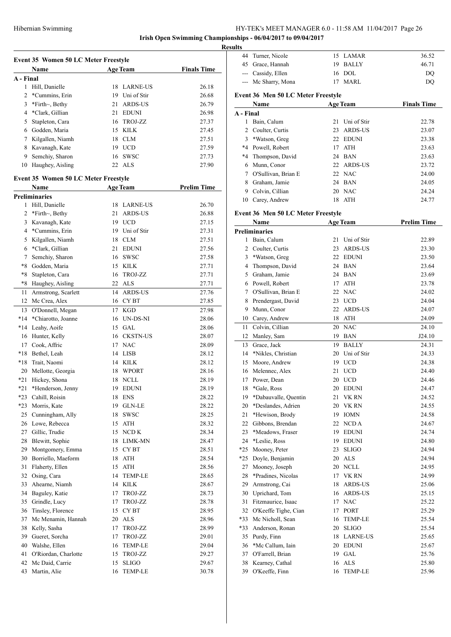# **Irish Open Swimming Championships - 06/04/2017 to 09/04/2017 Results**

| <b>Event 35 Women 50 LC Meter Freestyle</b> |                                             |    |                  |                    |  |  |  |  |
|---------------------------------------------|---------------------------------------------|----|------------------|--------------------|--|--|--|--|
|                                             | Name                                        |    | <b>Age Team</b>  | <b>Finals Time</b> |  |  |  |  |
| A - Final                                   |                                             |    |                  |                    |  |  |  |  |
| 1                                           | Hill, Danielle                              | 18 | <b>LARNE-US</b>  | 26.18              |  |  |  |  |
| 2                                           | *Cummins, Erin                              |    | 19 Uni of Stir   | 26.68              |  |  |  |  |
| 3                                           | *Firth~, Bethy                              | 21 | <b>ARDS-US</b>   | 26.79              |  |  |  |  |
| 4                                           | *Clark, Gillian                             | 21 | <b>EDUNI</b>     | 26.98              |  |  |  |  |
| 5                                           | Stapleton, Cara                             | 16 | TROJ-ZZ          | 27.37              |  |  |  |  |
| 6                                           | Godden, Maria                               | 15 | <b>KILK</b>      | 27.45              |  |  |  |  |
| 7                                           | Kilgallen, Niamh                            | 18 | <b>CLM</b>       | 27.51              |  |  |  |  |
| 8                                           | Kavanagh, Kate                              |    | 19 UCD           | 27.59              |  |  |  |  |
| 9                                           | Semchiy, Sharon                             | 16 | <b>SWSC</b>      | 27.73              |  |  |  |  |
| 10                                          | Haughey, Aisling                            | 22 | <b>ALS</b>       | 27.90              |  |  |  |  |
|                                             |                                             |    |                  |                    |  |  |  |  |
|                                             | <b>Event 35 Women 50 LC Meter Freestyle</b> |    |                  |                    |  |  |  |  |
|                                             | Name                                        |    | <b>Age Team</b>  | <b>Prelim Time</b> |  |  |  |  |
|                                             | Preliminaries                               |    |                  |                    |  |  |  |  |
| 1                                           | Hill, Danielle                              | 18 | <b>LARNE-US</b>  | 26.70              |  |  |  |  |
| 2                                           | *Firth~, Bethy                              | 21 | <b>ARDS-US</b>   | 26.88              |  |  |  |  |
| 3                                           | Kavanagh, Kate                              |    | 19 UCD           | 27.15              |  |  |  |  |
| 4                                           | *Cummins, Erin                              |    | 19 Uni of Stir   | 27.31              |  |  |  |  |
| 5                                           | Kilgallen, Niamh                            | 18 | <b>CLM</b>       | 27.51              |  |  |  |  |
| 6                                           | *Clark, Gillian                             | 21 | <b>EDUNI</b>     | 27.56              |  |  |  |  |
| 7                                           | Semchiy, Sharon                             | 16 | <b>SWSC</b>      | 27.58              |  |  |  |  |
| *8                                          | Godden, Maria                               | 15 | KILK             | 27.71              |  |  |  |  |
| *8                                          | Stapleton, Cara                             | 16 | TROJ-ZZ          | 27.71              |  |  |  |  |
| *8                                          | Haughey, Aisling                            | 22 | <b>ALS</b>       | 27.71              |  |  |  |  |
| 11                                          | Armstrong, Scarlett                         | 14 | <b>ARDS-US</b>   | 27.76              |  |  |  |  |
| 12                                          | Mc Crea, Alex                               |    | 16 CYBT          | 27.85              |  |  |  |  |
| 13                                          | O'Donnell, Megan                            | 17 | KGD              | 27.98              |  |  |  |  |
| $*14$                                       | *Chiarotto, Joanne                          | 16 | UN-DS-NI         | 28.06              |  |  |  |  |
| *14                                         | Leahy, Aoife                                | 15 | GAL              | 28.06              |  |  |  |  |
| 16                                          | Hunter, Kelly                               | 16 | <b>CKSTN-US</b>  | 28.07              |  |  |  |  |
| 17                                          | Cook, Affric                                | 17 | <b>NAC</b>       | 28.09              |  |  |  |  |
| $*18$                                       | Bethel, Leah                                | 14 | LISB             | 28.12              |  |  |  |  |
| *18                                         | Trait, Naomi                                | 14 | KILK             | 28.12              |  |  |  |  |
| 20                                          | Mellotte, Georgia                           | 18 | <b>WPORT</b>     | 28.16              |  |  |  |  |
| *21                                         | Hickey, Shona                               | 18 | <b>NCLL</b>      | 28.19              |  |  |  |  |
| *21                                         | *Henderson, Jenny                           |    | 19 EDUNI         | 28.19              |  |  |  |  |
| *23                                         | Cahill, Roisin                              | 18 | <b>ENS</b>       | 28.22              |  |  |  |  |
| *23                                         | Morris, Kate                                | 19 | <b>GLN-LE</b>    | 28.22              |  |  |  |  |
| 25                                          | Cunningham, Ally                            | 18 | <b>SWSC</b>      | 28.25              |  |  |  |  |
| 26                                          | Lowe, Rebecca                               | 15 | ATH              | 28.32              |  |  |  |  |
| 27                                          | Gillic, Trudie                              | 15 | NCD K            | 28.34              |  |  |  |  |
| 28                                          | Blewitt, Sophie                             | 18 | LIMK-MN          | 28.47              |  |  |  |  |
| 29                                          | Montgomery, Emma                            | 15 | CY BT            | 28.51              |  |  |  |  |
| 30                                          | Borriello, Maeform                          | 18 | ATH              | 28.54              |  |  |  |  |
| 31                                          | Flaherty, Ellen                             | 15 | <b>ATH</b>       | 28.56              |  |  |  |  |
| 32                                          | Osing, Cara                                 | 14 | <b>TEMP-LE</b>   | 28.65              |  |  |  |  |
| 33                                          | Ahearne, Niamh                              | 14 | <b>KILK</b>      | 28.67              |  |  |  |  |
| 34                                          | Baguley, Katie                              | 17 | TROJ-ZZ          | 28.73              |  |  |  |  |
| 35                                          | Grindle, Lucy                               | 17 | TROJ-ZZ          | 28.78              |  |  |  |  |
| 36                                          | Tinsley, Florence                           | 15 | CY <sub>BT</sub> | 28.95              |  |  |  |  |
| 37                                          | Mc Menamin, Hannah                          | 20 | <b>ALS</b>       | 28.96              |  |  |  |  |
| 38                                          | Kelly, Sasha                                | 17 | TROJ-ZZ          | 28.99              |  |  |  |  |
| 39                                          | Gueret, Sorcha                              | 17 | TROJ-ZZ          | 29.01              |  |  |  |  |
| 40                                          | Walshe, Ellen                               | 16 | TEMP-LE          | 29.04              |  |  |  |  |
| 41                                          | O'Riordan, Charlotte                        | 15 | TROJ-ZZ          | 29.27              |  |  |  |  |
| 42                                          | Mc Daid, Carrie                             | 15 | <b>SLIGO</b>     | 29.67              |  |  |  |  |
| 43                                          | Martin, Alie                                | 16 | <b>TEMP-LE</b>   | 30.78              |  |  |  |  |
|                                             |                                             |    |                  |                    |  |  |  |  |

| unts      |                                    |    |                 |                    |
|-----------|------------------------------------|----|-----------------|--------------------|
|           | 44 Turner, Nicole                  |    | 15 LAMAR        | 36.52              |
|           | 45 Grace, Hannah                   |    | 19 BALLY        | 46.71              |
|           | --- Cassidy, Ellen                 |    | 16 DOL          | DQ                 |
|           | --- Mc Sharry, Mona                |    | 17 MARL         | DQ                 |
|           |                                    |    |                 |                    |
|           | Event 36 Men 50 LC Meter Freestyle |    |                 |                    |
|           | Name                               |    | <b>Age Team</b> | <b>Finals Time</b> |
| A - Final |                                    |    |                 |                    |
| 1         | Bain, Calum                        | 21 | Uni of Stir     | 22.78              |
|           | 2 Coulter, Curtis                  | 23 | <b>ARDS-US</b>  | 23.07              |
| 3         | *Watson, Greg                      |    | 22 EDUNI        | 23.38              |
|           | *4 Powell, Robert                  | 17 | ATH             | 23.63              |
|           | *4 Thompson, David                 |    | 24 BAN          | 23.63              |
| 6         | Munn, Conor                        |    | 22 ARDS-US      | 23.72              |
|           | 7 O'Sullivan, Brian E              |    | 22 NAC          | 24.00              |
|           | 8 Graham, Jamie                    |    | 24 BAN          | 24.05              |
|           | 9 Colvin, Cillian                  |    | 20 NAC          | 24.24              |
|           | 10 Carey, Andrew                   |    | 18 ATH          | 24.77              |
|           |                                    |    |                 |                    |
|           | Event 36 Men 50 LC Meter Freestyle |    |                 |                    |
|           | Name                               |    | <b>Age Team</b> | <b>Prelim Time</b> |
|           | <b>Preliminaries</b>               |    |                 |                    |
| 1         | Bain, Calum                        | 21 | Uni of Stir     | 22.89              |
|           | 2 Coulter, Curtis                  |    | 23 ARDS-US      | 23.30              |
| 3         | *Watson, Greg                      |    | 22 EDUNI        | 23.50              |
|           | 4 Thompson, David                  |    | 24 BAN          | 23.64              |
|           | 5 Graham, Jamie                    |    | 24 BAN          | 23.69              |
| 6         | Powell, Robert                     |    | 17 ATH          | 23.78              |
| 7         | O'Sullivan, Brian E                |    | 22 NAC          | 24.02              |
| 8         | Prendergast, David                 |    | 23 UCD          | 24.04              |
| 9         | Munn, Conor                        | 22 | ARDS-US         | 24.07              |
|           |                                    |    |                 |                    |
|           | 10 Carey, Andrew                   |    | 18 ATH          | 24.09              |
| 11        | Colvin, Cillian                    | 20 | <b>NAC</b>      | 24.10              |
| 12        | Manley, Sam                        |    | 19 BAN          | J24.10             |
| 13        | Grace, Jack                        | 19 | <b>BALLY</b>    | 24.31              |
| 14        | *Nikles, Christian                 | 20 | Uni of Stir     | 24.33              |
| 15        | Moore, Andrew                      |    | 19 UCD          | 24.38              |
| 16        | Melennec, Alex                     | 21 | <b>UCD</b>      | 24.40              |
| 17        | Power, Dean                        |    | 20 UCD          | 24.46              |
| 18        | *Gale, Ross                        | 20 | <b>EDUNI</b>    | 24.47              |
| 19        | *Dabauvalle, Quentin               | 21 | VK RN           | 24.52              |
| 20        | *Deslandes, Adrien                 | 20 | VK RN           | 24.55              |
| 21        | *Hewison, Brody                    | 19 | <b>IOMN</b>     | 24.58              |
| 22        | Gibbons, Brendan                   | 22 | NCD A           | 24.67              |
| 23        | *Meadows, Fraser                   | 19 | <b>EDUNI</b>    | 24.74              |
| 24        | *Leslie, Ross                      | 19 | <b>EDUNI</b>    | 24.80              |
| *25       | Mooney, Peter                      | 23 | <b>SLIGO</b>    | 24.94              |
| *25       | Doyle, Benjamin                    | 20 | ALS             | 24.94              |
| 27        | Mooney, Joseph                     | 20 | <b>NCLL</b>     | 24.95              |
| 28        | *Pradines, Nicolas                 | 17 | VK RN           | 24.99              |
| 29        | Armstrong, Cai                     | 18 | ARDS-US         | 25.06              |
| 30        | Uprichard, Tom                     | 16 | ARDS-US         | 25.15              |
| 31        | Fitzmaurice, Isaac                 | 17 | NAC             | 25.22              |
| 32        | O'Keeffe Tighe, Cian               | 17 | <b>PORT</b>     | 25.29              |
| *33       | Mc Nicholl, Sean                   | 16 | TEMP-LE         | 25.54              |
| *33       | Anderson, Ronan                    | 20 | SLIGO           | 25.54              |
| 35        | Purdy, Finn                        | 18 | <b>LARNE-US</b> | 25.65              |
| 36        | *Mc Callum, Iain                   | 20 | <b>EDUNI</b>    | 25.67              |
| 37        | O'Farrell, Brian                   | 19 | GAL             | 25.76              |
| 38        | Kearney, Cathal                    |    | <b>ALS</b>      |                    |
|           |                                    | 16 |                 | 25.80              |
| 39        | O'Keeffe, Finn                     | 16 | TEMP-LE         | 25.96              |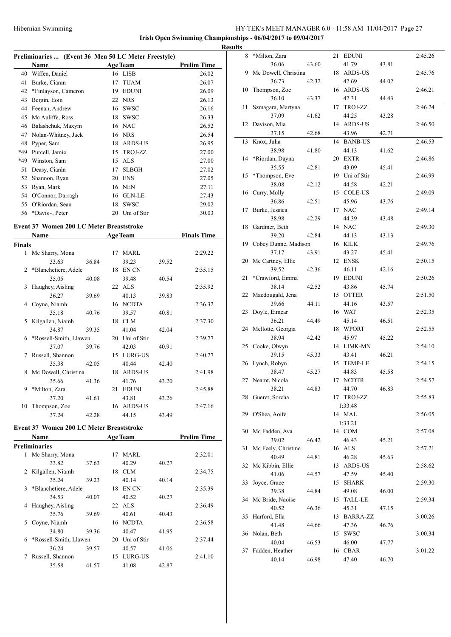**Irish Open Swimming Championships - 06/04/2017 to 09/04/2017 Results**

| Preliminaries  (Event 36 Men 50 LC Meter Freestyle) |                     |    |                 |                    |  |  |  |
|-----------------------------------------------------|---------------------|----|-----------------|--------------------|--|--|--|
|                                                     | Name                |    | <b>Age Team</b> | <b>Prelim Time</b> |  |  |  |
| 40                                                  | Wiffen, Daniel      |    | 16 LISB         | 26.02              |  |  |  |
| 41                                                  | Burke, Ciaran       | 17 | <b>TUAM</b>     | 26.07              |  |  |  |
| 42                                                  | *Finlayson, Cameron | 19 | <b>EDUNI</b>    | 26.09              |  |  |  |
| 43                                                  | Bergin, Eoin        | 22 | <b>NRS</b>      | 26.13              |  |  |  |
| 44                                                  | Feenan, Andrew      | 16 | <b>SWSC</b>     | 26.16              |  |  |  |
| 45                                                  | Mc Auliffe, Ross    | 18 | <b>SWSC</b>     | 26.33              |  |  |  |
| 46                                                  | Balashchuk, Maxym   |    | 16 NAC          | 26.52              |  |  |  |
| 47                                                  | Nolan-Whitney, Jack | 16 | <b>NRS</b>      | 26.54              |  |  |  |
| 48                                                  | Pyper, Sam          | 18 | <b>ARDS-US</b>  | 26.95              |  |  |  |
| *49                                                 | Purcell, Jamie      | 15 | TROJ-ZZ         | 27.00              |  |  |  |
| *49                                                 | Winston, Sam        | 15 | <b>ALS</b>      | 27.00              |  |  |  |
| 51                                                  | Deasy, Ciarán       | 17 | <b>SLBGH</b>    | 27.02              |  |  |  |
| 52                                                  | Shannon, Ryan       | 20 | <b>ENS</b>      | 27.05              |  |  |  |
| 53                                                  | Ryan, Mark          | 16 | <b>NEN</b>      | 27.11              |  |  |  |
| 54                                                  | O'Connor, Darragh   | 16 | <b>GLN-LE</b>   | 27.43              |  |  |  |
| 55                                                  | O'Riordan, Sean     | 18 | <b>SWSC</b>     | 29.02              |  |  |  |
| 56                                                  | *Davis~, Peter      | 20 | Uni of Stir     | 30.03              |  |  |  |

# **Event 37 Women 200 LC Meter Breaststroke**

|               | Name                     | <b>Age Team</b> |    |                | <b>Finals Time</b> |         |
|---------------|--------------------------|-----------------|----|----------------|--------------------|---------|
| <b>Finals</b> |                          |                 |    |                |                    |         |
|               | 1 Mc Sharry, Mona        |                 | 17 | MARL           |                    | 2:29.22 |
|               | 33.63                    | 36.84           |    | 39.23          | 39.52              |         |
|               | 2 *Blanchetiere, Adele   |                 | 18 | EN CN          |                    | 2:35.15 |
|               | 35.05                    | 40.08           |    | 39.48          | 40.54              |         |
| 3             | Haughey, Aisling         |                 |    | 22 ALS         |                    | 2:35.92 |
|               | 36.27                    | 39.69           |    | 40.13          | 39.83              |         |
| 4             | Coyne, Niamh             |                 | 16 | <b>NCDTA</b>   |                    | 2:36.32 |
|               | 35.18                    | 40.76           |    | 39.57          | 40.81              |         |
| 5.            | Kilgallen, Niamh         |                 | 18 | <b>CLM</b>     |                    | 2:37.30 |
|               | 34.87                    | 39.35           |    | 41.04          | 42.04              |         |
|               | 6 *Rossell-Smith, Llawen |                 | 20 | Uni of Stir    |                    | 2:39.77 |
|               | 37.07                    | 39.76           |    | 42.03          | 40.91              |         |
| 7             | Russell, Shannon         |                 | 15 | LURG-US        |                    | 2:40.27 |
|               | 35.38                    | 42.05           |    | 40.44          | 42.40              |         |
|               | 8 Mc Dowell, Christina   |                 | 18 | <b>ARDS-US</b> |                    | 2:41.98 |
|               | 35.66                    | 41.36           |    | 41.76          | 43.20              |         |
| 9             | *Milton, Zara            |                 | 21 | <b>EDUNI</b>   |                    | 2:45.88 |
|               | 37.20                    | 41.61           |    | 43.81          | 43.26              |         |
| 10            | Thompson, Zoe            |                 | 16 | <b>ARDS-US</b> |                    | 2:47.16 |
|               | 37.24                    | 42.28           |    | 44.15          | 43.49              |         |

# **Event 37 Women 200 LC Meter Breaststroke**

| Name                 |       |                        |             |                                                     | <b>Prelim Time</b> |
|----------------------|-------|------------------------|-------------|-----------------------------------------------------|--------------------|
| Preliminaries        |       |                        |             |                                                     |                    |
| Mc Sharry, Mona      |       | 17                     | <b>MARL</b> |                                                     | 2:32.01            |
| 33.82                | 37.63 |                        | 40.29       | 40.27                                               |                    |
| Kilgallen, Niamh     |       | 18                     | CLM         |                                                     | 2:34.75            |
| 35.24                | 39.23 |                        | 40.14       | 40.14                                               |                    |
| *Blanchetiere, Adele |       | 18                     | EN CN       |                                                     | 2:35.39            |
| 34.53                | 40.07 |                        | 40.52       | 40.27                                               |                    |
| Haughey, Aisling     |       |                        |             |                                                     | 2:36.49            |
| 35.76                | 39.69 |                        | 40.61       | 40.43                                               |                    |
| Coyne, Niamh         |       |                        |             |                                                     | 2:36.58            |
| 34.80                | 39.36 |                        | 40.47       | 41.95                                               |                    |
|                      |       | 20                     | Uni of Stir |                                                     | 2:37.44            |
| 36.24                | 39.57 |                        | 40.57       | 41.06                                               |                    |
| Russell, Shannon     |       |                        |             |                                                     | 2:41.10            |
| 35.58                | 41.57 |                        | 41.08       | 42.87                                               |                    |
|                      |       | *Rossell-Smith, Llawen |             | <b>Age Team</b><br>22 ALS<br>16 NCDTA<br>15 LURG-US |                    |

| 8  | *Milton, Zara           |       |    | 21 EDUNI       |       | 2:45.26 |
|----|-------------------------|-------|----|----------------|-------|---------|
|    | 36.06                   | 43.60 |    | 41.79          | 43.81 |         |
|    | 9 Mc Dowell, Christina  |       | 18 | <b>ARDS-US</b> |       | 2:45.76 |
|    | 36.73                   | 42.32 |    | 42.69          | 44.02 |         |
| 10 | Thompson, Zoe           |       |    | 16 ARDS-US     |       | 2:46.21 |
|    | 36.10                   | 43.37 |    | 42.31          | 44.43 |         |
| 11 | Szmagara, Martyna       |       | 17 | TROJ-ZZ        |       | 2:46.24 |
|    |                         |       |    |                |       |         |
|    | 37.09                   | 41.62 |    | 44.25          | 43.28 |         |
| 12 | Davison, Mia            |       | 14 | <b>ARDS-US</b> |       | 2:46.50 |
|    | 37.15                   | 42.68 |    | 43.96          | 42.71 |         |
| 13 | Knox, Julia             |       |    | 14 BANB-US     |       | 2:46.53 |
|    | 38.98                   | 41.80 |    | 44.13          | 41.62 |         |
| 14 | *Riordan, Dayna         |       |    | 20 EXTR        |       | 2:46.86 |
|    | 35.55                   | 42.81 |    | 43.09          | 45.41 |         |
| 15 | *Thompson, Eve          |       |    | 19 Uni of Stir |       | 2:46.99 |
|    | 38.08                   | 42.12 |    | 44.58          | 42.21 |         |
| 16 | Curry, Molly            |       |    | 15 COLE-US     |       | 2:49.09 |
|    | 36.86                   | 42.51 |    | 45.96          | 43.76 |         |
| 17 | Burke, Jessica          |       |    | 17 NAC         |       | 2:49.14 |
|    | 38.98                   | 42.29 |    | 44.39          | 43.48 |         |
|    | 18 Gardiner, Beth       |       |    | 14 NAC         |       | 2:49.30 |
|    | 39.20                   | 42.84 |    | 44.13          | 43.13 |         |
|    | 19 Cobey Dunne, Madison |       |    | 16 KILK        |       | 2:49.76 |
|    | 37.17                   | 43.91 |    | 43.27          | 45.41 |         |
|    |                         |       |    | 12 ENSK        |       | 2:50.15 |
|    | 20 Mc Cartney, Ellie    |       |    |                |       |         |
|    | 39.52                   | 42.36 |    | 46.11          | 42.16 |         |
| 21 | *Crawford, Emma         |       |    | 19 EDUNI       |       | 2:50.26 |
|    | 38.14                   | 42.52 |    | 43.86          | 45.74 |         |
| 22 | Macdougald, Jena        |       |    | 15 OTTER       |       | 2:51.50 |
|    | 39.66                   | 44.11 |    | 44.16          | 43.57 |         |
| 23 | Doyle, Eimear           |       |    | 16 WAT         |       | 2:52.35 |
|    | 36.21                   | 44.49 |    | 45.14          | 46.51 |         |
|    | 24 Mellotte, Georgia    |       |    | 18 WPORT       |       | 2:52.55 |
|    | 38.94                   | 42.42 |    | 45.97          | 45.22 |         |
|    | 25 Cooke, Olwyn         |       |    | 14 LIMK-MN     |       | 2:54.10 |
|    | 39.15                   | 45.33 |    | 43.41          | 46.21 |         |
|    | 26 Lynch, Robyn         |       |    | 15 TEMP-LE     |       | 2:54.15 |
|    | 38.47                   | 45.27 |    | 44.83          | 45.58 |         |
| 27 | Neamt, Nicola           |       |    | 17 NCDTR       |       | 2:54.57 |
|    | 38.21                   | 44.83 |    | 44.70          | 46.83 |         |
| 28 | Gueret, Sorcha          |       |    | 17 TROJ-ZZ     |       | 2:55.83 |
|    |                         |       |    | 1:33.48        |       |         |
|    |                         |       |    | 14 MAL         |       |         |
| 29 | O'Shea, Aoife           |       |    |                |       | 2:56.05 |
|    |                         |       |    | 1:33.21        |       |         |
| 30 | Mc Fadden, Ava          |       |    | 14 COM         |       | 2:57.08 |
|    | 39.02                   | 46.42 |    | 46.43          | 45.21 |         |
| 31 | Mc Feely, Christine     |       |    | 16 ALS         |       | 2:57.21 |
|    | 40.49                   | 44.81 |    | 46.28          | 45.63 |         |
| 32 | Mc Kibbin, Ellie        |       | 13 | ARDS-US        |       | 2:58.62 |
|    | 41.06                   | 44.57 |    | 47.59          | 45.40 |         |
| 33 | Joyce, Grace            |       | 15 | <b>SHARK</b>   |       | 2:59.30 |
|    | 39.38                   | 44.84 |    | 49.08          | 46.00 |         |
| 34 | Mc Bride, Naoíse        |       | 15 | <b>TALL-LE</b> |       | 2:59.34 |
|    | 40.52                   | 46.36 |    | 45.31          | 47.15 |         |
| 35 | Harford, Ella           |       |    | 13 BARRA-ZZ    |       | 3:00.26 |
|    | 41.48                   | 44.66 |    | 47.36          | 46.76 |         |
| 36 | Nolan, Beth             |       | 15 | <b>SWSC</b>    |       | 3:00.34 |
|    | 40.04                   |       |    |                |       |         |
|    |                         | 46.53 |    | 46.00          | 47.77 |         |
| 37 | Fadden, Heather         |       |    | 16 CBAR        |       | 3:01.22 |
|    | 40.14                   | 46.98 |    | 47.40          | 46.70 |         |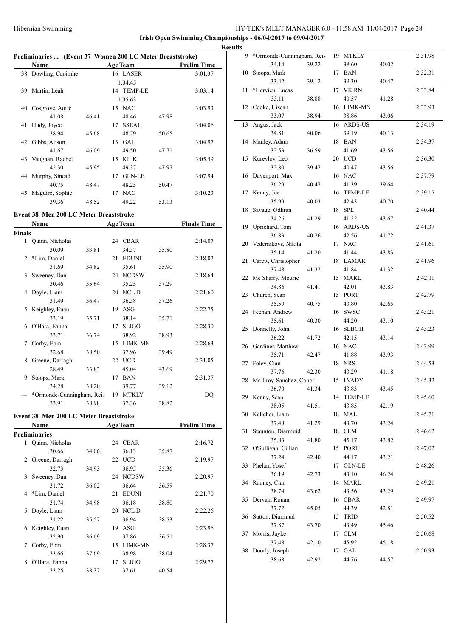$\overline{a}$ 

# HY-TEK's MEET MANAGER 6.0 - 11:58 AM 11/04/2017 Page 28

**Irish Open Swimming Championships - 06/04/2017 to 09/04/2017 Results**

 $\overline{a}$ 

 $\overline{a}$ 

# **Preliminaries ... (Event 37 Women 200 LC Meter Breaststroke)**

|    | Name             |       | <b>Age Team</b>     |       | <b>Prelim Time</b> |
|----|------------------|-------|---------------------|-------|--------------------|
| 38 | Dowling, Caoimhe |       | 16 LASER            |       | 3:01.37            |
|    |                  |       | 1:34.45             |       |                    |
| 39 | Martin, Leah     |       | 14 TEMP-LE          |       | 3:03.14            |
|    |                  |       | 1:35.63             |       |                    |
| 40 | Cosgrove, Aoife  |       | 15 NAC              |       | 3:03.93            |
|    | 41.08            | 46.41 | 48.46               | 47.98 |                    |
| 41 | Hudy, Joyce      |       | <b>SSEAL</b><br>17  |       | 3:04.06            |
|    | 38.94            | 45.68 | 48.79               | 50.65 |                    |
| 42 | Gibbs, Alison    |       | <b>GAL</b><br>13    |       | 3:04.97            |
|    | 41.67            | 46.09 | 49.50               | 47.71 |                    |
| 43 | Vaughan, Rachel  |       | <b>KILK</b><br>15   |       | 3:05.59            |
|    | 42.30            | 45.95 | 49.37               | 47.97 |                    |
| 44 | Murphy, Sinead   |       | <b>GLN-LE</b><br>17 |       | 3:07.94            |
|    | 40.75            | 48.47 | 48.25               | 50.47 |                    |
| 45 | Maguire, Sophie  |       | <b>NAC</b><br>17    |       | 3:10.23            |
|    | 39.36            | 48.52 | 49.22               | 53.13 |                    |

#### **Event 38 Men 200 LC Meter Breaststroke**

|                | Name                      |       |    | <b>Age Team</b> |       | <b>Finals Time</b> |
|----------------|---------------------------|-------|----|-----------------|-------|--------------------|
| Finals         |                           |       |    |                 |       |                    |
| 1              | Quinn, Nicholas           |       |    | 24 CBAR         |       | 2:14.07            |
|                | 30.09                     | 33.81 |    | 34.37           | 35.80 |                    |
| $\overline{c}$ | *Lim, Daniel              |       | 21 | <b>EDUNI</b>    |       | 2:18.02            |
|                | 31.69                     | 34.82 |    | 35.61           | 35.90 |                    |
| 3              | Sweeney, Dan              |       |    | 24 NCDSW        |       | 2:18.64            |
|                | 30.46                     | 35.64 |    | 35.25           | 37.29 |                    |
| 4              | Doyle, Liam               |       | 20 | NCL D           |       | 2:21.60            |
|                | 31.49                     | 36.47 |    | 36.38           | 37.26 |                    |
| 5              | Keighley, Euan            |       | 19 | ASG             |       | 2:22.75            |
|                | 33.19                     | 35.71 |    | 38.14           | 35.71 |                    |
| 6              | O'Hara, Eanna             |       | 17 | <b>SLIGO</b>    |       | 2:28.30            |
|                | 33.71                     | 36.74 |    | 38.92           | 38.93 |                    |
| 7              | Corby, Eoin               |       | 15 | <b>LIMK-MN</b>  |       | 2:28.63            |
|                | 32.68                     | 38.50 |    | 37.96           | 39.49 |                    |
| 8              | Greene, Darragh           |       | 22 | <b>UCD</b>      |       | 2:31.05            |
|                | 28.49                     | 33.83 |    | 45.04           | 43.69 |                    |
| 9              | Stoops, Mark              |       | 17 | <b>BAN</b>      |       | 2:31.37            |
|                | 34.28                     | 38.20 |    | 39.77           | 39.12 |                    |
|                | *Ormonde-Cunningham, Reis |       | 19 | <b>MTKLY</b>    |       | DQ                 |
|                | 33.91                     | 38.98 |    | 37.36           | 38.82 |                    |

#### **Event 38 Men 200 LC Meter Breaststroke**

|   | Name            |       |    | <b>Age Team</b> |       | <b>Prelim Time</b> |
|---|-----------------|-------|----|-----------------|-------|--------------------|
|   | Preliminaries   |       |    |                 |       |                    |
| 1 | Quinn, Nicholas |       |    | 24 CBAR         |       | 2:16.72            |
|   | 30.66           | 34.06 |    | 36.13           | 35.87 |                    |
| 2 | Greene, Darragh |       | 22 | <b>UCD</b>      |       | 2:19.97            |
|   | 32.73           | 34.93 |    | 36.95           | 35.36 |                    |
| 3 | Sweeney, Dan    |       | 24 | <b>NCDSW</b>    |       | 2:20.97            |
|   | 31.72           | 36.02 |    | 36.64           | 36.59 |                    |
| 4 | *Lim, Daniel    |       | 21 | <b>EDUNI</b>    |       | 2:21.70            |
|   | 31.74           | 34.98 |    | 36.18           | 38.80 |                    |
| 5 | Doyle, Liam     |       | 20 | NCL D           |       | 2:22.26            |
|   | 31.22           | 35.57 |    | 36.94           | 38.53 |                    |
| 6 | Keighley, Euan  |       | 19 | ASG             |       | 2:23.96            |
|   | 32.90           | 36.69 |    | 37.86           | 36.51 |                    |
| 7 | Corby, Eoin     |       | 15 | <b>LIMK-MN</b>  |       | 2:28.37            |
|   | 33.66           | 37.69 |    | 38.98           | 38.04 |                    |
| 8 | O'Hara, Eanna   |       | 17 | <b>SLIGO</b>    |       | 2:29.77            |
|   | 33.25           | 38.37 |    | 37.61           | 40.54 |                    |

| 9  | *Ormonde-Cunningham, Reis |       |    | 19 MTKLY       |       | 2:31.98 |
|----|---------------------------|-------|----|----------------|-------|---------|
|    | 34.14                     | 39.22 |    | 38.60          | 40.02 |         |
| 10 | Stoops, Mark              |       | 17 | <b>BAN</b>     |       | 2:32.31 |
|    | 33.42                     | 39.12 |    | 39.30          | 40.47 |         |
| 11 | *Hervieu, Lucas           |       | 17 | <b>VK RN</b>   |       | 2:33.84 |
|    | 33.11                     | 38.88 |    | 40.57          | 41.28 |         |
| 12 | Cooke, Uisean             |       | 16 | LIMK-MN        |       | 2:33.93 |
|    |                           |       |    |                |       |         |
|    | 33.07                     | 38.94 |    | 38.86          | 43.06 |         |
| 13 | Angus, Jack               |       | 16 | <b>ARDS-US</b> |       | 2:34.19 |
|    | 34.81                     | 40.06 |    | 39.19          | 40.13 |         |
| 14 | Manley, Adam              |       | 18 | <b>BAN</b>     |       | 2:34.37 |
|    | 32.53                     | 36.59 |    | 41.69          | 43.56 |         |
| 15 | Kurevlov, Leo             |       | 20 | <b>UCD</b>     |       | 2:36.30 |
|    | 32.80                     | 39.47 |    | 40.47          | 43.56 |         |
| 16 | Davenport, Max            |       |    | 16 NAC         |       | 2:37.79 |
|    | 36.29                     | 40.47 |    | 41.39          | 39.64 |         |
| 17 | Kenny, Joe                |       | 16 | <b>TEMP-LE</b> |       | 2:39.15 |
|    | 35.99                     | 40.03 |    | 42.43          | 40.70 |         |
| 18 | Savage, Odhran            |       | 18 | <b>SPL</b>     |       | 2:40.44 |
|    | 34.26                     | 41.29 |    | 41.22          | 43.67 |         |
| 19 | Uprichard, Tom            |       |    | 16 ARDS-US     |       | 2:41.37 |
|    | 36.83                     | 40.26 |    | 42.56          |       |         |
|    |                           |       |    | <b>NAC</b>     | 41.72 |         |
|    | 20 Vedernikovs, Nikita    |       | 17 |                |       | 2:41.61 |
|    | 35.14                     | 41.20 |    | 41.44          | 43.83 |         |
| 21 | Carew, Christopher        |       | 18 | LAMAR          |       | 2:41.96 |
|    | 37.48                     | 41.32 |    | 41.84          | 41.32 |         |
| 22 | Mc Sharry, Mouric         |       | 15 | MARL           |       | 2:42.11 |
|    | 34.86                     | 41.41 |    | 42.01          | 43.83 |         |
| 23 | Church, Sean              |       | 15 | <b>PORT</b>    |       | 2:42.79 |
|    | 35.59                     | 40.75 |    | 43.80          | 42.65 |         |
| 24 | Feenan, Andrew            |       | 16 | <b>SWSC</b>    |       | 2:43.21 |
|    | 35.61                     | 40.30 |    | 44.20          | 43.10 |         |
| 25 | Donnelly, John            |       | 16 | <b>SLBGH</b>   |       | 2:43.23 |
|    | 36.22                     | 41.72 |    | 42.15          | 43.14 |         |
|    | 26 Gardiner, Matthew      |       |    | 16 NAC         |       | 2:43.99 |
|    | 35.71                     | 42.47 |    | 41.88          | 43.93 |         |
| 27 | Foley, Cian               |       | 18 | <b>NRS</b>     |       | 2:44.53 |
|    | 37.76                     |       |    |                |       |         |
|    |                           | 42.30 |    | 43.29          | 41.18 |         |
| 28 | Mc Ilroy-Sanchez, Conor   |       | 15 | <b>LVADY</b>   |       | 2:45.32 |
|    | 36.70                     | 41.34 |    | 43.83          | 43.45 |         |
|    | 29 Kenny, Sean            |       |    | 14 TEMP-LE     |       | 2:45.60 |
|    | 38.05                     | 41.51 |    | 43.85          | 42.19 |         |
| 30 | Kelleher, Liam            |       |    | 18 MAL         |       | 2:45.71 |
|    | 37.48                     | 41.29 |    | 43.70          | 43.24 |         |
| 31 | Staunton, Diarmuid        |       |    | 18 CLM         |       | 2:46.62 |
|    | 35.83                     | 41.80 |    | 45.17          | 43.82 |         |
| 32 | O'Sullivan, Cillian       |       |    | 15 PORT        |       | 2:47.02 |
|    | 37.24                     | 42.40 |    | 44.17          | 43.21 |         |
| 33 | Phelan, Yosef             |       |    | 17 GLN-LE      |       | 2:48.26 |
|    | 36.19                     | 42.73 |    | 43.10          | 46.24 |         |
| 34 | Rooney, Cian              |       |    | 14 MARL        |       | 2:49.21 |
|    | 38.74                     | 43.62 |    | 43.56          | 43.29 |         |
| 35 | Dervan, Ronan             |       |    | 16 CBAR        |       | 2:49.97 |
|    |                           |       |    |                |       |         |
|    | 37.72                     | 45.05 |    | 44.39          | 42.81 |         |
| 36 | Sutton, Diarmiud          |       | 15 | TRID           |       | 2:50.52 |
|    | 37.87                     | 43.70 |    | 43.49          | 45.46 |         |
| 37 | Morris, Jayke             |       |    | 17 CLM         |       | 2:50.68 |
|    | 37.48                     | 42.10 |    | 45.92          | 45.18 |         |
| 38 | Doorly, Joseph            |       |    | 17 GAL         |       | 2:50.93 |
|    | 38.68                     | 42.92 |    | 44.76          | 44.57 |         |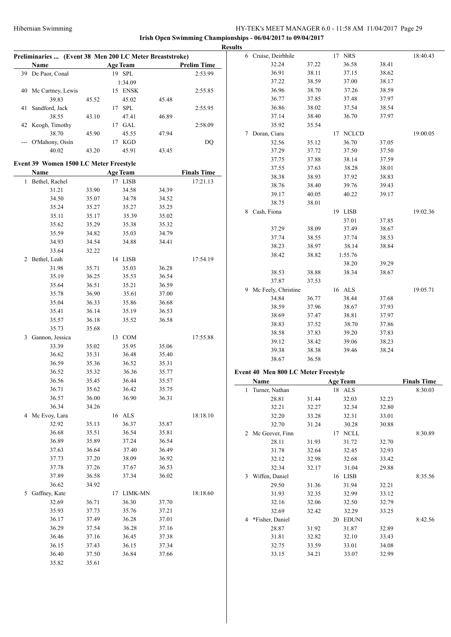|    |                                                         |       |                      |       |                    | <b>Results</b>                      |       |                 |       |                    |
|----|---------------------------------------------------------|-------|----------------------|-------|--------------------|-------------------------------------|-------|-----------------|-------|--------------------|
|    | Preliminaries  (Event 38 Men 200 LC Meter Breaststroke) |       |                      |       |                    | 6 Cruise, Deirbhile                 |       | 17 NRS          |       | 18:40.43           |
|    | Name                                                    |       | <b>Age Team</b>      |       | <b>Prelim Time</b> | 32.24                               | 37.22 | 36.58           | 38.41 |                    |
|    | 39 De Paor, Conal                                       |       | 19 SPL               |       | 2:53.99            | 36.91                               | 38.11 | 37.15           | 38.62 |                    |
|    |                                                         |       | 1:34.09              |       |                    | 37.22                               | 38.59 | 37.00           | 38.17 |                    |
|    | 40 Mc Cartney, Lewis                                    |       | 15 ENSK              |       | 2:55.85            | 36.96                               | 38.70 | 37.26           | 38.59 |                    |
|    | 39.83                                                   | 45.52 | 45.02                | 45.48 |                    | 36.77                               | 37.85 | 37.48           | 37.97 |                    |
| 41 | Sandford, Jack                                          |       | $17$ ${\mbox{ SPL}}$ |       | 2:55.95            | 36.86                               | 38.02 | 37.54           | 38.54 |                    |
|    | 38.55                                                   | 43.10 | 47.41                | 46.89 |                    | 37.14                               | 38.40 | 36.70           | 37.97 |                    |
|    | 42 Keogh, Timothy                                       |       | 17 GAL               |       | 2:58.09            | 35.92                               | 35.54 |                 |       |                    |
|    | 38.70                                                   | 45.90 | 45.55                | 47.94 |                    | 7 Doran, Ciara                      |       | 17 NCLCD        |       | 19:00.05           |
|    | --- O'Mahony, Oisín                                     |       | 17 KGD               |       | DQ                 | 32.56                               | 35.12 | 36.70           | 37.05 |                    |
|    | 40.02                                                   | 43.20 | 45.91                | 43.45 |                    | 37.29                               | 37.72 | 37.50           | 37.50 |                    |
|    | Event 39 Women 1500 LC Meter Freestyle                  |       |                      |       |                    | 37.75                               | 37.88 | 38.14           | 37.59 |                    |
|    | Name                                                    |       | <b>Age Team</b>      |       | <b>Finals Time</b> | 37.55                               | 37.63 | 38.28           | 38.01 |                    |
|    | 1 Bethel, Rachel                                        |       | 17 LISB              |       | 17:21.13           | 38.38                               | 38.93 | 37.92           | 38.83 |                    |
|    | 31.21                                                   | 33.90 | 34.58                | 34.39 |                    | 38.76                               | 38.40 | 39.76           | 39.43 |                    |
|    | 34.50                                                   | 35.07 | 34.78                | 34.52 |                    | 39.17                               | 40.05 | 40.22           | 39.17 |                    |
|    | 35.24                                                   | 35.27 | 35.27                | 35.25 |                    | 38.75                               | 38.01 |                 |       |                    |
|    | 35.11                                                   | 35.17 | 35.39                | 35.02 |                    | 8 Cash, Fiona                       |       | 19 LISB         |       | 19:02.36           |
|    | 35.62                                                   | 35.29 | 35.38                | 35.32 |                    |                                     |       | 37.01           | 37.85 |                    |
|    | 35.59                                                   | 34.82 | 35.03                | 34.79 |                    | 37.29                               | 38.09 | 37.49           | 38.67 |                    |
|    | 34.93                                                   | 34.54 | 34.88                | 34.41 |                    | 37.74                               | 38.55 | 37.74           | 38.53 |                    |
|    | 33.64                                                   | 32.22 |                      |       |                    | 38.23                               | 38.97 | 38.14           | 38.84 |                    |
|    | 2 Bethel, Leah                                          |       | 14 LISB              |       | 17:54.19           | 38.42                               | 38.82 | 1:55.76         |       |                    |
|    | 31.98                                                   | 35.71 | 35.03                | 36.28 |                    |                                     |       | 38.20           | 39.29 |                    |
|    | 35.19                                                   | 36.25 | 35.53                | 36.54 |                    | 38.53                               | 38.88 | 38.34           | 38.67 |                    |
|    | 35.64                                                   | 36.51 | 35.21                | 36.59 |                    | 37.87                               | 37.53 |                 |       |                    |
|    | 35.78                                                   | 36.90 | 35.61                | 37.00 |                    | 9 Mc Feely, Christine               |       | 16 ALS          |       | 19:05.71           |
|    | 35.04                                                   | 36.33 | 35.86                | 36.68 |                    | 34.84                               | 36.77 | 38.44           | 37.68 |                    |
|    | 35.41                                                   | 36.14 | 35.19                | 36.53 |                    | 38.59                               | 37.96 | 38.67           | 37.93 |                    |
|    | 35.57                                                   | 36.18 | 35.52                | 36.58 |                    | 38.69                               | 37.47 | 38.81           | 37.97 |                    |
|    | 35.73                                                   | 35.68 |                      |       |                    | 38.83                               | 37.52 | 38.70           | 37.86 |                    |
|    | 3 Gannon, Jessica                                       |       | 13 COM               |       | 17:55.88           | 38.58                               | 37.83 | 39.20           | 37.83 |                    |
|    | 33.39                                                   | 35.02 | 35.95                | 35.06 |                    | 39.12                               | 38.42 | 39.06           | 38.23 |                    |
|    | 36.62                                                   | 35.31 | 36.48                | 35.40 |                    | 39.38                               | 38.38 | 39.46           | 38.24 |                    |
|    | 36.59                                                   | 35.36 | 36.52                | 35.31 |                    | 38.67                               | 36.58 |                 |       |                    |
|    | 36.52                                                   | 35.32 | 36.36                | 35.77 |                    | Event 40 Men 800 LC Meter Freestyle |       |                 |       |                    |
|    | 36.56                                                   | 35.45 | 36.44                | 35.57 |                    | Name                                |       | <b>Age Team</b> |       | <b>Finals Time</b> |
|    | 36.71                                                   | 35.62 | 36.42                | 35.75 |                    | 1 Turner, Nathan                    |       | 18 ALS          |       | 8:30.03            |
|    | 36.57                                                   | 36.00 | 36.90                | 36.31 |                    | 28.81                               | 31.44 | 32.03           | 32.23 |                    |
|    | 36.34                                                   | 34.26 |                      |       |                    | 32.21                               | 32.27 | 32.34           | 32.80 |                    |
|    | 4 Mc Evoy, Lara                                         |       | 16 ALS               |       | 18:18.10           | 32.20                               | 33.28 | 32.31           | 33.01 |                    |
|    | 32.92                                                   | 35.13 | 36.37                | 35.87 |                    | 32.70                               | 31.24 | 30.28           | 30.88 |                    |
|    | 36.68                                                   | 35.51 | 36.54                | 35.81 |                    | 2 Mc Geever, Finn                   |       | 17 NCLL         |       | 8:30.89            |
|    | 36.89                                                   | 35.89 | 37.24                | 36.54 |                    | 28.11                               | 31.93 | 31.72           | 32.70 |                    |
|    | 37.63                                                   | 36.64 | 37.40                | 36.49 |                    | 31.78                               | 32.64 | 32.45           | 32.93 |                    |
|    | 37.73                                                   | 37.20 | 38.09                | 36.92 |                    | 32.12                               | 32.98 | 32.68           | 33.42 |                    |
|    | 37.78                                                   | 37.26 | 37.67                | 36.53 |                    | 32.34                               | 32.17 | 31.04           | 29.88 |                    |
|    | 37.89                                                   | 36.58 | 37.34                | 36.02 |                    | 3 Wiffen, Daniel                    |       | 16 LISB         |       | 8:35.56            |
|    | 36.62                                                   | 34.92 |                      |       |                    | 29.50                               | 31.36 | 31.94           | 32.21 |                    |
|    | 5 Gaffney, Kate                                         |       | 17 LIMK-MN           |       | 18:18.60           | 31.93                               | 32.35 | 32.99           | 33.12 |                    |
|    | 32.69                                                   | 36.71 | 36.30                | 37.70 |                    | 32.16                               | 32.06 | 32.50           | 32.79 |                    |
|    | 35.93                                                   | 37.73 | 35.76                | 37.21 |                    | 32.69                               | 32.42 | 32.29           | 33.25 |                    |
|    | 36.17                                                   | 37.49 | 36.28                | 37.01 |                    | 4 *Fisher, Daniel                   |       | 20 EDUNI        |       | 8:42.56            |
|    | 36.29                                                   | 37.54 | 36.28                | 37.16 |                    | 28.87                               | 31.92 | 31.87           | 32.89 |                    |
|    | 36.46                                                   | 37.16 | 36.45                | 37.38 |                    | 31.81                               | 32.82 | 32.10           | 33.43 |                    |
|    | 36.15                                                   | 37.43 | 36.15                | 37.34 |                    | 32.75                               | 33.59 | 33.01           | 34.08 |                    |
|    | 36.40                                                   | 37.50 | 36.84                | 37.66 |                    | 33.15                               | 34.21 | 33.07           | 32.99 |                    |
|    | 35.82                                                   | 35.61 |                      |       |                    |                                     |       |                 |       |                    |
|    |                                                         |       |                      |       |                    |                                     |       |                 |       |                    |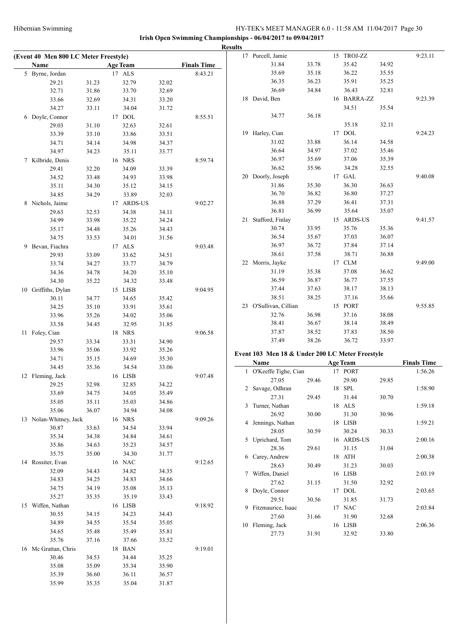|                                       |       |                 |       |                    | <b>Results</b> |                                                 |       |                  |       |                    |
|---------------------------------------|-------|-----------------|-------|--------------------|----------------|-------------------------------------------------|-------|------------------|-------|--------------------|
| (Event 40 Men 800 LC Meter Freestyle) |       |                 |       |                    |                | 17 Purcell, Jamie                               |       | 15 TROJ-ZZ       |       | 9:23.11            |
| Name                                  |       | <b>Age Team</b> |       | <b>Finals Time</b> |                | 31.84                                           | 33.78 | 35.42            | 34.92 |                    |
| 5 Byrne, Jordan                       |       | 17 ALS          |       | 8:43.21            |                | 35.69                                           | 35.18 | 36.22            | 35.55 |                    |
| 29.21                                 | 31.23 | 32.79           | 32.02 |                    |                | 36.35                                           | 36.23 | 35.91            | 35.25 |                    |
| 32.71                                 | 31.86 | 33.70           | 32.69 |                    |                | 36.69                                           | 34.84 | 36.43            | 32.81 |                    |
| 33.66                                 | 32.69 | 34.31           | 33.20 |                    |                | 18 David, Ben                                   |       | 16 BARRA-ZZ      |       | 9:23.39            |
| 34.27                                 | 33.11 | 34.04           | 31.72 |                    |                |                                                 |       | 34.51            | 35.54 |                    |
| 6 Doyle, Connor                       |       | 17 DOL          |       | 8:55.51            |                | 34.77                                           | 36.18 |                  |       |                    |
| 29.03                                 | 31.10 | 32.63           | 32.61 |                    |                |                                                 |       | 35.18            | 32.11 |                    |
| 33.39                                 | 33.10 | 33.86           | 33.51 |                    |                | 19 Harley, Cian                                 |       | 17 DOL           |       | 9:24.23            |
| 34.71                                 | 34.14 | 34.98           | 34.37 |                    |                | 31.02                                           | 33.88 | 36.14            | 34.58 |                    |
| 34.97                                 | 34.23 | 35.11           | 33.77 |                    |                | 36.64                                           | 34.97 | 37.02            | 35.46 |                    |
| 7 Kilbride, Denis                     |       | 16 NRS          |       | 8:59.74            |                | 36.97                                           | 35.69 | 37.06            | 35.39 |                    |
| 29.41                                 | 32.20 | 34.09           | 33.39 |                    |                | 36.62                                           | 35.96 | 34.28            | 32.55 |                    |
| 34.52                                 | 33.48 | 34.93           | 33.98 |                    |                | 20 Doorly, Joseph                               |       | 17 GAL           |       | 9:40.08            |
| 35.11                                 | 34.30 | 35.12           | 34.15 |                    |                | 31.86                                           | 35.30 | 36.30            | 36.63 |                    |
| 34.85                                 | 34.29 | 33.89           | 32.03 |                    |                | 36.70                                           | 36.82 | 36.80            | 37.27 |                    |
| 8 Nichols, Jaime                      |       | 17 ARDS-US      |       | 9:02.27            |                | 36.88                                           | 37.29 | 36.41            | 37.31 |                    |
| 29.63                                 | 32.53 | 34.38           | 34.11 |                    |                | 36.81                                           | 36.99 | 35.64            | 35.07 |                    |
| 34.99                                 | 33.98 | 35.22           | 34.24 |                    |                | 21 Stafford, Finlay                             |       | 15 ARDS-US       |       | 9:41.57            |
| 35.17                                 | 34.48 | 35.26           | 34.43 |                    |                | 30.74                                           | 33.95 | 35.76            | 35.36 |                    |
| 34.75                                 | 33.53 | 34.01           | 31.56 |                    |                | 36.54                                           | 35.67 | 37.03            | 36.07 |                    |
| 9 Bevan, Fiachra                      |       | 17 ALS          |       | 9:03.48            |                | 36.97                                           | 36.72 | 37.84            | 37.14 |                    |
| 29.93                                 | 33.09 | 33.62           | 34.51 |                    |                | 38.61                                           | 37.58 | 38.71            | 36.88 |                    |
| 33.74                                 | 34.27 | 33.77           | 34.79 |                    |                | 22 Morris, Jayke                                |       | 17 CLM           |       | 9:49.00            |
| 34.36                                 | 34.78 | 34.20           | 35.10 |                    |                | 31.19                                           | 35.38 | 37.08            | 36.62 |                    |
| 34.30                                 | 35.22 | 34.32           | 33.48 |                    |                | 36.59                                           | 36.87 | 36.77            | 37.55 |                    |
| 10 Griffiths, Dylan                   |       | 15 LISB         |       | 9:04.95            |                | 37.44                                           | 37.63 | 38.17            | 38.13 |                    |
| 30.11                                 | 34.77 | 34.65           | 35.42 |                    |                | 38.51                                           | 38.25 | 37.16            | 35.66 |                    |
| 34.25                                 | 35.10 | 33.91           | 35.61 |                    |                | 23 O'Sullivan, Cillian                          |       | 15 PORT          |       | 9:55.85            |
| 33.96                                 | 35.26 | 34.02           | 35.06 |                    |                | 32.76                                           | 36.98 | 37.16            | 38.08 |                    |
| 33.58                                 | 34.45 | 32.95           | 31.85 |                    |                | 38.41                                           | 36.67 | 38.14            | 38.49 |                    |
| 11 Foley, Cian                        |       | 18 NRS          |       | 9:06.58            |                | 37.87                                           | 38.52 | 37.83            | 38.50 |                    |
| 29.57                                 | 33.34 | 33.31           | 34.90 |                    |                | 37.49                                           | 38.26 | 36.72            | 33.97 |                    |
| 33.96                                 | 35.06 | 33.92           | 35.26 |                    |                | Event 103 Men 18 & Under 200 LC Meter Freestyle |       |                  |       |                    |
| 34.71                                 | 35.15 | 34.69           | 35.30 |                    |                |                                                 |       |                  |       | <b>Finals Time</b> |
| 34.45                                 | 35.36 | 34.54           | 33.06 |                    |                | Name                                            |       | <b>Age Team</b>  |       |                    |
| 12 Fleming, Jack                      |       | 16 LISB         |       | 9:07.48            |                | 1 O'Keeffe Tighe, Cian<br>27.05                 | 29.46 | 17 PORT<br>29.90 | 29.85 | 1:56.26            |
| 29.25                                 | 32.98 | 32.85           | 34.22 |                    |                | 2 Savage, Odhran                                |       | 18 SPL           |       | 1:58.90            |
| 33.69                                 | 34.75 | 34.05           | 35.49 |                    |                | 27.31                                           | 29.45 | 31.44            | 30.70 |                    |
| 35.05                                 | 35.11 | 35.03           | 34.86 |                    |                | 3 Turner, Nathan                                |       | 18 ALS           |       | 1:59.18            |
| 35.06                                 | 36.07 | 34.94           | 34.08 |                    |                | 26.92                                           | 30.00 | 31.30            | 30.96 |                    |
| 13 Nolan-Whitney, Jack                |       | 16 NRS          |       | 9:09.26            |                | 4 Jennings, Nathan                              |       | 18 LISB          |       | 1:59.21            |
| 30.87                                 | 33.63 | 34.54           | 33.94 |                    |                | 28.05                                           | 30.59 | 30.24            | 30.33 |                    |
| 35.34                                 | 34.38 | 34.84           | 34.61 |                    |                | 5 Uprichard, Tom                                |       | 16 ARDS-US       |       | 2:00.16            |
| 35.86                                 | 34.63 | 35.23           | 34.57 |                    |                | 28.36                                           | 29.61 | 31.15            | 31.04 |                    |
| 35.75                                 | 35.00 | 34.30           | 31.77 |                    |                | 6 Carey, Andrew                                 |       | 18 ATH           |       | 2:00.38            |
| 14 Rossiter, Evan                     |       | 16 NAC          |       | 9:12.65            |                | 28.63                                           | 30.49 | 31.23            | 30.03 |                    |
| 32.09                                 | 34.43 | 34.82           | 34.35 |                    |                | 7 Wiffen, Daniel                                |       | 16 LISB          |       | 2:03.19            |
| 34.83                                 | 34.25 | 34.83           | 34.66 |                    |                | 27.62                                           | 31.15 | 31.50            | 32.92 |                    |
| 34.75                                 | 34.19 | 35.08           | 35.13 |                    |                | 8 Doyle, Connor                                 |       | 17 DOL           |       | 2:03.65            |
| 35.27                                 | 35.35 | 35.19           | 33.43 |                    |                | 29.51                                           | 30.56 | 31.85            | 31.73 |                    |
| 15 Wiffen, Nathan                     |       | 16 LISB         |       | 9:18.92            |                | 9 Fitzmaurice, Isaac                            |       | 17 NAC           |       | 2:03.84            |
| 30.55                                 | 34.15 | 34.23           | 34.43 |                    |                | 27.60                                           | 31.66 | 31.90            | 32.68 |                    |
| 34.89                                 | 34.55 | 35.54           | 35.05 |                    |                | 10 Fleming, Jack                                |       | 16 LISB          |       | 2:06.36            |
| 34.65                                 | 35.48 | 35.49           | 35.81 |                    |                | 27.73                                           | 31.91 | 32.92            | 33.80 |                    |
| 35.76                                 | 37.16 | 37.66           | 33.52 |                    |                |                                                 |       |                  |       |                    |
| 16 Mc Grattan, Chris                  |       | 18 BAN          |       | 9:19.01            |                |                                                 |       |                  |       |                    |
| 30.46                                 | 34.53 | 34.44           | 35.25 |                    |                |                                                 |       |                  |       |                    |
| 35.08                                 | 35.09 | 35.34           | 35.90 |                    |                |                                                 |       |                  |       |                    |
| 35.39                                 | 36.60 | 36.11           | 36.57 |                    |                |                                                 |       |                  |       |                    |
| 35.99                                 | 35.35 | 35.04           | 31.87 |                    |                |                                                 |       |                  |       |                    |
|                                       |       |                 |       |                    |                |                                                 |       |                  |       |                    |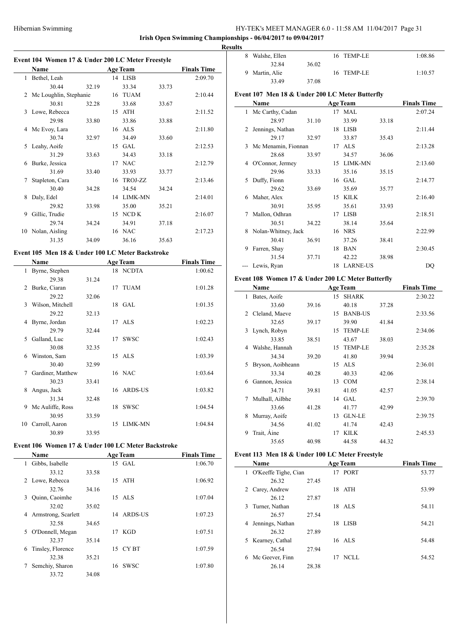$\overline{a}$ 

# HY-TEK's MEET MANAGER 6.0 - 11:58 AM 11/04/2017 Page 31

# **Irish Open Swimming Championships - 06/04/2017 to 09/04/2017**

**Results**

|  |  |  |  | Event 104 Women 17 & Under 200 LC Meter Freestyle |  |
|--|--|--|--|---------------------------------------------------|--|
|--|--|--|--|---------------------------------------------------|--|

|    | Name                   |       |    | <b>Age Team</b> |       | <b>Finals Time</b> |
|----|------------------------|-------|----|-----------------|-------|--------------------|
| 1  | Bethel, Leah           |       |    | 14 LISB         |       | 2:09.70            |
|    | 30.44                  | 32.19 |    | 33.34           | 33.73 |                    |
| 2  | Mc Loughlin, Stephanie |       | 16 | <b>TUAM</b>     |       | 2:10.44            |
|    | 30.81                  | 32.28 |    | 33.68           | 33.67 |                    |
| 3  | Lowe, Rebecca          |       | 15 | ATH             |       | 2:11.52            |
|    | 29.98                  | 33.80 |    | 33.86           | 33.88 |                    |
| 4  | Mc Evoy, Lara          |       | 16 | ALS             |       | 2:11.80            |
|    | 30.74                  | 32.97 |    | 34.49           | 33.60 |                    |
| 5. | Leahy, Aoife           |       | 15 | GAL             |       | 2:12.53            |
|    | 31.29                  | 33.63 |    | 34.43           | 33.18 |                    |
| 6  | Burke, Jessica         |       | 17 | <b>NAC</b>      |       | 2:12.79            |
|    | 31.69                  | 33.40 |    | 33.93           | 33.77 |                    |
| 7  | Stapleton, Cara        |       | 16 | TROJ-ZZ         |       | 2:13.46            |
|    | 30.40                  | 34.28 |    | 34.54           | 34.24 |                    |
| 8  | Daly, Edel             |       | 14 | <b>LIMK-MN</b>  |       | 2:14.01            |
|    | 29.82                  | 33.98 |    | 35.00           | 35.21 |                    |
| 9  | Gillic, Trudie         |       | 15 | NCD K           |       | 2:16.07            |
|    | 29.74                  | 34.24 |    | 34.91           | 37.18 |                    |
| 10 | Nolan, Aisling         |       | 16 | <b>NAC</b>      |       | 2:17.23            |
|    | 31.35                  | 34.09 |    | 36.16           | 35.63 |                    |

### **Event 105 Men 18 & Under 100 LC Meter Backstroke**

|    | Name              |       |    | <b>Age Team</b> | <b>Finals Time</b> |
|----|-------------------|-------|----|-----------------|--------------------|
| 1  | Byrne, Stephen    |       |    | 18 NCDTA        | 1:00.62            |
|    | 29.38             | 31.24 |    |                 |                    |
| 2  | Burke, Ciaran     |       | 17 | TUAM            | 1:01.28            |
|    | 29.22             | 32.06 |    |                 |                    |
| 3  | Wilson, Mitchell  |       |    | 18 GAL          | 1:01.35            |
|    | 29.22             | 32.13 |    |                 |                    |
| 4  | Byrne, Jordan     |       |    | 17 ALS          | 1:02.23            |
|    | 29.79             | 32.44 |    |                 |                    |
| 5  | Galland, Luc      |       | 17 | <b>SWSC</b>     | 1:02.43            |
|    | 30.08             | 32.35 |    |                 |                    |
| 6  | Winston, Sam      |       |    | 15 ALS          | 1:03.39            |
|    | 30.40             | 32.99 |    |                 |                    |
| 7  | Gardiner, Matthew |       |    | 16 NAC          | 1:03.64            |
|    | 30.23             | 33.41 |    |                 |                    |
| 8  | Angus, Jack       |       |    | 16 ARDS-US      | 1:03.82            |
|    | 31.34             | 32.48 |    |                 |                    |
| 9  | Mc Auliffe, Ross  |       | 18 | <b>SWSC</b>     | 1:04.54            |
|    | 30.95             | 33.59 |    |                 |                    |
| 10 | Carroll, Aaron    |       | 15 | LIMK-MN         | 1:04.84            |
|    | 30.89             | 33.95 |    |                 |                    |

# **Event 106 Women 17 & Under 100 LC Meter Backstroke**

|    | <b>Name</b>         |       |    | <b>Age Team</b> | <b>Finals Time</b> |
|----|---------------------|-------|----|-----------------|--------------------|
| 1  | Gibbs, Isabelle     |       |    | 15 GAL          | 1:06.70            |
|    | 33.12               | 33.58 |    |                 |                    |
| 2  | Lowe, Rebecca       |       |    | 15 ATH          | 1:06.92            |
|    | 32.76               | 34.16 |    |                 |                    |
| 3  | Quinn, Caoimhe      |       |    | 15 ALS          | 1:07.04            |
|    | 32.02               | 35.02 |    |                 |                    |
| 4  | Armstrong, Scarlett |       |    | 14 ARDS-US      | 1:07.23            |
|    | 32.58               | 34.65 |    |                 |                    |
| 5. | O'Donnell, Megan    |       | 17 | KGD             | 1:07.51            |
|    | 32.37               | 35.14 |    |                 |                    |
| 6  | Tinsley, Florence   |       |    | 15 CYBT         | 1:07.59            |
|    | 32.38               | 35.21 |    |                 |                    |
| 7  | Semchiy, Sharon     |       |    | 16 SWSC         | 1:07.80            |
|    | 33.72               | 34.08 |    |                 |                    |

| 1 L.J |                |       |            |         |
|-------|----------------|-------|------------|---------|
| 8     | Walshe, Ellen  |       | 16 TEMP-LE | 1:08.86 |
|       | 32.84          | 36.02 |            |         |
|       | 9 Martin, Alie |       | 16 TEMP-LE | 1:10.57 |
|       | 33.49          | 37.08 |            |         |

# **Event 107 Men 18 & Under 200 LC Meter Butterfly**

|   | Name                |       |    | <b>Age Team</b> |       | <b>Finals Time</b> |
|---|---------------------|-------|----|-----------------|-------|--------------------|
| 1 | Mc Carthy, Cadan    |       | 17 | MAL             |       | 2:07.24            |
|   | 28.97               | 31.10 |    | 33.99           | 33.18 |                    |
| 2 | Jennings, Nathan    |       | 18 | <b>LISB</b>     |       | 2:11.44            |
|   | 29.17               | 32.97 |    | 33.87           | 35.43 |                    |
| 3 | Mc Menamin, Fionnan |       | 17 | <b>ALS</b>      |       | 2:13.28            |
|   | 28.68               | 33.97 |    | 34.57           | 36.06 |                    |
| 4 | O'Connor, Jermey    |       | 15 | LIMK-MN         |       | 2:13.60            |
|   | 29.96               | 33.33 |    | 35.16           | 35.15 |                    |
| 5 | Duffy, Fionn        |       |    | 16 GAL          |       | 2:14.77            |
|   | 29.62               | 33.69 |    | 35.69           | 35.77 |                    |
| 6 | Maher, Alex         |       | 15 | <b>KILK</b>     |       | 2:16.40            |
|   | 30.91               | 35.95 |    | 35.61           | 33.93 |                    |
| 7 | Mallon, Odhran      |       | 17 | <b>LISB</b>     |       | 2:18.51            |
|   | 30.51               | 34.22 |    | 38.14           | 35.64 |                    |
| 8 | Nolan-Whitney, Jack |       | 16 | <b>NRS</b>      |       | 2:22.99            |
|   | 30.41               | 36.91 |    | 37.26           | 38.41 |                    |
| 9 | Farren, Shay        |       | 18 | <b>BAN</b>      |       | 2:30.45            |
|   | 31.54               | 37.71 |    | 42.22           | 38.98 |                    |
|   | Lewis, Ryan         |       | 18 | <b>LARNE-US</b> |       | DQ                 |

# **Event 108 Women 17 & Under 200 LC Meter Butterfly**

|             | Name              |       | <b>Finals Time</b> |                |       |         |
|-------------|-------------------|-------|--------------------|----------------|-------|---------|
| 1           | Bates, Aoife      |       |                    | 15 SHARK       |       | 2:30.22 |
|             | 33.60             | 39.16 |                    | 40.18          | 37.28 |         |
| $2^{\circ}$ | Cleland, Maeve    |       | 15                 | <b>BANB-US</b> |       | 2:33.56 |
|             | 32.65             | 39.17 |                    | 39.90          | 41.84 |         |
| 3           | Lynch, Robyn      |       | 15                 | <b>TEMP-LE</b> |       | 2:34.06 |
|             | 33.85             | 38.51 |                    | 43.67          | 38.03 |         |
| 4           | Walshe, Hannah    |       | 15                 | <b>TEMP-LE</b> |       | 2:35.28 |
|             | 34.34             | 39.20 |                    | 41.80          | 39.94 |         |
| 5.          | Bryson, Aoibheann |       | 15                 | <b>ALS</b>     |       | 2:36.01 |
|             | 33.34             | 40.28 |                    | 40.33          | 42.06 |         |
| 6           | Gannon, Jessica   |       | 13                 | <b>COM</b>     |       | 2:38.14 |
|             | 34.71             | 39.81 |                    | 41.05          | 42.57 |         |
| 7           | Mulhall, Ailbhe   |       |                    | 14 GAL         |       | 2:39.70 |
|             | 33.66             | 41.28 |                    | 41.77          | 42.99 |         |
| 8           | Murray, Aoife     |       | 13                 | <b>GLN-LE</b>  |       | 2:39.75 |
|             | 34.56             | 41.02 |                    | 41.74          | 42.43 |         |
| 9           | Trait, Áine       |       | 17                 | <b>KILK</b>    |       | 2:45.53 |
|             | 35.65             | 40.98 |                    | 44.58          | 44.32 |         |

#### **Event 113 Men 18 & Under 100 LC Meter Freestyle**

 $\overline{a}$ 

| Name                   |       |    | <b>Age Team</b> | <b>Finals Time</b> |
|------------------------|-------|----|-----------------|--------------------|
| 1 O'Keeffe Tighe, Cian |       |    | 17 PORT         | 53.77              |
| 26.32                  | 27.45 |    |                 |                    |
| Carey, Andrew<br>2     |       | 18 | ATH             | 53.99              |
| 26.12                  | 27.87 |    |                 |                    |
| Turner, Nathan<br>3.   |       |    | 18 ALS          | 54.11              |
| 26.57                  | 27.54 |    |                 |                    |
| Jennings, Nathan<br>4  |       | 18 | - LISB          | 54.21              |
| 26.32                  | 27.89 |    |                 |                    |
| 5 Kearney, Cathal      |       |    | 16 ALS          | 54.48              |
| 26.54                  | 27.94 |    |                 |                    |
| Mc Geever, Finn<br>6   |       | 17 | NCLL.           | 54.52              |
| 26.14                  | 28.38 |    |                 |                    |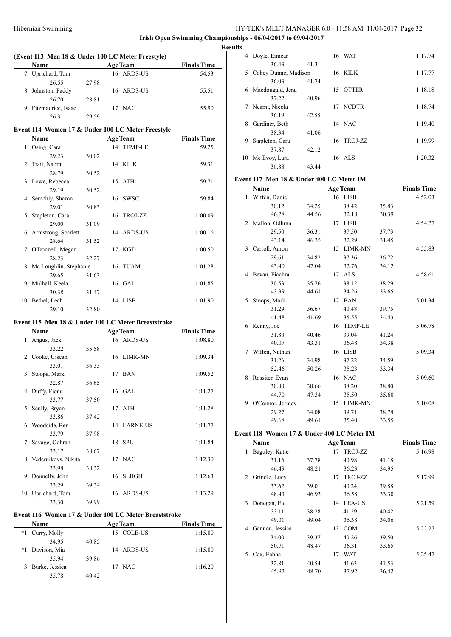$\overline{\phantom{a}}$ 

# HY-TEK's MEET MANAGER 6.0 - 11:58 AM 11/04/2017 Page 32

**Irish Open Swimming Championships - 06/04/2017 to 09/04/2017 Results**

|   | (Event 113 Men 18 & Under 100 LC Meter Freestyle) |       |                        |                    |  |  |  |  |  |  |
|---|---------------------------------------------------|-------|------------------------|--------------------|--|--|--|--|--|--|
|   | <b>Name</b>                                       |       | <b>Age Team</b>        | <b>Finals Time</b> |  |  |  |  |  |  |
|   | Uprichard, Tom                                    |       | 16 ARDS-US             | 54.53              |  |  |  |  |  |  |
|   | 26.55                                             | 27.98 |                        |                    |  |  |  |  |  |  |
| 8 | Johnston, Paddy                                   |       | 16 ARDS-US             | 55.51              |  |  |  |  |  |  |
|   | 26.70                                             | 28.81 |                        |                    |  |  |  |  |  |  |
| 9 | Fitzmaurice, Isaac                                |       | NAC <sup>.</sup><br>17 | 55.90              |  |  |  |  |  |  |
|   | 26.31                                             | 29.59 |                        |                    |  |  |  |  |  |  |

# **Event 114 Women 17 & Under 100 LC Meter Freestyle**

|    | Name                   |       | <b>Age Team</b> | <b>Finals Time</b> |
|----|------------------------|-------|-----------------|--------------------|
| 1  | Osing, Cara            |       | 14 TEMP-LE      | 59.25              |
|    | 29.23                  | 30.02 |                 |                    |
| 2  | Trait, Naomi           |       | 14 KILK         | 59.31              |
|    | 28.79                  | 30.52 |                 |                    |
| 3  | Lowe, Rebecca          |       | 15 ATH          | 59.71              |
|    | 29.19                  | 30.52 |                 |                    |
| 4  | Semchiy, Sharon        |       | 16 SWSC         | 59.84              |
|    | 29.01                  | 30.83 |                 |                    |
| 5  | Stapleton, Cara        |       | 16 TROJ-ZZ      | 1:00.09            |
|    | 29.00                  | 31.09 |                 |                    |
| 6  | Armstrong, Scarlett    |       | 14 ARDS-US      | 1:00.16            |
|    | 28.64                  | 31.52 |                 |                    |
| 7  | O'Donnell, Megan       |       | 17 KGD          | 1:00.50            |
|    | 28.23                  | 32.27 |                 |                    |
| 8  | Mc Loughlin, Stephanie |       | 16 TUAM         | 1:01.28            |
|    | 29.65                  | 31.63 |                 |                    |
| 9  | Mulhall, Keela         |       | 16 GAL          | 1:01.85            |
|    | 30.38                  | 31.47 |                 |                    |
| 10 | Bethel, Leah           |       | 14 LISB         | 1:01.90            |
|    | 29.10                  | 32.80 |                 |                    |

### **Event 115 Men 18 & Under 100 LC Meter Breaststroke**

|    | <b>Name</b>         | <b>Age Team</b> |    |                | <b>Finals Time</b> |
|----|---------------------|-----------------|----|----------------|--------------------|
| 1  | Angus, Jack         |                 |    | 16 ARDS-US     | 1:08.80            |
|    | 33.22               | 35.58           |    |                |                    |
| 2  | Cooke, Uisean       |                 |    | 16 LIMK-MN     | 1:09.34            |
|    | 33.01               | 36.33           |    |                |                    |
| 3  | Stoops, Mark        |                 |    | 17 BAN         | 1:09.52            |
|    | 32.87               | 36.65           |    |                |                    |
| 4  | Duffy, Fionn        |                 |    | 16 GAL         | 1:11.27            |
|    | 33.77               | 37.50           |    |                |                    |
| 5  | Scully, Bryan       |                 |    | 17 ATH         | 1:11.28            |
|    | 33.86               | 37.42           |    |                |                    |
| 6  | Woodside, Ben       |                 |    | 14 LARNE-US    | 1:11.77            |
|    | 33.79               | 37.98           |    |                |                    |
| 7  | Savage, Odhran      |                 |    | 18 SPL         | 1:11.84            |
|    | 33.17               | 38.67           |    |                |                    |
| 8  | Vedernikovs, Nikita |                 |    | 17 NAC         | 1:12.30            |
|    | 33.98               | 38.32           |    |                |                    |
| 9  | Donnelly, John      |                 | 16 | <b>SLBGH</b>   | 1:12.63            |
|    | 33.29               | 39.34           |    |                |                    |
| 10 | Uprichard, Tom      |                 | 16 | <b>ARDS-US</b> | 1:13.29            |
|    | 33.30               | 39.99           |    |                |                    |

# **Event 116 Women 17 & Under 100 LC Meter Breaststroke**

|      | Name           |       | <b>Age Team</b> | <b>Finals Time</b> |  |
|------|----------------|-------|-----------------|--------------------|--|
| $*1$ | Curry, Molly   |       | 15 COLE-US      | 1:15.80            |  |
|      | 34.95          | 40.85 |                 |                    |  |
| *1   | Davison, Mia   |       | 14 ARDS-US      | 1:15.80            |  |
|      | 35.94          | 39.86 |                 |                    |  |
| 3    | Burke, Jessica |       | NAC<br>17       | 1:16.20            |  |
|      | 35.78          | 40.42 |                 |                    |  |

| 4  | Doyle, Eimear        |       |    | 16 WAT       | 1:17.74 |
|----|----------------------|-------|----|--------------|---------|
|    | 36.43                | 41.31 |    |              |         |
| 5. | Cobey Dunne, Madison |       |    | 16 KILK      | 1:17.77 |
|    | 36.03                | 41.74 |    |              |         |
| 6  | Macdougald, Jena     |       | 15 | <b>OTTER</b> | 1:18.18 |
|    | 37.22                | 40.96 |    |              |         |
| 7  | Neamt, Nicola        |       |    | 17 NCDTR     | 1:18.74 |
|    | 36.19                | 42.55 |    |              |         |
| 8  | Gardiner, Beth       |       |    | 14 NAC       | 1:19.40 |
|    | 38.34                | 41.06 |    |              |         |
| 9  | Stapleton, Cara      |       | 16 | TROJ-ZZ      | 1:19.99 |
|    | 37.87                | 42.12 |    |              |         |
| 10 | Mc Evoy, Lara        |       |    | 16 ALS       | 1:20.32 |
|    | 36.88                | 43.44 |    |              |         |

# **Event 117 Men 18 & Under 400 LC Meter IM**

|              | Name             |       |    | <b>Age Team</b> |       | <b>Finals Time</b> |  |
|--------------|------------------|-------|----|-----------------|-------|--------------------|--|
| $\mathbf{1}$ | Wiffen, Daniel   |       |    | 16 LISB         |       | 4:52.03            |  |
|              | 30.12            | 34.25 |    | 38.42           | 35.83 |                    |  |
|              | 46.28            | 44.56 |    | 32.18           | 30.39 |                    |  |
| 2            | Mallon, Odhran   |       |    | 17 LISB         |       | 4:54.27            |  |
|              | 29.50            | 36.31 |    | 37.50           | 37.73 |                    |  |
|              | 43.14            | 46.35 |    | 32.29           | 31.45 |                    |  |
| 3            | Carroll, Aaron   |       |    | 15 LIMK-MN      |       | 4:55.83            |  |
|              | 29.61            | 34.82 |    | 37.36           | 36.72 |                    |  |
|              | 43.40            | 47.04 |    | 32.76           | 34.12 |                    |  |
|              | 4 Bevan, Fiachra |       | 17 | <b>ALS</b>      |       | 4:58.61            |  |
|              | 30.53            | 35.76 |    | 38.12           | 38.29 |                    |  |
|              | 43.39            | 44.61 |    | 34.26           | 33.65 |                    |  |
| 5            | Stoops, Mark     |       | 17 | <b>BAN</b>      |       | 5:01.34            |  |
|              | 31.29            | 36.67 |    | 40.48           | 39.75 |                    |  |
|              | 41.48            | 41.69 |    | 35.55           | 34.43 |                    |  |
|              | 6 Kenny, Joe     |       | 16 | <b>TEMP-LE</b>  |       | 5:06.78            |  |
|              | 31.80            | 40.46 |    | 39.04           | 41.24 |                    |  |
|              | 40.07            | 43.31 |    | 36.48           | 34.38 |                    |  |
| 7            | Wiffen, Nathan   |       | 16 | <b>LISB</b>     |       | 5:09.34            |  |
|              | 31.26            | 34.98 |    | 37.22           | 34.59 |                    |  |
|              | 52.46            | 50.26 |    | 35.23           | 33.34 |                    |  |
| 8            | Rossiter, Evan   |       | 16 | <b>NAC</b>      |       | 5:09.60            |  |
|              | 30.80            | 38.66 |    | 38.20           | 38.80 |                    |  |
|              | 44.70            | 47.34 |    | 35.50           | 35.60 |                    |  |
| 9            | O'Connor, Jermey |       |    | 15 LIMK-MN      |       | 5:10.08            |  |
|              | 29.27            | 34.08 |    | 39.71           | 38.78 |                    |  |
|              | 49.68            | 49.61 |    | 35.40           | 33.55 |                    |  |

# **Event 118 Women 17 & Under 400 LC Meter IM**

| Name                 |       | <b>Age Team</b>  | <b>Finals Time</b> |         |
|----------------------|-------|------------------|--------------------|---------|
| Baguley, Katie<br>1  |       | TROJ-ZZ<br>17    |                    | 5:16.98 |
| 31.16                | 37.78 | 40.98            | 41.18              |         |
| 46.49                | 48.21 | 36.23            | 34.95              |         |
| Grindle, Lucy<br>2   |       | TROJ-ZZ<br>17    |                    | 5:17.99 |
| 33.62                | 39.01 | 40.24            | 39.88              |         |
| 48.43                | 46.93 | 36.58            | 33.30              |         |
| Donegan, Ele<br>3    |       | LEA-US<br>14     |                    | 5:21.59 |
| 33.11                | 38.28 | 41.29            | 40.42              |         |
| 49.01                | 49.04 | 36.38            | 34.06              |         |
| Gannon, Jessica<br>4 |       | <b>COM</b><br>13 |                    | 5:22.27 |
| 34.00                | 39.37 | 40.26            | 39.50              |         |
| 50.71                | 48.47 | 36.31            | 33.65              |         |
| Cox, Eabha<br>5      |       | <b>WAT</b><br>17 |                    | 5:25.47 |
| 32.81                | 40.54 | 41.63            | 41.53              |         |
| 45.92                | 48.70 | 37.92            | 36.42              |         |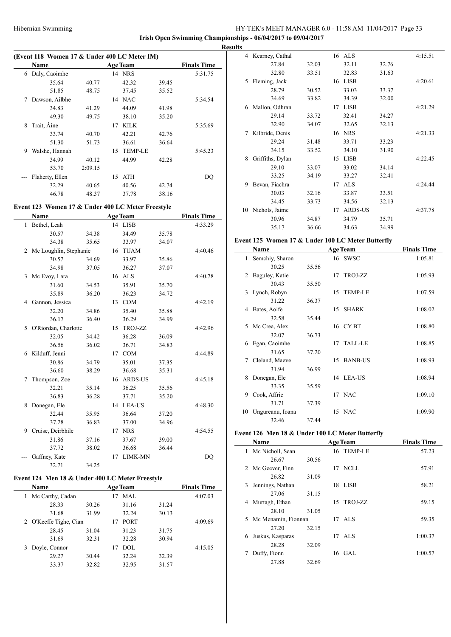**Irish Open Swimming Championships - 06/04/2017 to 09/04/2017**

|   | (Event 118 Women 17 & Under 400 LC Meter IM) |         |    |                 |       |                    |  |  |
|---|----------------------------------------------|---------|----|-----------------|-------|--------------------|--|--|
|   | Name                                         |         |    | <b>Age Team</b> |       | <b>Finals Time</b> |  |  |
| 6 | Daly, Caoimhe                                |         | 14 | <b>NRS</b>      |       | 5:31.75            |  |  |
|   | 35.64                                        | 40.77   |    | 42.32           | 39.45 |                    |  |  |
|   | 51.85                                        | 48.75   |    | 37.45           | 35.52 |                    |  |  |
| 7 | Dawson, Ailbhe                               |         | 14 | <b>NAC</b>      |       | 5:34.54            |  |  |
|   | 34.83                                        | 41.29   |    | 44.09           | 41.98 |                    |  |  |
|   | 49.30                                        | 49.75   |    | 38.10           | 35.20 |                    |  |  |
| 8 | Trait, Aine                                  |         | 17 | KILK            |       | 5:35.69            |  |  |
|   | 33.74                                        | 40.70   |    | 42.21           | 42.76 |                    |  |  |
|   | 51.30                                        | 51.73   |    | 36.61           | 36.64 |                    |  |  |
| 9 | Walshe, Hannah                               |         | 15 | <b>TEMP-LE</b>  |       | 5:45.23            |  |  |
|   | 34.99                                        | 40.12   |    | 44.99           | 42.28 |                    |  |  |
|   | 53.70                                        | 2:09.15 |    |                 |       |                    |  |  |
|   | Flaherty, Ellen                              |         | 15 | <b>ATH</b>      |       | DO                 |  |  |
|   | 32.29                                        | 40.65   |    | 40.56           | 42.74 |                    |  |  |
|   | 46.78                                        | 48.37   |    | 37.78           | 38.16 |                    |  |  |

# **Event 123 Women 17 & Under 400 LC Meter Freestyle**

|              | Name                     |       |    | <b>Age Team</b> |       | <b>Finals Time</b> |
|--------------|--------------------------|-------|----|-----------------|-------|--------------------|
| $\mathbf{1}$ | Bethel, Leah             |       |    | 14 LISB         |       | 4:33.29            |
|              | 30.57                    | 34.38 |    | 34.49           | 35.78 |                    |
|              | 34.38                    | 35.65 |    | 33.97           | 34.07 |                    |
|              | 2 Mc Loughlin, Stephanie |       |    | 16 TUAM         |       | 4:40.46            |
|              | 30.57                    | 34.69 |    | 33.97           | 35.86 |                    |
|              | 34.98                    | 37.05 |    | 36.27           | 37.07 |                    |
| 3            | Mc Evoy, Lara            |       |    | 16 ALS          |       | 4:40.78            |
|              | 31.60                    | 34.53 |    | 35.91           | 35.70 |                    |
|              | 35.89                    | 36.20 |    | 36.23           | 34.72 |                    |
|              | 4 Gannon, Jessica        |       |    | 13 COM          |       | 4:42.19            |
|              | 32.20                    | 34.86 |    | 35.40           | 35.88 |                    |
|              | 36.17                    | 36.40 |    | 36.29           | 34.99 |                    |
| 5            | O'Riordan, Charlotte     |       |    | 15 TROJ-ZZ      |       | 4:42.96            |
|              | 32.05                    | 34.42 |    | 36.28           | 36.09 |                    |
|              | 36.56                    | 36.02 |    | 36.71           | 34.83 |                    |
| 6            | Kilduff, Jenni           |       | 17 | <b>COM</b>      |       | 4:44.89            |
|              | 30.86                    | 34.79 |    | 35.01           | 37.35 |                    |
|              | 36.60                    | 38.29 |    | 36.68           | 35.31 |                    |
| 7            | Thompson, Zoe            |       |    | 16 ARDS-US      |       | 4:45.18            |
|              | 32.21                    | 35.14 |    | 36.25           | 35.56 |                    |
|              | 36.83                    | 36.28 |    | 37.71           | 35.20 |                    |
| 8            | Donegan, Ele             |       |    | 14 LEA-US       |       | 4:48.30            |
|              | 32.44                    | 35.95 |    | 36.64           | 37.20 |                    |
|              | 37.28                    | 36.83 |    | 37.00           | 34.96 |                    |
| 9            | Cruise, Deirbhile        |       |    | 17 NRS          |       | 4:54.55            |
|              | 31.86                    | 37.16 |    | 37.67           | 39.00 |                    |
|              | 37.72                    | 38.02 |    | 36.68           | 36.44 |                    |
|              | Gaffney, Kate            |       | 17 | LIMK-MN         |       | D <sub>O</sub>     |
|              | 32.71                    | 34.25 |    |                 |       |                    |

# **Event 124 Men 18 & Under 400 LC Meter Freestyle**

|   | <b>Name</b>          |       |    | <b>Age Team</b> |       | <b>Finals Time</b> |
|---|----------------------|-------|----|-----------------|-------|--------------------|
| 1 | Mc Carthy, Cadan     |       |    | MAL.            |       | 4:07.03            |
|   | 28.33                | 30.26 |    | 31.16           | 31.24 |                    |
|   | 31.68                | 31.99 |    | 32.24           | 30.13 |                    |
| 2 | O'Keeffe Tighe, Cian |       | 17 | <b>PORT</b>     |       | 4:09.69            |
|   | 28.45                | 31.04 |    | 31.23           | 31.75 |                    |
|   | 31.69                | 32.31 |    | 32.28           | 30.94 |                    |
| 3 | Doyle, Connor        |       | 17 | <b>DOL</b>      |       | 4:15.05            |
|   | 29.27                | 30.44 |    | 32.24           | 32.39 |                    |
|   | 33.37                | 32.82 |    | 32.95           | 31.57 |                    |

| <b>Results</b> |                   |       |    |                |       |         |
|----------------|-------------------|-------|----|----------------|-------|---------|
|                | 4 Kearney, Cathal |       |    | 16 ALS         |       | 4:15.51 |
|                | 27.84             | 32.03 |    | 32.11          | 32.76 |         |
|                | 32.80             | 33.51 |    | 32.83          | 31.63 |         |
| 5              | Fleming, Jack     |       |    | 16 LISB        |       | 4:20.61 |
|                | 28.79             | 30.52 |    | 33.03          | 33.37 |         |
|                | 34.69             | 33.82 |    | 34.39          | 32.00 |         |
| 6              | Mallon, Odhran    |       | 17 | <b>LISB</b>    |       | 4:21.29 |
|                | 29.14             | 33.72 |    | 32.41          | 34.27 |         |
|                | 32.90             | 34.07 |    | 32.65          | 32.13 |         |
| 7              | Kilbride, Denis   |       |    | 16 NRS         |       | 4:21.33 |
|                | 29.24             | 31.48 |    | 33.71          | 33.23 |         |
|                | 34.15             | 33.52 |    | 34.10          | 31.90 |         |
| 8              | Griffiths, Dylan  |       | 15 | <b>LISB</b>    |       | 4:22.45 |
|                | 29.10             | 33.07 |    | 33.02          | 34.14 |         |
|                | 33.25             | 34.19 |    | 33.27          | 32.41 |         |
| 9              | Bevan, Fiachra    |       | 17 | <b>ALS</b>     |       | 4:24.44 |
|                | 30.03             | 32.16 |    | 33.87          | 33.51 |         |
|                | 34.45             | 33.73 |    | 34.56          | 32.13 |         |
| 10             | Nichols, Jaime    |       | 17 | <b>ARDS-US</b> |       | 4:37.78 |
|                | 30.96             | 34.87 |    | 34.79          | 35.71 |         |
|                | 35.17             | 36.66 |    | 34.63          | 34.99 |         |

#### **Event 125 Women 17 & Under 100 LC Meter Butterfly**

|    | Name             | <b>Age Team</b> |    |            | <b>Finals Time</b> |
|----|------------------|-----------------|----|------------|--------------------|
| 1. | Semchiy, Sharon  |                 |    | 16 SWSC    | 1:05.81            |
|    | 30.25            | 35.56           |    |            |                    |
| 2  | Baguley, Katie   |                 | 17 | TROJ-ZZ    | 1:05.93            |
|    | 30.43            | 35.50           |    |            |                    |
| 3  | Lynch, Robyn     |                 |    | 15 TEMP-LE | 1:07.59            |
|    | 31.22            | 36.37           |    |            |                    |
| 4  | Bates, Aoife     |                 |    | 15 SHARK   | 1:08.02            |
|    | 32.58            | 35.44           |    |            |                    |
| 5. | Mc Crea, Alex    |                 |    | 16 CYBT    | 1:08.80            |
|    | 32.07            | 36.73           |    |            |                    |
|    | 6 Egan, Caoimhe  |                 |    | 17 TALL-LE | 1:08.85            |
|    | 31.65            | 37.20           |    |            |                    |
|    | 7 Cleland, Maeve |                 |    | 15 BANB-US | 1:08.93            |
|    | 31.94            | 36.99           |    |            |                    |
| 8  | Donegan, Ele     |                 |    | 14 LEA-US  | 1:08.94            |
|    | 33.35            | 35.59           |    |            |                    |
| 9  | Cook, Affric     |                 |    | 17 NAC     | 1:09.10            |
|    | 31.71            | 37.39           |    |            |                    |
| 10 | Ungureanu, Ioana |                 |    | 15 NAC     | 1:09.90            |
|    | 32.46            | 37.44           |    |            |                    |

# **Event 126 Men 18 & Under 100 LC Meter Butterfly**

|    | Name                  |       |    | <b>Age Team</b> | <b>Finals Time</b> |  |
|----|-----------------------|-------|----|-----------------|--------------------|--|
| 1. | Mc Nicholl, Sean      |       |    | 16 TEMP-LE      | 57.23              |  |
|    | 26.67                 | 30.56 |    |                 |                    |  |
|    | 2 Mc Geever, Finn     |       |    | 17 NCLL         | 57.91              |  |
|    | 26.82                 | 31.09 |    |                 |                    |  |
| 3  | Jennings, Nathan      |       | 18 | LISB            | 58.21              |  |
|    | 27.06                 | 31.15 |    |                 |                    |  |
| 4  | Murtagh, Ethan        |       |    | 15 TROJ-ZZ      | 59.15              |  |
|    | 28.10                 | 31.05 |    |                 |                    |  |
|    | 5 Mc Menamin, Fionnan |       |    | 17 ALS          | 59.35              |  |
|    | 27.20                 | 32.15 |    |                 |                    |  |
| 6  | Juskus, Kasparas      |       |    | $17$ ALS        | 1:00.37            |  |
|    | 28.28                 | 32.09 |    |                 |                    |  |
|    | Duffy, Fionn          |       |    | $16$ GAL        | 1:00.57            |  |
|    | 27.88                 | 32.69 |    |                 |                    |  |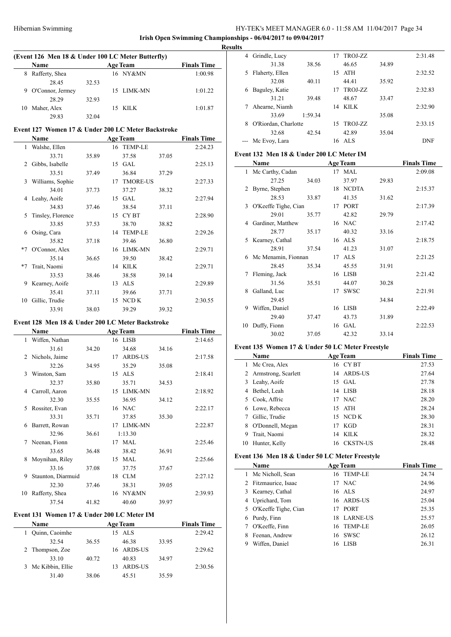**Irish Open Swimming Championships - 06/04/2017 to 09/04/2017 Results**

|    | (Event 126 Men 18 & Under 100 LC Meter Butterfly) |       |                 |                    |  |  |  |  |
|----|---------------------------------------------------|-------|-----------------|--------------------|--|--|--|--|
|    | <b>Name</b>                                       |       | <b>Age Team</b> | <b>Finals Time</b> |  |  |  |  |
| 8  | Rafferty, Shea                                    |       | 16 NY&MN        | 1:00.98            |  |  |  |  |
|    | 28.45                                             | 32.53 |                 |                    |  |  |  |  |
| 9  | O'Connor, Jermey                                  |       | 15 LIMK-MN      | 1:01.22            |  |  |  |  |
|    | 28.29                                             | 32.93 |                 |                    |  |  |  |  |
| 10 | Maher, Alex                                       |       | 15 KILK         | 1:01.87            |  |  |  |  |
|    | 29.83                                             | 32.04 |                 |                    |  |  |  |  |

### **Event 127 Women 17 & Under 200 LC Meter Backstroke**

|               | Name              |       |    | <b>Age Team</b> |       | <b>Finals Time</b> |
|---------------|-------------------|-------|----|-----------------|-------|--------------------|
| 1             | Walshe, Ellen     |       | 16 | <b>TEMP-LE</b>  |       | 2:24.23            |
|               | 33.71             | 35.89 |    | 37.58           | 37.05 |                    |
| $\mathcal{L}$ | Gibbs, Isabelle   |       | 15 | GAL             |       | 2:25.13            |
|               | 33.51             | 37.49 |    | 36.84           | 37.29 |                    |
| 3             | Williams, Sophie  |       | 17 | <b>TMORE-US</b> |       | 2:27.33            |
|               | 34.01             | 37.73 |    | 37.27           | 38.32 |                    |
| 4             | Leahy, Aoife      |       | 15 | <b>GAL</b>      |       | 2:27.94            |
|               | 34.83             | 37.46 |    | 38.54           | 37.11 |                    |
| 5             | Tinsley, Florence |       | 15 | CY BT           |       | 2:28.90            |
|               | 33.85             | 37.53 |    | 38.70           | 38.82 |                    |
| 6             | Osing, Cara       |       | 14 | <b>TEMP-LE</b>  |       | 2:29.26            |
|               | 35.82             | 37.18 |    | 39.46           | 36.80 |                    |
| $*7$          | O'Connor, Alex    |       | 16 | LIMK-MN         |       | 2:29.71            |
|               | 35.14             | 36.65 |    | 39.50           | 38.42 |                    |
| $*7$          | Trait, Naomi      |       | 14 | <b>KILK</b>     |       | 2:29.71            |
|               | 33.53             | 38.46 |    | 38.58           | 39.14 |                    |
| 9             | Kearney, Aoife    |       | 13 | <b>ALS</b>      |       | 2:29.89            |
|               | 35.41             | 37.11 |    | 39.66           | 37.71 |                    |
| 10            | Gillic, Trudie    |       | 15 | NCD K           |       | 2:30.55            |
|               | 33.91             | 38.03 |    | 39.29           | 39.32 |                    |

#### **Event 128 Men 18 & Under 200 LC Meter Backstroke**

|    | <b>Name</b>        |       | <b>Age Team</b>  |                | <b>Finals Time</b> |
|----|--------------------|-------|------------------|----------------|--------------------|
|    | 1 Wiffen, Nathan   |       | 16 LISB          |                | 2:14.65            |
|    | 31.61              | 34.20 | 34.68            | 34.16          |                    |
| 2  | Nichols, Jaime     |       | 17               | <b>ARDS-US</b> | 2:17.58            |
|    | 32.26              | 34.95 | 35.29            | 35.08          |                    |
| 3  | Winston, Sam       |       | 15 ALS           |                | 2:18.41            |
|    | 32.37              | 35.80 | 35.71            | 34.53          |                    |
| 4  | Carroll, Aaron     |       | 15               | LIMK-MN        | 2:18.92            |
|    | 32.30              | 35.55 | 36.95            | 34.12          |                    |
| 5  | Rossiter, Evan     |       | 16 NAC           |                | 2:22.17            |
|    | 33.31              | 35.71 | 37.85            | 35.30          |                    |
| 6  | Barrett, Rowan     |       | 17 LIMK-MN       |                | 2:22.87            |
|    | 32.96              | 36.61 | 1:13.30          |                |                    |
| 7  | Neenan, Fionn      |       | <b>MAL</b><br>17 |                | 2:25.46            |
|    | 33.65              | 36.48 | 38.42            | 36.91          |                    |
| 8  | Moynihan, Riley    |       | <b>MAL</b><br>15 |                | 2:25.66            |
|    | 33.16              | 37.08 | 37.75            | 37.67          |                    |
| 9  | Staunton, Diarmuid |       | <b>CLM</b><br>18 |                | 2:27.12            |
|    | 32.30              | 37.46 | 38.31            | 39.05          |                    |
| 10 | Rafferty, Shea     |       | 16 NY&MN         |                | 2:39.93            |
|    | 37.54              | 41.82 | 40.60            | 39.97          |                    |

# **Event 131 Women 17 & Under 200 LC Meter IM**

 $\overline{\phantom{0}}$ 

| Name               |       | <b>Finals Time</b> |       |         |
|--------------------|-------|--------------------|-------|---------|
| Quinn, Caoimhe     |       | AL S<br>15.        |       | 2:29.42 |
| 32.54              | 36.55 | 46.38              | 33.95 |         |
| 2 Thompson, Zoe    |       | 16 ARDS-US         |       | 2:29.62 |
| 33.10              | 40.72 | 40.83              | 34.97 |         |
| 3 Mc Kibbin, Ellie |       | ARDS-US            |       | 2:30.56 |
| 31.40              | 38.06 | 45.51              | 35.59 |         |

| 4 | Grindle, Lucy        |         | 17 | TROJ-ZZ |       | 2:31.48 |
|---|----------------------|---------|----|---------|-------|---------|
|   | 31.38                | 38.56   |    | 46.65   | 34.89 |         |
| 5 | Flaherty, Ellen      |         | 15 | ATH     |       | 2:32.52 |
|   | 32.08                | 40.11   |    | 44.41   | 35.92 |         |
| 6 | Baguley, Katie       |         | 17 | TROJ-ZZ |       | 2:32.83 |
|   | 31.21                | 39.48   |    | 48.67   | 33.47 |         |
|   | Ahearne, Niamh       |         | 14 | KILK    |       | 2:32.90 |
|   | 33.69                | 1:59.34 |    |         | 35.08 |         |
| 8 | O'Riordan, Charlotte |         | 15 | TROJ-ZZ |       | 2:33.15 |
|   | 32.68                | 42.54   |    | 42.89   | 35.04 |         |
|   | Mc Evoy, Lara        |         | 16 | AL S    |       | DNF     |

# **Event 132 Men 18 & Under 200 LC Meter IM**

|    | Name                   |       |    | <b>Age Team</b> |       | <b>Finals Time</b> |
|----|------------------------|-------|----|-----------------|-------|--------------------|
|    | 1 Mc Carthy, Cadan     |       |    | 17 MAL          |       | 2:09.08            |
|    | 27.25                  | 34.03 |    | 37.97           | 29.83 |                    |
|    | 2 Byrne, Stephen       |       | 18 | <b>NCDTA</b>    |       | 2:15.37            |
|    | 28.53                  | 33.87 |    | 41.35           | 31.62 |                    |
|    | 3 O'Keeffe Tighe, Cian |       | 17 | <b>PORT</b>     |       | 2:17.39            |
|    | 29.01                  | 35.77 |    | 42.82           | 29.79 |                    |
| 4  | Gardiner, Matthew      |       |    | 16 NAC          |       | 2:17.42            |
|    | 28.77                  | 35.17 |    | 40.32           | 33.16 |                    |
| 5. | Kearney, Cathal        |       |    | 16 ALS          |       | 2:18.75            |
|    | 28.91                  | 37.54 |    | 41.23           | 31.07 |                    |
|    | 6 Mc Menamin, Fionnan  |       | 17 | <b>ALS</b>      |       | 2:21.25            |
|    | 28.45                  | 35.34 |    | 45.55           | 31.91 |                    |
| 7  | Fleming, Jack          |       | 16 | <b>LISB</b>     |       | 2:21.42            |
|    | 31.56                  | 35.51 |    | 44.07           | 30.28 |                    |
| 8  | Galland, Luc           |       | 17 | <b>SWSC</b>     |       | 2:21.91            |
|    | 29.45                  |       |    |                 | 34.84 |                    |
| 9  | Wiffen, Daniel         |       | 16 | <b>LISB</b>     |       | 2:22.49            |
|    | 29.40                  | 37.47 |    | 43.73           | 31.89 |                    |
| 10 | Duffy, Fionn           |       |    | 16 GAL          |       | 2:22.53            |
|    | 30.02                  | 37.05 |    | 42.32           | 33.14 |                    |

# **Event 135 Women 17 & Under 50 LC Meter Freestyle**

|    | Name                  |     | <b>Age Team</b> | <b>Finals Time</b> |
|----|-----------------------|-----|-----------------|--------------------|
| 1  | Mc Crea, Alex         |     | 16 CYBT         | 27.53              |
|    | 2 Armstrong, Scarlett |     | 14 ARDS-US      | 27.64              |
|    | 3 Leahy, Aoife        |     | $15$ GAL        | 27.78              |
| 4  | Bethel, Leah          |     | 14 LISB         | 28.18              |
|    | 5 Cook, Affric        |     | 17 NAC          | 28.20              |
|    | 6 Lowe, Rebecca       | 15  | ATH             | 28.24              |
|    | Gillic, Trudie        |     | 15 NCD K        | 28.30              |
| 8  | O'Donnell, Megan      | 17  | <b>KGD</b>      | 28.31              |
| 9  | Trait, Naomi          | 14  | KILK            | 28.32              |
| 10 | Hunter, Kelly         | 16. | CKSTN-US        | 28.48              |

# **Event 136 Men 18 & Under 50 LC Meter Freestyle**

 $\overline{\phantom{a}}$ 

|    | $\frac{1}{2}$ . Then to be under to be them a recovered |                   |                    |  |  |  |  |  |
|----|---------------------------------------------------------|-------------------|--------------------|--|--|--|--|--|
|    | Name                                                    | <b>Age Team</b>   | <b>Finals Time</b> |  |  |  |  |  |
| 1  | Mc Nicholl, Sean                                        | 16 TEMP-LE        | 24.74              |  |  |  |  |  |
|    | 2 Fitzmaurice, Isaac                                    | NAC<br>17         | 24.96              |  |  |  |  |  |
| 3  | Kearney, Cathal                                         | 16 ALS            | 24.97              |  |  |  |  |  |
| 4  | Uprichard, Tom                                          | 16 ARDS-US        | 25.04              |  |  |  |  |  |
| 5. | O'Keeffe Tighe, Cian                                    | <b>PORT</b><br>17 | 25.35              |  |  |  |  |  |
| 6  | Purdy, Finn                                             | 18 LARNE-US       | 25.57              |  |  |  |  |  |
| 7  | O'Keeffe, Finn                                          | 16 TEMP-LE        | 26.05              |  |  |  |  |  |
| 8  | Feenan, Andrew                                          | 16 SWSC           | 26.12              |  |  |  |  |  |
| 9  | Wiffen, Daniel                                          | 16 LISB           | 26.31              |  |  |  |  |  |